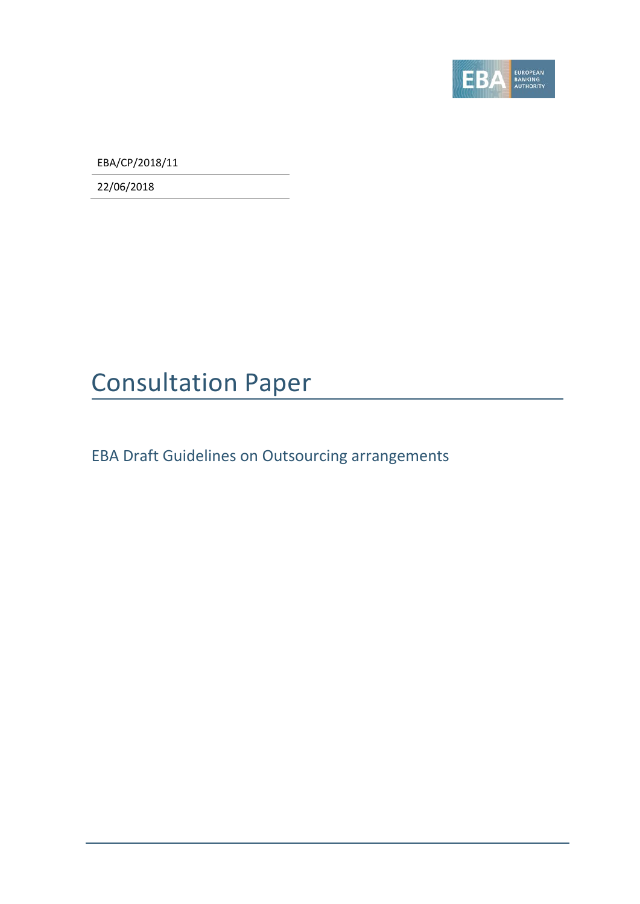

EBA/CP/2018/11

22/06/2018

# Consultation Paper

EBA Draft Guidelines on Outsourcing arrangements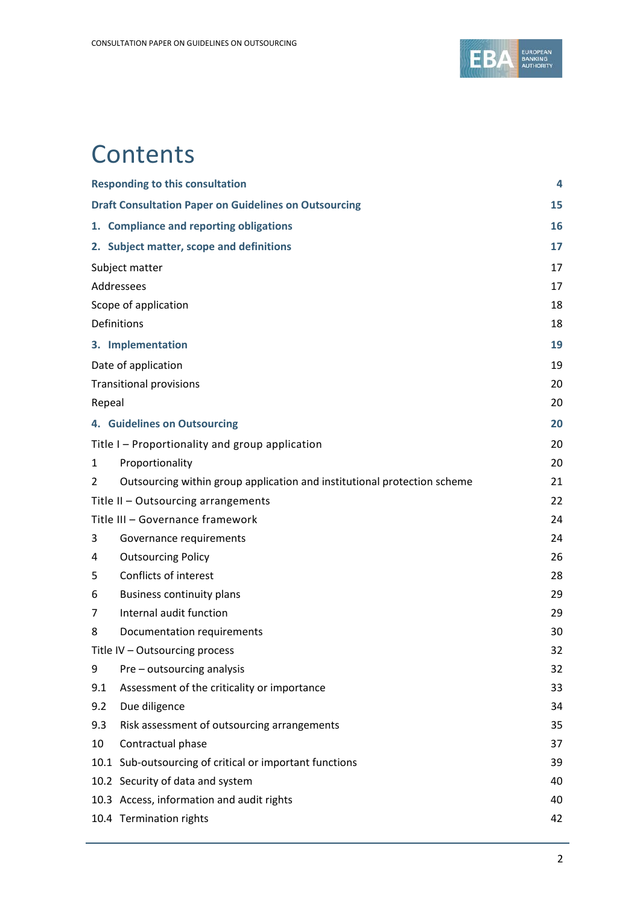

## **Contents**

| <b>Responding to this consultation</b>                       |                                                                          |    |
|--------------------------------------------------------------|--------------------------------------------------------------------------|----|
| <b>Draft Consultation Paper on Guidelines on Outsourcing</b> |                                                                          |    |
|                                                              | 1. Compliance and reporting obligations                                  | 16 |
|                                                              | 2. Subject matter, scope and definitions                                 | 17 |
| Subject matter                                               |                                                                          |    |
| Addressees                                                   |                                                                          |    |
| Scope of application                                         |                                                                          | 18 |
| Definitions                                                  |                                                                          | 18 |
|                                                              | 3. Implementation                                                        | 19 |
| Date of application                                          |                                                                          |    |
|                                                              | <b>Transitional provisions</b>                                           | 20 |
| Repeal                                                       |                                                                          | 20 |
|                                                              | 4. Guidelines on Outsourcing                                             | 20 |
|                                                              | Title I - Proportionality and group application                          | 20 |
| 1                                                            | Proportionality                                                          | 20 |
| $\overline{2}$                                               | Outsourcing within group application and institutional protection scheme | 21 |
|                                                              | Title II - Outsourcing arrangements                                      | 22 |
| Title III - Governance framework                             |                                                                          | 24 |
| 3                                                            | Governance requirements                                                  | 24 |
| 4                                                            | <b>Outsourcing Policy</b>                                                | 26 |
| 5                                                            | Conflicts of interest                                                    | 28 |
| 6                                                            | <b>Business continuity plans</b>                                         | 29 |
| 7                                                            | Internal audit function                                                  | 29 |
| 8                                                            | Documentation requirements                                               | 30 |
| Title IV - Outsourcing process                               |                                                                          | 32 |
| 9                                                            | Pre - outsourcing analysis                                               | 32 |
| 9.1                                                          | Assessment of the criticality or importance                              | 33 |
| 9.2                                                          | Due diligence                                                            | 34 |
| 9.3                                                          | Risk assessment of outsourcing arrangements                              | 35 |
| 10                                                           | Contractual phase                                                        | 37 |
|                                                              | 10.1 Sub-outsourcing of critical or important functions                  | 39 |
|                                                              | 10.2 Security of data and system                                         | 40 |
|                                                              | 10.3 Access, information and audit rights                                | 40 |
|                                                              | 10.4 Termination rights                                                  | 42 |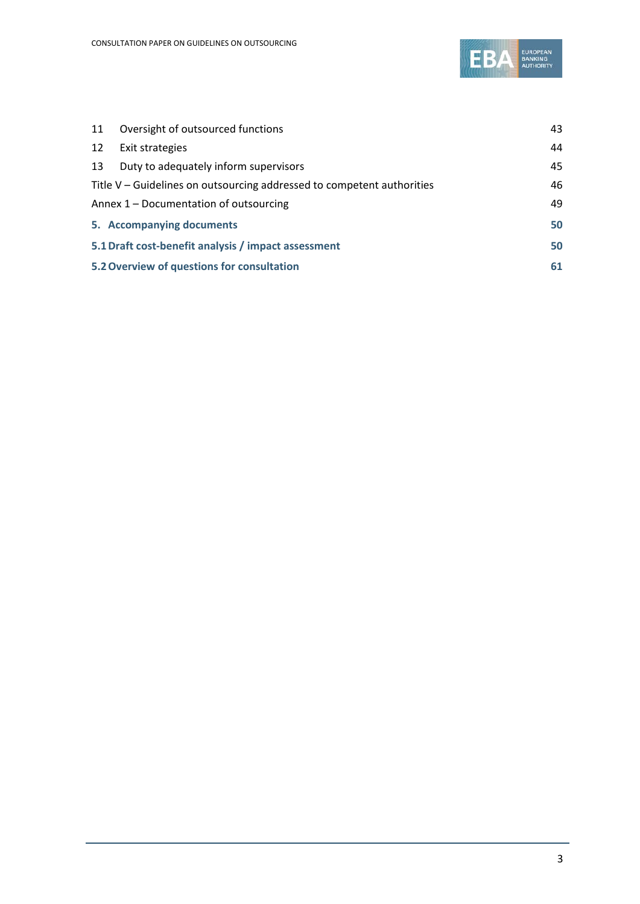

| 11                                                                     | Oversight of outsourced functions     | 43 |
|------------------------------------------------------------------------|---------------------------------------|----|
| 12                                                                     | Exit strategies                       | 44 |
| 13                                                                     | Duty to adequately inform supervisors | 45 |
| Title V – Guidelines on outsourcing addressed to competent authorities |                                       | 46 |
| Annex 1 – Documentation of outsourcing                                 |                                       |    |
|                                                                        | 5. Accompanying documents             | 50 |
| 5.1 Draft cost-benefit analysis / impact assessment                    |                                       | 50 |
| 5.2 Overview of questions for consultation                             |                                       |    |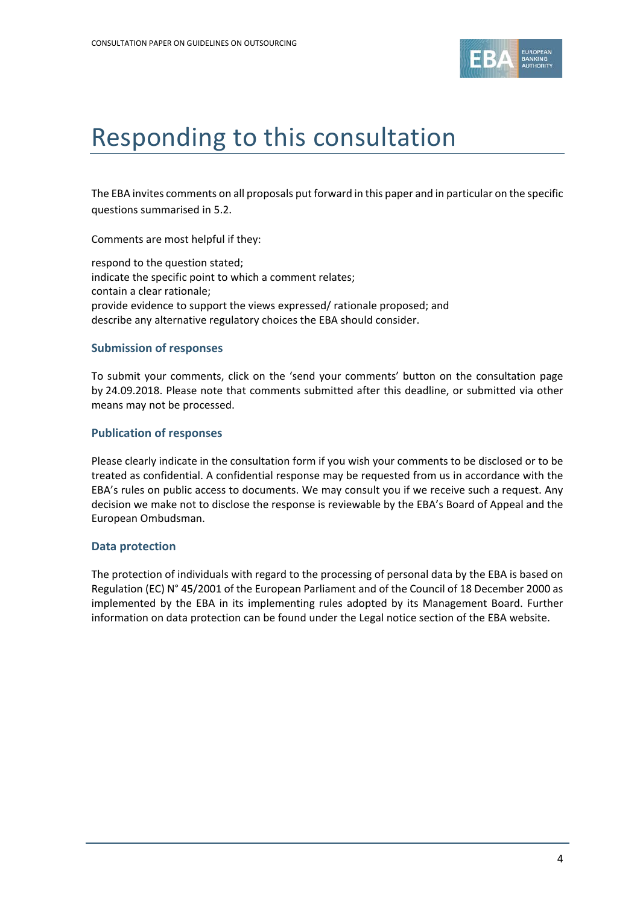

## Responding to this consultation

The EBA invites comments on all proposals put forward in this paper and in particular on the specific questions summarised in 5.2.

Comments are most helpful if they:

respond to the question stated; indicate the specific point to which a comment relates; contain a clear rationale; provide evidence to support the views expressed/ rationale proposed; and describe any alternative regulatory choices the EBA should consider.

#### **Submission of responses**

To submit your comments, click on the 'send your comments' button on the consultation page by 24.09.2018. Please note that comments submitted after this deadline, or submitted via other means may not be processed.

#### **Publication of responses**

Please clearly indicate in the consultation form if you wish your comments to be disclosed or to be treated as confidential. A confidential response may be requested from us in accordance with the EBA's rules on public access to documents. We may consult you if we receive such a request. Any decision we make not to disclose the response is reviewable by the EBA's Board of Appeal and the European Ombudsman.

#### **Data protection**

The protection of individuals with regard to the processing of personal data by the EBA is based on Regulation (EC) N° 45/2001 of the European Parliament and of the Council of 18 December 2000 as implemented by the EBA in its implementing rules adopted by its Management Board. Further information on data protection can be found under the [Legal notice section](http://eba.europa.eu/legal-notice) of the EBA website.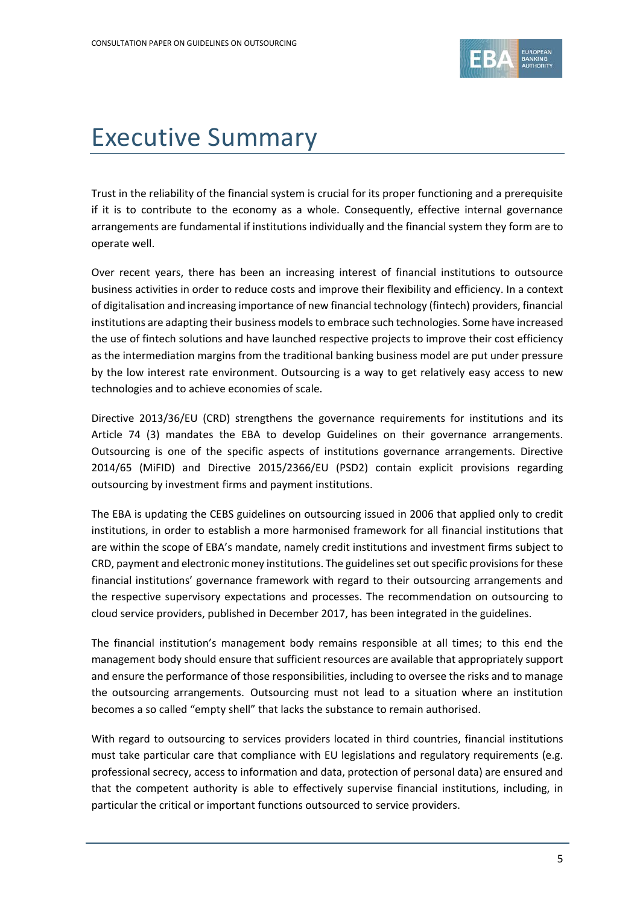

# Executive Summary

Trust in the reliability of the financial system is crucial for its proper functioning and a prerequisite if it is to contribute to the economy as a whole. Consequently, effective internal governance arrangements are fundamental if institutions individually and the financial system they form are to operate well.

Over recent years, there has been an increasing interest of financial institutions to outsource business activities in order to reduce costs and improve their flexibility and efficiency. In a context of digitalisation and increasing importance of new financial technology (fintech) providers, financial institutions are adapting their business models to embrace such technologies. Some have increased the use of fintech solutions and have launched respective projects to improve their cost efficiency as the intermediation margins from the traditional banking business model are put under pressure by the low interest rate environment. Outsourcing is a way to get relatively easy access to new technologies and to achieve economies of scale.

Directive 2013/36/EU (CRD) strengthens the governance requirements for institutions and its Article 74 (3) mandates the EBA to develop Guidelines on their governance arrangements. Outsourcing is one of the specific aspects of institutions governance arrangements. Directive 2014/65 (MiFID) and Directive 2015/2366/EU (PSD2) contain explicit provisions regarding outsourcing by investment firms and payment institutions.

The EBA is updating the CEBS guidelines on outsourcing issued in 2006 that applied only to credit institutions, in order to establish a more harmonised framework for all financial institutions that are within the scope of EBA's mandate, namely credit institutions and investment firms subject to CRD, payment and electronic money institutions. The guidelines set out specific provisions for these financial institutions' governance framework with regard to their outsourcing arrangements and the respective supervisory expectations and processes. The recommendation on outsourcing to cloud service providers, published in December 2017, has been integrated in the guidelines.

The financial institution's management body remains responsible at all times; to this end the management body should ensure that sufficient resources are available that appropriately support and ensure the performance of those responsibilities, including to oversee the risks and to manage the outsourcing arrangements. Outsourcing must not lead to a situation where an institution becomes a so called "empty shell" that lacks the substance to remain authorised.

With regard to outsourcing to services providers located in third countries, financial institutions must take particular care that compliance with EU legislations and regulatory requirements (e.g. professional secrecy, access to information and data, protection of personal data) are ensured and that the competent authority is able to effectively supervise financial institutions, including, in particular the critical or important functions outsourced to service providers.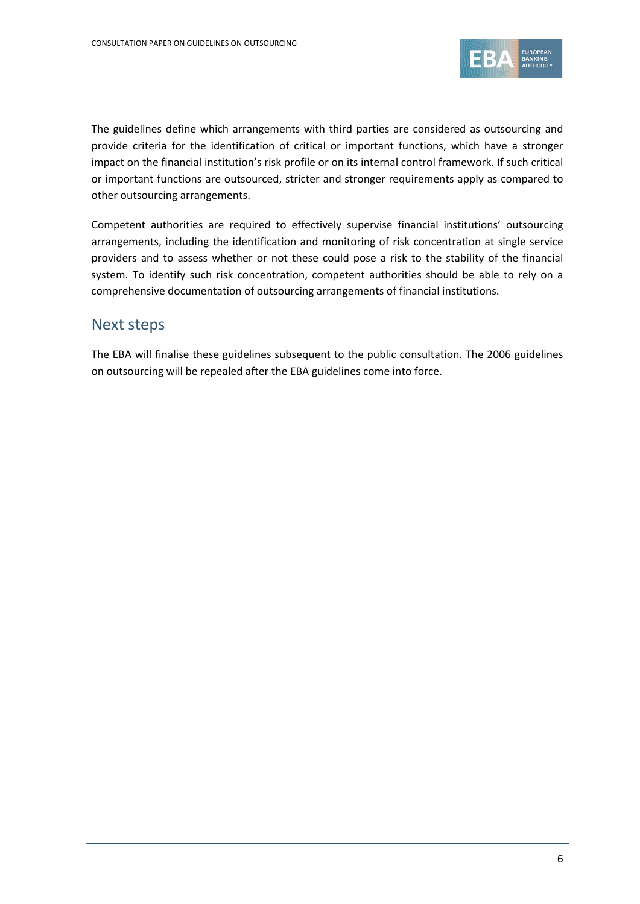

The guidelines define which arrangements with third parties are considered as outsourcing and provide criteria for the identification of critical or important functions, which have a stronger impact on the financial institution's risk profile or on its internal control framework. If such critical or important functions are outsourced, stricter and stronger requirements apply as compared to other outsourcing arrangements.

Competent authorities are required to effectively supervise financial institutions' outsourcing arrangements, including the identification and monitoring of risk concentration at single service providers and to assess whether or not these could pose a risk to the stability of the financial system. To identify such risk concentration, competent authorities should be able to rely on a comprehensive documentation of outsourcing arrangements of financial institutions.

#### Next steps

The EBA will finalise these guidelines subsequent to the public consultation. The 2006 guidelines on outsourcing will be repealed after the EBA guidelines come into force.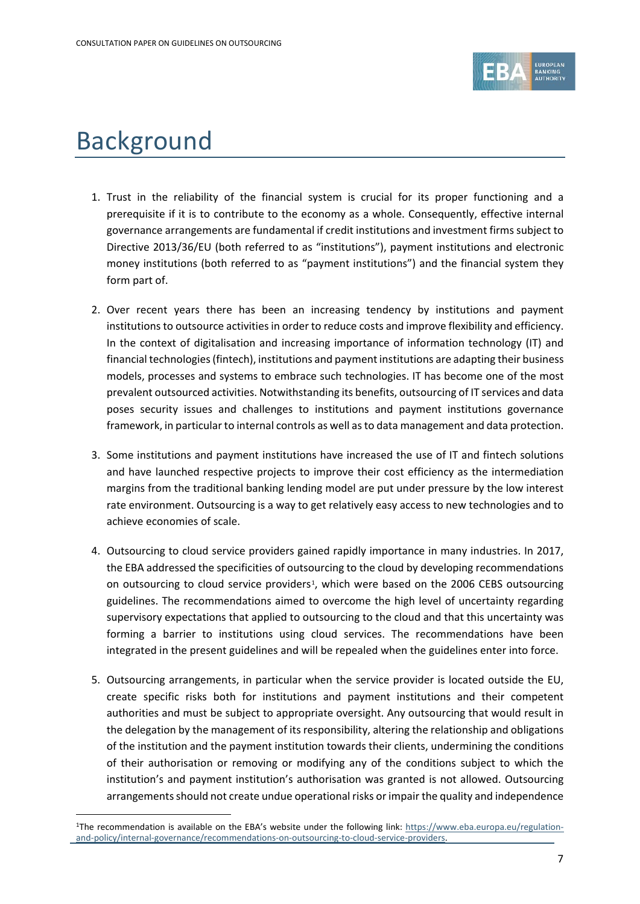

## Background

- 1. Trust in the reliability of the financial system is crucial for its proper functioning and a prerequisite if it is to contribute to the economy as a whole. Consequently, effective internal governance arrangements are fundamental if credit institutions and investment firms subject to Directive 2013/36/EU (both referred to as "institutions"), payment institutions and electronic money institutions (both referred to as "payment institutions") and the financial system they form part of.
- 2. Over recent years there has been an increasing tendency by institutions and payment institutions to outsource activities in order to reduce costs and improve flexibility and efficiency. In the context of digitalisation and increasing importance of information technology (IT) and financial technologies (fintech), institutions and payment institutions are adapting their business models, processes and systems to embrace such technologies. IT has become one of the most prevalent outsourced activities. Notwithstanding its benefits, outsourcing of IT services and data poses security issues and challenges to institutions and payment institutions governance framework, in particular to internal controls as well as to data management and data protection.
- 3. Some institutions and payment institutions have increased the use of IT and fintech solutions and have launched respective projects to improve their cost efficiency as the intermediation margins from the traditional banking lending model are put under pressure by the low interest rate environment. Outsourcing is a way to get relatively easy access to new technologies and to achieve economies of scale.
- 4. Outsourcing to cloud service providers gained rapidly importance in many industries. In 2017, the EBA addressed the specificities of outsourcing to the cloud by developing recommendations on outsourcing to cloud service providers<sup>1</sup>, which were based on the 2006 CEBS outsourcing guidelines. The recommendations aimed to overcome the high level of uncertainty regarding supervisory expectations that applied to outsourcing to the cloud and that this uncertainty was forming a barrier to institutions using cloud services. The recommendations have been integrated in the present guidelines and will be repealed when the guidelines enter into force.
- 5. Outsourcing arrangements, in particular when the service provider is located outside the EU, create specific risks both for institutions and payment institutions and their competent authorities and must be subject to appropriate oversight. Any outsourcing that would result in the delegation by the management of its responsibility, altering the relationship and obligations of the institution and the payment institution towards their clients, undermining the conditions of their authorisation or removing or modifying any of the conditions subject to which the institution's and payment institution's authorisation was granted is not allowed. Outsourcing arrangements should not create undue operational risks or impair the quality and independence

<span id="page-6-0"></span><sup>&</sup>lt;sup>1</sup>The recommendation is available on the EBA's website under the following link: [https://www.eba.europa.eu/regulation](https://www.eba.europa.eu/regulation-and-policy/internal-governance/recommendations-on-outsourcing-to-cloud-service-providers)[and-policy/internal-governance/recommendations-on-outsourcing-to-cloud-service-providers.](https://www.eba.europa.eu/regulation-and-policy/internal-governance/recommendations-on-outsourcing-to-cloud-service-providers)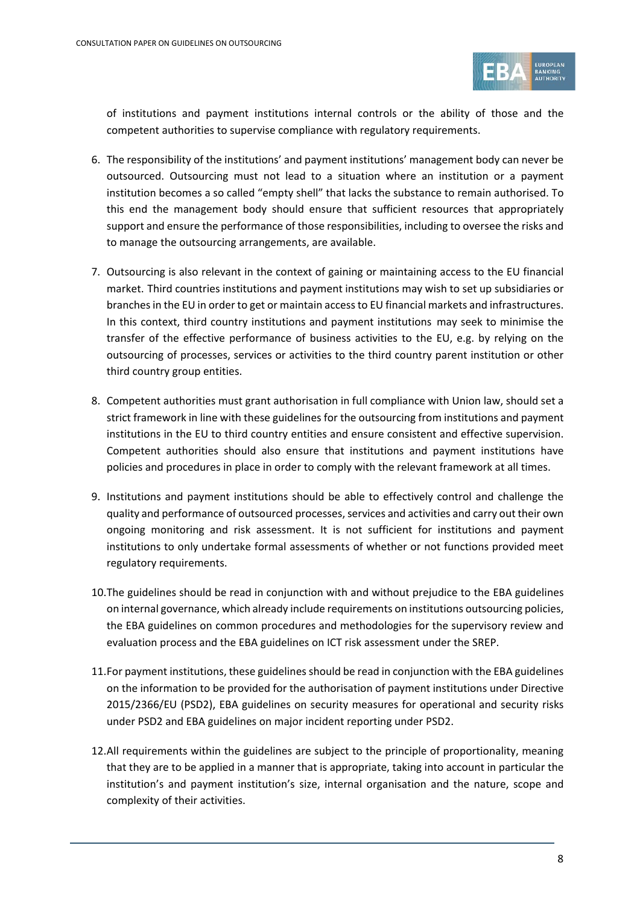

of institutions and payment institutions internal controls or the ability of those and the competent authorities to supervise compliance with regulatory requirements.

- 6. The responsibility of the institutions' and payment institutions' management body can never be outsourced. Outsourcing must not lead to a situation where an institution or a payment institution becomes a so called "empty shell" that lacks the substance to remain authorised. To this end the management body should ensure that sufficient resources that appropriately support and ensure the performance of those responsibilities, including to oversee the risks and to manage the outsourcing arrangements, are available.
- 7. Outsourcing is also relevant in the context of gaining or maintaining access to the EU financial market. Third countries institutions and payment institutions may wish to set up subsidiaries or branches in the EU in order to get or maintain access to EU financial markets and infrastructures. In this context, third country institutions and payment institutions may seek to minimise the transfer of the effective performance of business activities to the EU, e.g. by relying on the outsourcing of processes, services or activities to the third country parent institution or other third country group entities.
- 8. Competent authorities must grant authorisation in full compliance with Union law, should set a strict framework in line with these guidelines for the outsourcing from institutions and payment institutions in the EU to third country entities and ensure consistent and effective supervision. Competent authorities should also ensure that institutions and payment institutions have policies and procedures in place in order to comply with the relevant framework at all times.
- 9. Institutions and payment institutions should be able to effectively control and challenge the quality and performance of outsourced processes, services and activities and carry out their own ongoing monitoring and risk assessment. It is not sufficient for institutions and payment institutions to only undertake formal assessments of whether or not functions provided meet regulatory requirements.
- 10.The guidelines should be read in conjunction with and without prejudice to the EBA guidelines on internal governance, which already include requirements on institutions outsourcing policies, the EBA guidelines on common procedures and methodologies for the supervisory review and evaluation process and the EBA guidelines on ICT risk assessment under the SREP.
- 11.For payment institutions, these guidelines should be read in conjunction with the EBA guidelines on the information to be provided for the authorisation of payment institutions under Directive 2015/2366/EU (PSD2), EBA guidelines on security measures for operational and security risks under PSD2 and EBA guidelines on major incident reporting under PSD2.
- 12.All requirements within the guidelines are subject to the principle of proportionality, meaning that they are to be applied in a manner that is appropriate, taking into account in particular the institution's and payment institution's size, internal organisation and the nature, scope and complexity of their activities.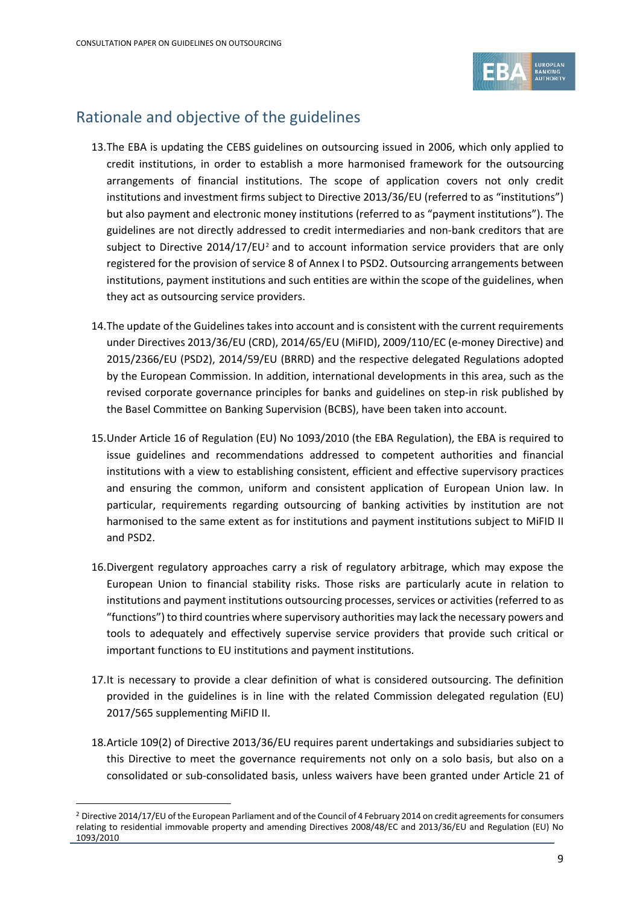

## Rationale and objective of the guidelines

- 13.The EBA is updating the CEBS guidelines on outsourcing issued in 2006, which only applied to credit institutions, in order to establish a more harmonised framework for the outsourcing arrangements of financial institutions. The scope of application covers not only credit institutions and investment firms subject to Directive 2013/36/EU (referred to as "institutions") but also payment and electronic money institutions (referred to as "payment institutions"). The guidelines are not directly addressed to credit intermediaries and non-bank creditors that are subject to Directive  $2014/17/EU^2$  $2014/17/EU^2$  and to account information service providers that are only registered for the provision of service 8 of Annex I to PSD2. Outsourcing arrangements between institutions, payment institutions and such entities are within the scope of the guidelines, when they act as outsourcing service providers.
- 14.The update of the Guidelines takes into account and is consistent with the current requirements under Directives 2013/36/EU (CRD), 2014/65/EU (MiFID), 2009/110/EC (e-money Directive) and 2015/2366/EU (PSD2), 2014/59/EU (BRRD) and the respective delegated Regulations adopted by the European Commission. In addition, international developments in this area, such as the revised corporate governance principles for banks and guidelines on step-in risk published by the Basel Committee on Banking Supervision (BCBS), have been taken into account.
- 15.Under Article 16 of Regulation (EU) No 1093/2010 (the EBA Regulation), the EBA is required to issue guidelines and recommendations addressed to competent authorities and financial institutions with a view to establishing consistent, efficient and effective supervisory practices and ensuring the common, uniform and consistent application of European Union law. In particular, requirements regarding outsourcing of banking activities by institution are not harmonised to the same extent as for institutions and payment institutions subject to MiFID II and PSD2.
- 16.Divergent regulatory approaches carry a risk of regulatory arbitrage, which may expose the European Union to financial stability risks. Those risks are particularly acute in relation to institutions and payment institutions outsourcing processes, services or activities (referred to as "functions") to third countries where supervisory authorities may lack the necessary powers and tools to adequately and effectively supervise service providers that provide such critical or important functions to EU institutions and payment institutions.
- 17.It is necessary to provide a clear definition of what is considered outsourcing. The definition provided in the guidelines is in line with the related Commission delegated regulation (EU) 2017/565 supplementing MiFID II.
- 18.Article 109(2) of Directive 2013/36/EU requires parent undertakings and subsidiaries subject to this Directive to meet the governance requirements not only on a solo basis, but also on a consolidated or sub-consolidated basis, unless waivers have been granted under Article 21 of

<span id="page-8-0"></span><sup>&</sup>lt;sup>2</sup> Directive 2014/17/EU of the European Parliament and of the Council of 4 February 2014 on credit agreements for consumers relating to residential immovable property and amending Directives 2008/48/EC and 2013/36/EU and Regulation (EU) No 1093/2010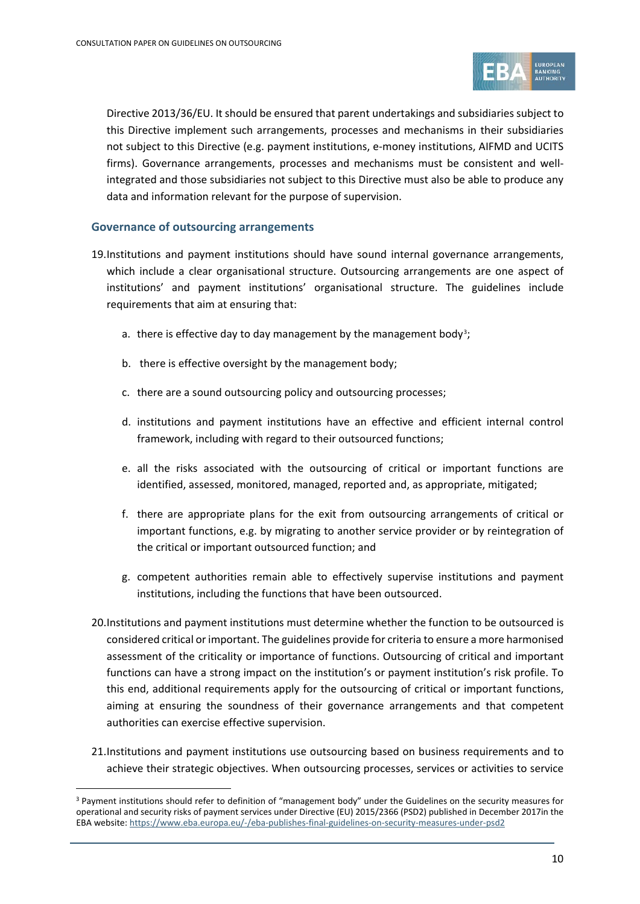

Directive 2013/36/EU. It should be ensured that parent undertakings and subsidiaries subject to this Directive implement such arrangements, processes and mechanisms in their subsidiaries not subject to this Directive (e.g. payment institutions, e-money institutions, AIFMD and UCITS firms). Governance arrangements, processes and mechanisms must be consistent and wellintegrated and those subsidiaries not subject to this Directive must also be able to produce any data and information relevant for the purpose of supervision.

#### **Governance of outsourcing arrangements**

- 19.Institutions and payment institutions should have sound internal governance arrangements, which include a clear organisational structure. Outsourcing arrangements are one aspect of institutions' and payment institutions' organisational structure. The guidelines include requirements that aim at ensuring that:
	- a. there is effective day to day management by the management body<sup>3</sup>;
	- b. there is effective oversight by the management body;
	- c. there are a sound outsourcing policy and outsourcing processes;
	- d. institutions and payment institutions have an effective and efficient internal control framework, including with regard to their outsourced functions;
	- e. all the risks associated with the outsourcing of critical or important functions are identified, assessed, monitored, managed, reported and, as appropriate, mitigated;
	- f. there are appropriate plans for the exit from outsourcing arrangements of critical or important functions, e.g. by migrating to another service provider or by reintegration of the critical or important outsourced function; and
	- g. competent authorities remain able to effectively supervise institutions and payment institutions, including the functions that have been outsourced.
- 20.Institutions and payment institutions must determine whether the function to be outsourced is considered critical or important. The guidelines provide for criteria to ensure a more harmonised assessment of the criticality or importance of functions. Outsourcing of critical and important functions can have a strong impact on the institution's or payment institution's risk profile. To this end, additional requirements apply for the outsourcing of critical or important functions, aiming at ensuring the soundness of their governance arrangements and that competent authorities can exercise effective supervision.
- 21.Institutions and payment institutions use outsourcing based on business requirements and to achieve their strategic objectives. When outsourcing processes, services or activities to service

<span id="page-9-0"></span><sup>&</sup>lt;sup>3</sup> Payment institutions should refer to definition of "management body" under the Guidelines on the security measures for operational and security risks of payment services under Directive (EU) 2015/2366 (PSD2) published in December 2017in the EBA website[: https://www.eba.europa.eu/-/eba-publishes-final-guidelines-on-security-measures-under-psd2](https://www.eba.europa.eu/-/eba-publishes-final-guidelines-on-security-measures-under-psd2)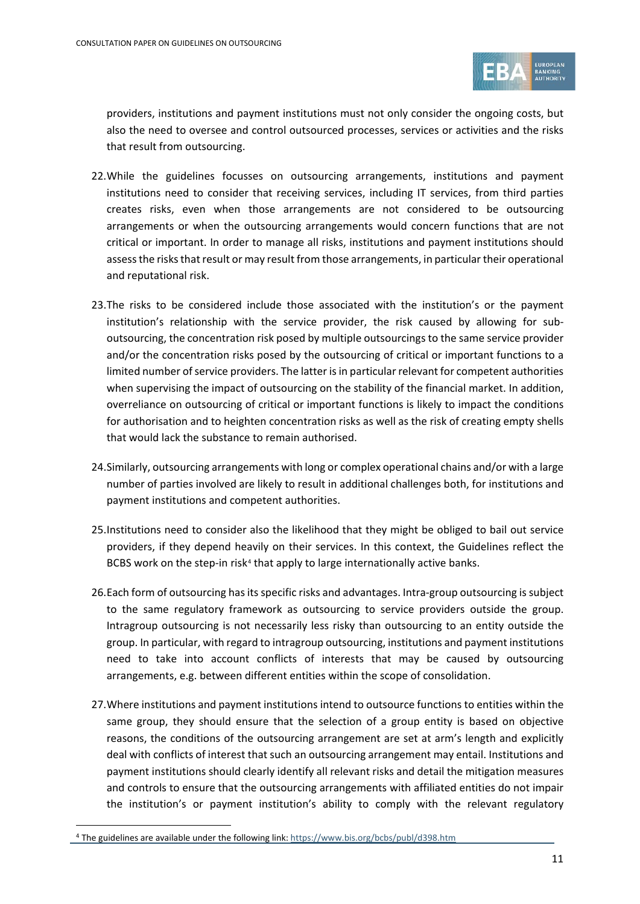

providers, institutions and payment institutions must not only consider the ongoing costs, but also the need to oversee and control outsourced processes, services or activities and the risks that result from outsourcing.

- 22.While the guidelines focusses on outsourcing arrangements, institutions and payment institutions need to consider that receiving services, including IT services, from third parties creates risks, even when those arrangements are not considered to be outsourcing arrangements or when the outsourcing arrangements would concern functions that are not critical or important. In order to manage all risks, institutions and payment institutions should assess the risks that result or may result from those arrangements, in particular their operational and reputational risk.
- 23.The risks to be considered include those associated with the institution's or the payment institution's relationship with the service provider, the risk caused by allowing for suboutsourcing, the concentration risk posed by multiple outsourcings to the same service provider and/or the concentration risks posed by the outsourcing of critical or important functions to a limited number of service providers. The latter is in particular relevant for competent authorities when supervising the impact of outsourcing on the stability of the financial market. In addition, overreliance on outsourcing of critical or important functions is likely to impact the conditions for authorisation and to heighten concentration risks as well as the risk of creating empty shells that would lack the substance to remain authorised.
- 24.Similarly, outsourcing arrangements with long or complex operational chains and/or with a large number of parties involved are likely to result in additional challenges both, for institutions and payment institutions and competent authorities.
- 25.Institutions need to consider also the likelihood that they might be obliged to bail out service providers, if they depend heavily on their services. In this context, the Guidelines reflect the BCBS work on the step-in risk<sup>[4](#page-10-0)</sup> that apply to large internationally active banks.
- 26.Each form of outsourcing has its specific risks and advantages. Intra-group outsourcing is subject to the same regulatory framework as outsourcing to service providers outside the group. Intragroup outsourcing is not necessarily less risky than outsourcing to an entity outside the group. In particular, with regard to intragroup outsourcing, institutions and payment institutions need to take into account conflicts of interests that may be caused by outsourcing arrangements, e.g. between different entities within the scope of consolidation.
- 27.Where institutions and payment institutions intend to outsource functions to entities within the same group, they should ensure that the selection of a group entity is based on objective reasons, the conditions of the outsourcing arrangement are set at arm's length and explicitly deal with conflicts of interest that such an outsourcing arrangement may entail. Institutions and payment institutions should clearly identify all relevant risks and detail the mitigation measures and controls to ensure that the outsourcing arrangements with affiliated entities do not impair the institution's or payment institution's ability to comply with the relevant regulatory

<span id="page-10-0"></span><sup>&</sup>lt;sup>4</sup> The guidelines are available under the following link[: https://www.bis.org/bcbs/publ/d398.htm](https://www.bis.org/bcbs/publ/d398.htm)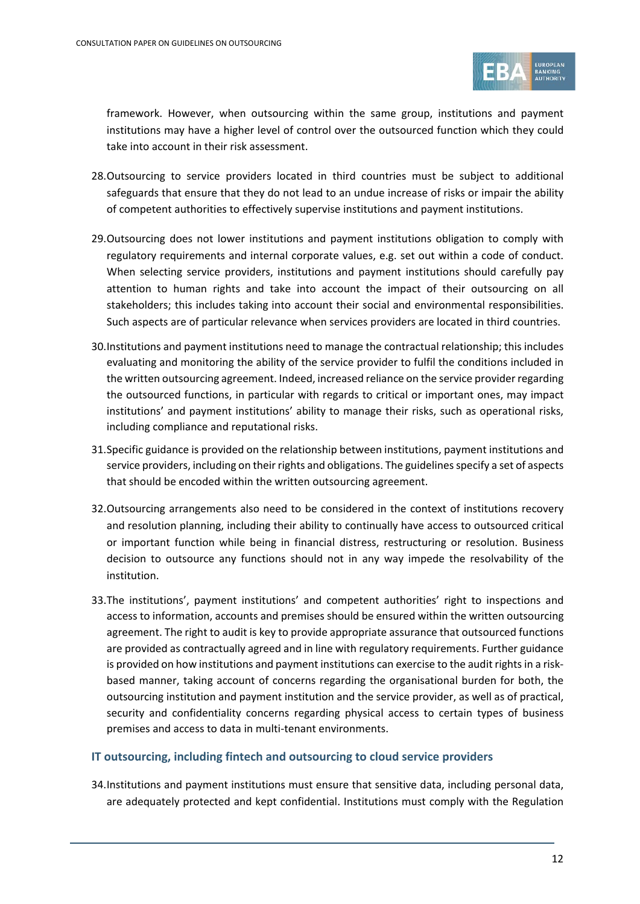

framework. However, when outsourcing within the same group, institutions and payment institutions may have a higher level of control over the outsourced function which they could take into account in their risk assessment.

- 28.Outsourcing to service providers located in third countries must be subject to additional safeguards that ensure that they do not lead to an undue increase of risks or impair the ability of competent authorities to effectively supervise institutions and payment institutions.
- 29.Outsourcing does not lower institutions and payment institutions obligation to comply with regulatory requirements and internal corporate values, e.g. set out within a code of conduct. When selecting service providers, institutions and payment institutions should carefully pay attention to human rights and take into account the impact of their outsourcing on all stakeholders; this includes taking into account their social and environmental responsibilities. Such aspects are of particular relevance when services providers are located in third countries.
- 30.Institutions and payment institutions need to manage the contractual relationship; this includes evaluating and monitoring the ability of the service provider to fulfil the conditions included in the written outsourcing agreement. Indeed, increased reliance on the service provider regarding the outsourced functions, in particular with regards to critical or important ones, may impact institutions' and payment institutions' ability to manage their risks, such as operational risks, including compliance and reputational risks.
- 31.Specific guidance is provided on the relationship between institutions, payment institutions and service providers, including on their rights and obligations. The guidelines specify a set of aspects that should be encoded within the written outsourcing agreement.
- 32.Outsourcing arrangements also need to be considered in the context of institutions recovery and resolution planning, including their ability to continually have access to outsourced critical or important function while being in financial distress, restructuring or resolution. Business decision to outsource any functions should not in any way impede the resolvability of the institution.
- 33.The institutions', payment institutions' and competent authorities' right to inspections and access to information, accounts and premises should be ensured within the written outsourcing agreement. The right to audit is key to provide appropriate assurance that outsourced functions are provided as contractually agreed and in line with regulatory requirements. Further guidance is provided on how institutions and payment institutions can exercise to the audit rights in a riskbased manner, taking account of concerns regarding the organisational burden for both, the outsourcing institution and payment institution and the service provider, as well as of practical, security and confidentiality concerns regarding physical access to certain types of business premises and access to data in multi-tenant environments.

#### **IT outsourcing, including fintech and outsourcing to cloud service providers**

34.Institutions and payment institutions must ensure that sensitive data, including personal data, are adequately protected and kept confidential. Institutions must comply with the Regulation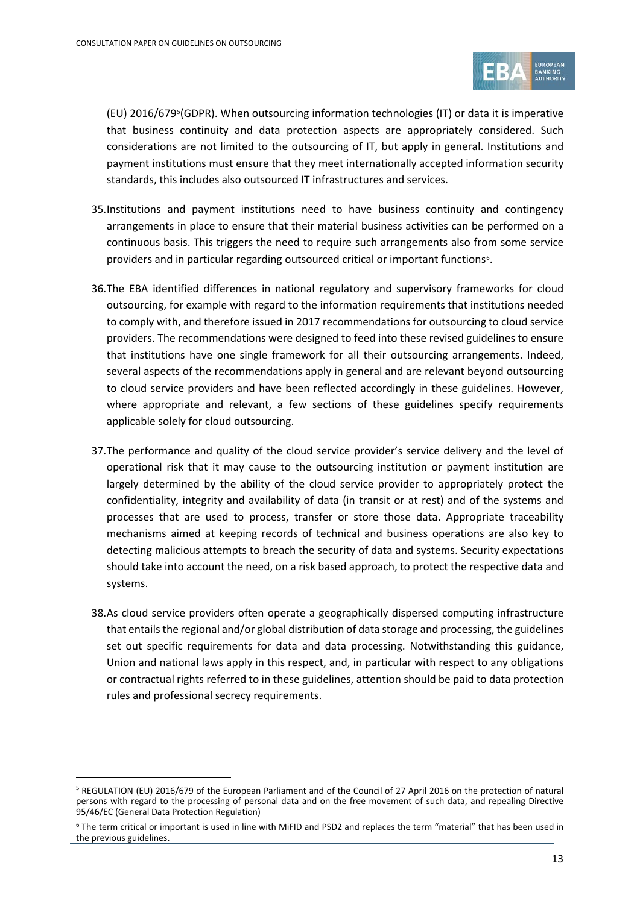

(EU) 2016/679[5\(](#page-12-0)GDPR). When outsourcing information technologies (IT) or data it is imperative that business continuity and data protection aspects are appropriately considered. Such considerations are not limited to the outsourcing of IT, but apply in general. Institutions and payment institutions must ensure that they meet internationally accepted information security standards, this includes also outsourced IT infrastructures and services.

- 35.Institutions and payment institutions need to have business continuity and contingency arrangements in place to ensure that their material business activities can be performed on a continuous basis. This triggers the need to require such arrangements also from some service providers and in particular regarding outsourced critical or important functions<sup>6</sup>.
- 36.The EBA identified differences in national regulatory and supervisory frameworks for cloud outsourcing, for example with regard to the information requirements that institutions needed to comply with, and therefore issued in 2017 recommendations for outsourcing to cloud service providers. The recommendations were designed to feed into these revised guidelines to ensure that institutions have one single framework for all their outsourcing arrangements. Indeed, several aspects of the recommendations apply in general and are relevant beyond outsourcing to cloud service providers and have been reflected accordingly in these guidelines. However, where appropriate and relevant, a few sections of these guidelines specify requirements applicable solely for cloud outsourcing.
- 37.The performance and quality of the cloud service provider's service delivery and the level of operational risk that it may cause to the outsourcing institution or payment institution are largely determined by the ability of the cloud service provider to appropriately protect the confidentiality, integrity and availability of data (in transit or at rest) and of the systems and processes that are used to process, transfer or store those data. Appropriate traceability mechanisms aimed at keeping records of technical and business operations are also key to detecting malicious attempts to breach the security of data and systems. Security expectations should take into account the need, on a risk based approach, to protect the respective data and systems.
- 38.As cloud service providers often operate a geographically dispersed computing infrastructure that entails the regional and/or global distribution of data storage and processing, the guidelines set out specific requirements for data and data processing. Notwithstanding this guidance, Union and national laws apply in this respect, and, in particular with respect to any obligations or contractual rights referred to in these guidelines, attention should be paid to data protection rules and professional secrecy requirements.

<span id="page-12-0"></span><sup>5</sup> REGULATION (EU) 2016/679 of the European Parliament and of the Council of 27 April 2016 on the protection of natural persons with regard to the processing of personal data and on the free movement of such data, and repealing Directive 95/46/EC (General Data Protection Regulation)

<span id="page-12-1"></span><sup>6</sup> The term critical or important is used in line with MiFID and PSD2 and replaces the term "material" that has been used in the previous guidelines.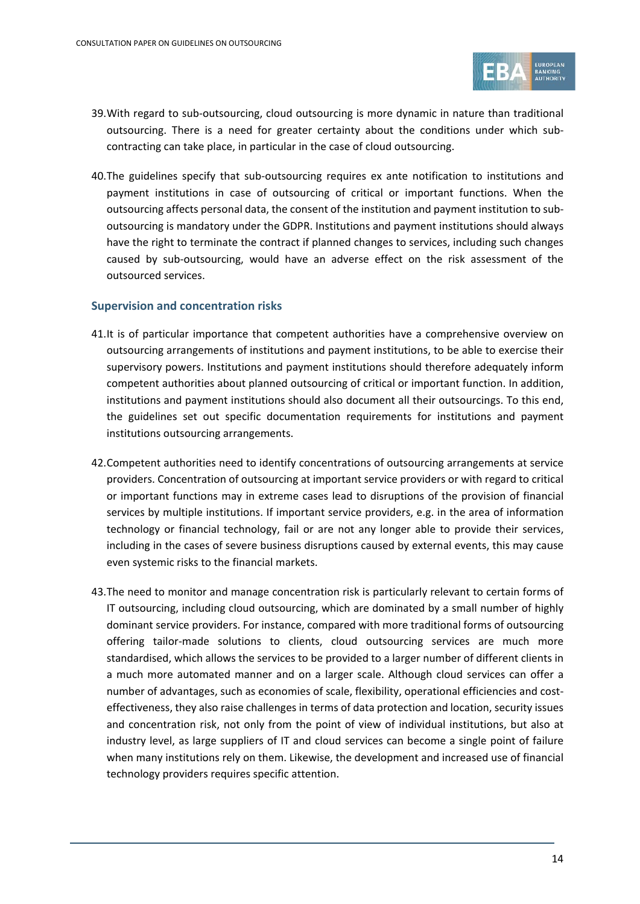

- 39.With regard to sub-outsourcing, cloud outsourcing is more dynamic in nature than traditional outsourcing. There is a need for greater certainty about the conditions under which subcontracting can take place, in particular in the case of cloud outsourcing.
- 40.The guidelines specify that sub-outsourcing requires ex ante notification to institutions and payment institutions in case of outsourcing of critical or important functions. When the outsourcing affects personal data, the consent of the institution and payment institution to suboutsourcing is mandatory under the GDPR. Institutions and payment institutions should always have the right to terminate the contract if planned changes to services, including such changes caused by sub-outsourcing, would have an adverse effect on the risk assessment of the outsourced services.

#### **Supervision and concentration risks**

- 41.It is of particular importance that competent authorities have a comprehensive overview on outsourcing arrangements of institutions and payment institutions, to be able to exercise their supervisory powers. Institutions and payment institutions should therefore adequately inform competent authorities about planned outsourcing of critical or important function. In addition, institutions and payment institutions should also document all their outsourcings. To this end, the guidelines set out specific documentation requirements for institutions and payment institutions outsourcing arrangements.
- 42.Competent authorities need to identify concentrations of outsourcing arrangements at service providers. Concentration of outsourcing at important service providers or with regard to critical or important functions may in extreme cases lead to disruptions of the provision of financial services by multiple institutions. If important service providers, e.g. in the area of information technology or financial technology, fail or are not any longer able to provide their services, including in the cases of severe business disruptions caused by external events, this may cause even systemic risks to the financial markets.
- 43.The need to monitor and manage concentration risk is particularly relevant to certain forms of IT outsourcing, including cloud outsourcing, which are dominated by a small number of highly dominant service providers. For instance, compared with more traditional forms of outsourcing offering tailor-made solutions to clients, cloud outsourcing services are much more standardised, which allows the services to be provided to a larger number of different clients in a much more automated manner and on a larger scale. Although cloud services can offer a number of advantages, such as economies of scale, flexibility, operational efficiencies and costeffectiveness, they also raise challenges in terms of data protection and location, security issues and concentration risk, not only from the point of view of individual institutions, but also at industry level, as large suppliers of IT and cloud services can become a single point of failure when many institutions rely on them. Likewise, the development and increased use of financial technology providers requires specific attention.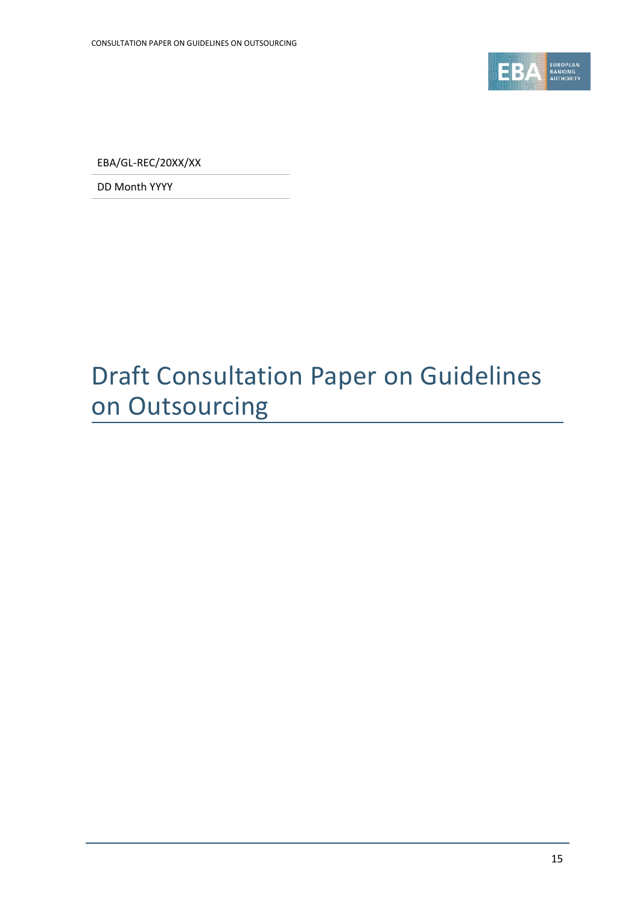

EBA/GL-REC/20XX/XX

DD Month YYYY

# Draft Consultation Paper on Guidelines on Outsourcing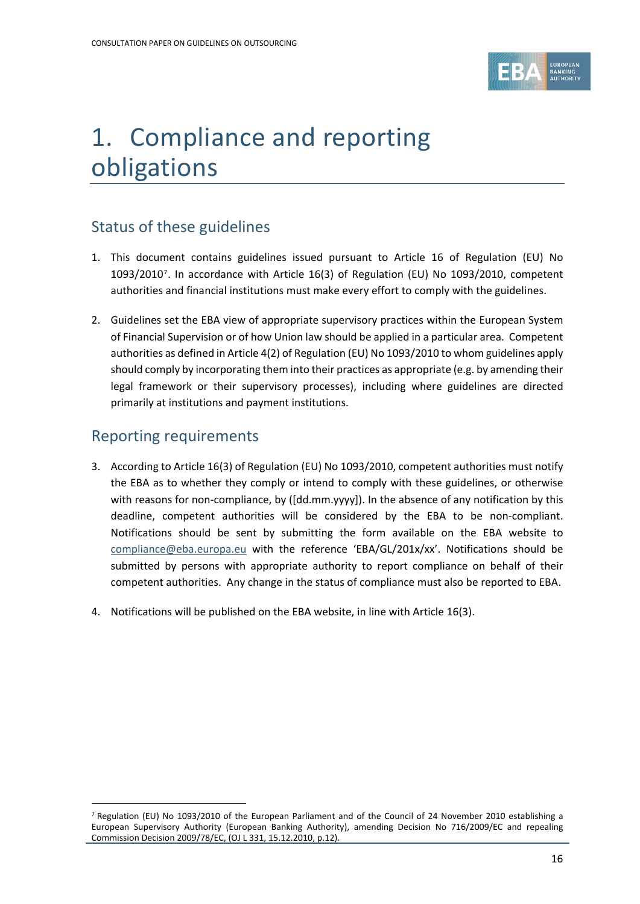

# 1. Compliance and reporting obligations

## Status of these guidelines

- 1. This document contains guidelines issued pursuant to Article 16 of Regulation (EU) No 1093/2010[7](#page-15-0). In accordance with Article 16(3) of Regulation (EU) No 1093/2010, competent authorities and financial institutions must make every effort to comply with the guidelines.
- 2. Guidelines set the EBA view of appropriate supervisory practices within the European System of Financial Supervision or of how Union law should be applied in a particular area. Competent authorities as defined in Article 4(2) of Regulation (EU) No 1093/2010 to whom guidelines apply should comply by incorporating them into their practices as appropriate (e.g. by amending their legal framework or their supervisory processes), including where guidelines are directed primarily at institutions and payment institutions.

### Reporting requirements

- 3. According to Article 16(3) of Regulation (EU) No 1093/2010, competent authorities must notify the EBA as to whether they comply or intend to comply with these guidelines, or otherwise with reasons for non-compliance, by ([dd.mm.yyyy]). In the absence of any notification by this deadline, competent authorities will be considered by the EBA to be non-compliant. Notifications should be sent by submitting the form available on the EBA website to [compliance@eba.europa.eu](mailto:compliance@eba.europa.eu) with the reference 'EBA/GL/201x/xx'. Notifications should be submitted by persons with appropriate authority to report compliance on behalf of their competent authorities. Any change in the status of compliance must also be reported to EBA.
- 4. Notifications will be published on the EBA website, in line with Article 16(3).

<span id="page-15-0"></span><sup>7</sup> Regulation (EU) No 1093/2010 of the European Parliament and of the Council of 24 November 2010 establishing a European Supervisory Authority (European Banking Authority), amending Decision No 716/2009/EC and repealing Commission Decision 2009/78/EC, (OJ L 331, 15.12.2010, p.12).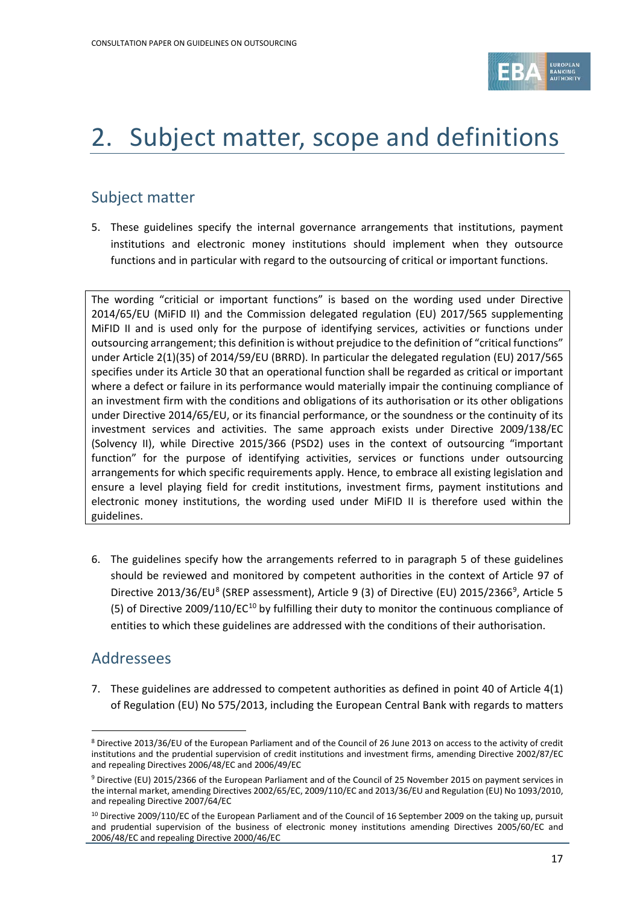

# 2. Subject matter, scope and definitions

### Subject matter

5. These guidelines specify the internal governance arrangements that institutions, payment institutions and electronic money institutions should implement when they outsource functions and in particular with regard to the outsourcing of critical or important functions.

The wording "criticial or important functions" is based on the wording used under Directive 2014/65/EU (MiFID II) and the Commission delegated regulation (EU) 2017/565 supplementing MiFID II and is used only for the purpose of identifying services, activities or functions under outsourcing arrangement; this definition is without prejudice to the definition of "critical functions" under Article 2(1)(35) of 2014/59/EU (BRRD). In particular the delegated regulation (EU) 2017/565 specifies under its Article 30 that an operational function shall be regarded as critical or important where a defect or failure in its performance would materially impair the continuing compliance of an investment firm with the conditions and obligations of its authorisation or its other obligations under Directive 2014/65/EU, or its financial performance, or the soundness or the continuity of its investment services and activities. The same approach exists under Directive 2009/138/EC (Solvency II), while Directive 2015/366 (PSD2) uses in the context of outsourcing "important function" for the purpose of identifying activities, services or functions under outsourcing arrangements for which specific requirements apply. Hence, to embrace all existing legislation and ensure a level playing field for credit institutions, investment firms, payment institutions and electronic money institutions, the wording used under MiFID II is therefore used within the guidelines.

6. The guidelines specify how the arrangements referred to in paragraph 5 of these guidelines should be reviewed and monitored by competent authorities in the context of Article 97 of Directive 2013/36/EU<sup>[8](#page-16-0)</sup> (SREP assessment), Article [9](#page-16-1) (3) of Directive (EU) 2015/2366<sup>9</sup>, Article 5 (5) of Directive 2009/1[10](#page-16-2)/EC<sup>10</sup> by fulfilling their duty to monitor the continuous compliance of entities to which these guidelines are addressed with the conditions of their authorisation.

#### Addressees

 $\overline{a}$ 

7. These guidelines are addressed to competent authorities as defined in point 40 of Article 4(1) of Regulation (EU) No 575/2013, including the European Central Bank with regards to matters

<span id="page-16-0"></span><sup>8</sup> Directive 2013/36/EU of the European Parliament and of the Council of 26 June 2013 on access to the activity of credit institutions and the prudential supervision of credit institutions and investment firms, amending Directive 2002/87/EC and repealing Directives 2006/48/EC and 2006/49/EC

<span id="page-16-1"></span><sup>9</sup> Directive (EU) 2015/2366 of the European Parliament and of the Council of 25 November 2015 on payment services in the internal market, amending Directives 2002/65/EC, 2009/110/EC and 2013/36/EU and Regulation (EU) No 1093/2010, and repealing Directive 2007/64/EC

<span id="page-16-2"></span><sup>&</sup>lt;sup>10</sup> Directive 2009/110/EC of the European Parliament and of the Council of 16 September 2009 on the taking up, pursuit and prudential supervision of the business of electronic money institutions amending Directives 2005/60/EC and 2006/48/EC and repealing Directive 2000/46/EC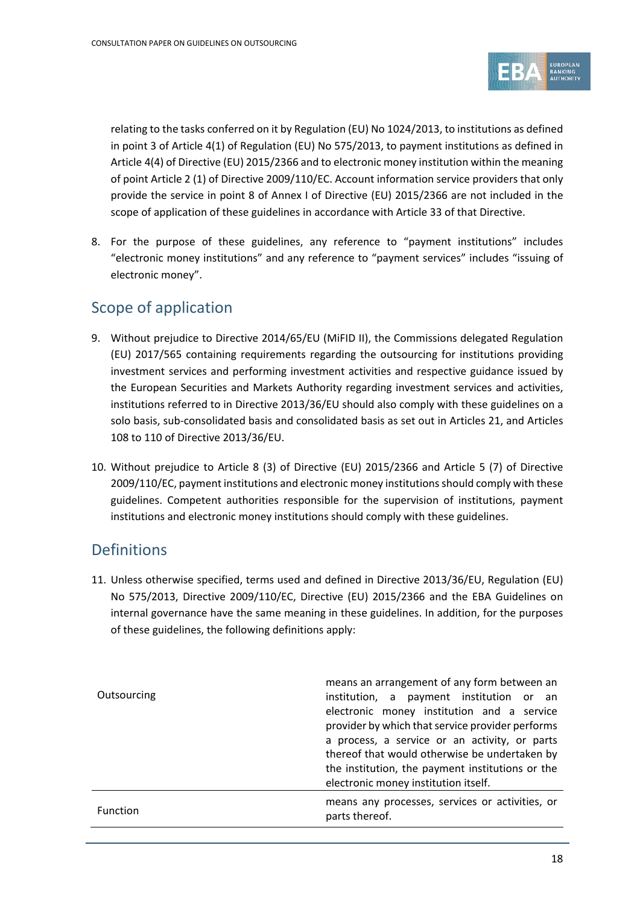

relating to the tasks conferred on it by Regulation (EU) No 1024/2013, to institutions as defined in point 3 of Article 4(1) of Regulation (EU) No 575/2013, to payment institutions as defined in Article 4(4) of Directive (EU) 2015/2366 and to electronic money institution within the meaning of point Article 2 (1) of Directive 2009/110/EC. Account information service providers that only provide the service in point 8 of Annex I of Directive (EU) 2015/2366 are not included in the scope of application of these guidelines in accordance with Article 33 of that Directive.

8. For the purpose of these guidelines, any reference to "payment institutions" includes "electronic money institutions" and any reference to "payment services" includes "issuing of electronic money".

## Scope of application

- 9. Without prejudice to Directive 2014/65/EU (MiFID II), the Commissions delegated Regulation (EU) 2017/565 containing requirements regarding the outsourcing for institutions providing investment services and performing investment activities and respective guidance issued by the European Securities and Markets Authority regarding investment services and activities, institutions referred to in Directive 2013/36/EU should also comply with these guidelines on a solo basis, sub-consolidated basis and consolidated basis as set out in Articles 21, and Articles 108 to 110 of Directive 2013/36/EU.
- 10. Without prejudice to Article 8 (3) of Directive (EU) 2015/2366 and Article 5 (7) of Directive 2009/110/EC, payment institutions and electronic money institutions should comply with these guidelines. Competent authorities responsible for the supervision of institutions, payment institutions and electronic money institutions should comply with these guidelines.

### **Definitions**

11. Unless otherwise specified, terms used and defined in Directive 2013/36/EU, Regulation (EU) No 575/2013, Directive 2009/110/EC, Directive (EU) 2015/2366 and the EBA Guidelines on internal governance have the same meaning in these guidelines. In addition, for the purposes of these guidelines, the following definitions apply:

| Outsourcing     | means an arrangement of any form between an<br>institution, a payment institution or an<br>electronic money institution and a service<br>provider by which that service provider performs<br>a process, a service or an activity, or parts<br>thereof that would otherwise be undertaken by<br>the institution, the payment institutions or the<br>electronic money institution itself. |
|-----------------|-----------------------------------------------------------------------------------------------------------------------------------------------------------------------------------------------------------------------------------------------------------------------------------------------------------------------------------------------------------------------------------------|
| <b>Function</b> | means any processes, services or activities, or<br>parts thereof.                                                                                                                                                                                                                                                                                                                       |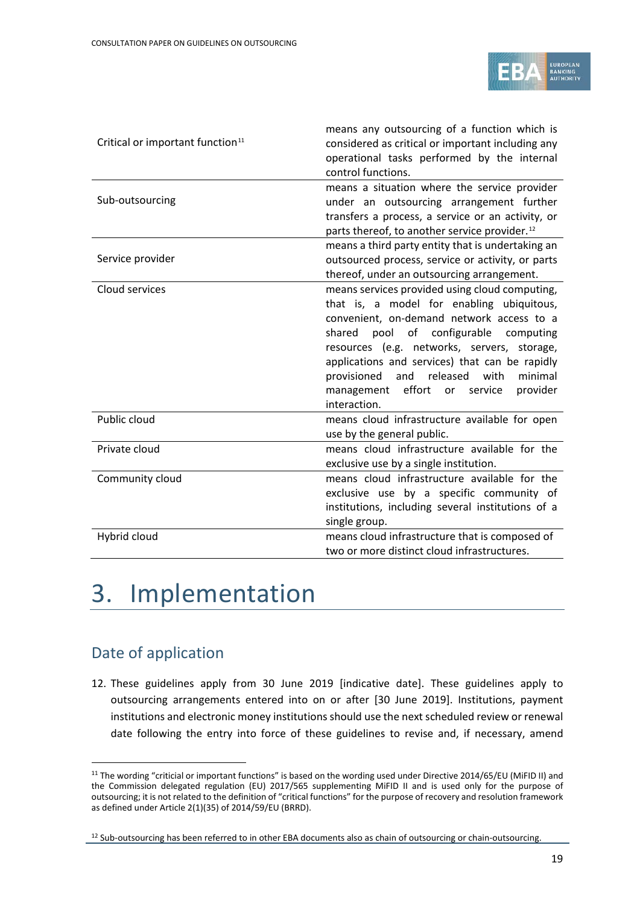

| Critical or important function <sup>11</sup> | means any outsourcing of a function which is<br>considered as critical or important including any<br>operational tasks performed by the internal<br>control functions. |
|----------------------------------------------|------------------------------------------------------------------------------------------------------------------------------------------------------------------------|
|                                              | means a situation where the service provider                                                                                                                           |
| Sub-outsourcing                              | under an outsourcing arrangement further                                                                                                                               |
|                                              | transfers a process, a service or an activity, or                                                                                                                      |
|                                              | parts thereof, to another service provider. <sup>12</sup>                                                                                                              |
|                                              | means a third party entity that is undertaking an                                                                                                                      |
| Service provider                             | outsourced process, service or activity, or parts                                                                                                                      |
|                                              | thereof, under an outsourcing arrangement.                                                                                                                             |
| Cloud services                               | means services provided using cloud computing,                                                                                                                         |
|                                              | that is, a model for enabling ubiquitous,                                                                                                                              |
|                                              | convenient, on-demand network access to a                                                                                                                              |
|                                              | pool of configurable<br>shared<br>computing                                                                                                                            |
|                                              | resources (e.g. networks, servers, storage,                                                                                                                            |
|                                              | applications and services) that can be rapidly                                                                                                                         |
|                                              | provisioned<br>and<br>released<br>with<br>minimal                                                                                                                      |
|                                              | management effort or<br>provider<br>service                                                                                                                            |
|                                              | interaction.                                                                                                                                                           |
| Public cloud                                 | means cloud infrastructure available for open                                                                                                                          |
|                                              | use by the general public.                                                                                                                                             |
| Private cloud                                | means cloud infrastructure available for the                                                                                                                           |
|                                              | exclusive use by a single institution.                                                                                                                                 |
| Community cloud                              | means cloud infrastructure available for the                                                                                                                           |
|                                              | exclusive use by a specific community of                                                                                                                               |
|                                              | institutions, including several institutions of a                                                                                                                      |
|                                              | single group.                                                                                                                                                          |
| Hybrid cloud                                 | means cloud infrastructure that is composed of                                                                                                                         |
|                                              | two or more distinct cloud infrastructures.                                                                                                                            |

# 3. Implementation

## Date of application

 $\overline{a}$ 

12. These guidelines apply from 30 June 2019 [indicative date]. These guidelines apply to outsourcing arrangements entered into on or after [30 June 2019]. Institutions, payment institutions and electronic money institutions should use the next scheduled review or renewal date following the entry into force of these guidelines to revise and, if necessary, amend

<span id="page-18-0"></span><sup>&</sup>lt;sup>11</sup> The wording "criticial or important functions" is based on the wording used under Directive 2014/65/EU (MiFID II) and the Commission delegated regulation (EU) 2017/565 supplementing MiFID II and is used only for the purpose of outsourcing; it is not related to the definition of "critical functions" for the purpose of recovery and resolution framework as defined under Article 2(1)(35) of 2014/59/EU (BRRD).

<span id="page-18-1"></span><sup>&</sup>lt;sup>12</sup> Sub-outsourcing has been referred to in other EBA documents also as chain of outsourcing or chain-outsourcing.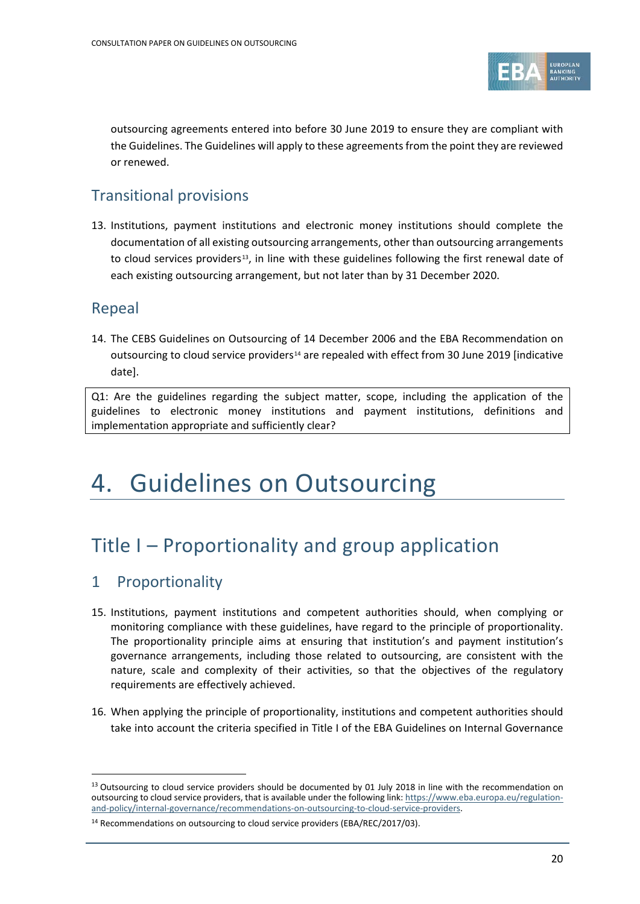

outsourcing agreements entered into before 30 June 2019 to ensure they are compliant with the Guidelines. The Guidelines will apply to these agreements from the point they are reviewed or renewed.

### Transitional provisions

13. Institutions, payment institutions and electronic money institutions should complete the documentation of all existing outsourcing arrangements, other than outsourcing arrangements to cloud services providers<sup>[13](#page-19-0)</sup>, in line with these guidelines following the first renewal date of each existing outsourcing arrangement, but not later than by 31 December 2020.

### Repeal

14. The CEBS Guidelines on Outsourcing of 14 December 2006 and the EBA Recommendation on outsourcing to cloud service providers<sup>[14](#page-19-1)</sup> are repealed with effect from 30 June 2019 [indicative date].

Q1: Are the guidelines regarding the subject matter, scope, including the application of the guidelines to electronic money institutions and payment institutions, definitions and implementation appropriate and sufficiently clear?

# 4. Guidelines on Outsourcing

## Title I – Proportionality and group application

### 1 Proportionality

- 15. Institutions, payment institutions and competent authorities should, when complying or monitoring compliance with these guidelines, have regard to the principle of proportionality. The proportionality principle aims at ensuring that institution's and payment institution's governance arrangements, including those related to outsourcing, are consistent with the nature, scale and complexity of their activities, so that the objectives of the regulatory requirements are effectively achieved.
- 16. When applying the principle of proportionality, institutions and competent authorities should take into account the criteria specified in Title I of the EBA Guidelines on Internal Governance

<span id="page-19-0"></span><sup>&</sup>lt;sup>13</sup> Outsourcing to cloud service providers should be documented by 01 July 2018 in line with the recommendation on outsourcing to cloud service providers, that is available under the following link[: https://www.eba.europa.eu/regulation](https://www.eba.europa.eu/regulation-and-policy/internal-governance/recommendations-on-outsourcing-to-cloud-service-providers)[and-policy/internal-governance/recommendations-on-outsourcing-to-cloud-service-providers.](https://www.eba.europa.eu/regulation-and-policy/internal-governance/recommendations-on-outsourcing-to-cloud-service-providers)

<span id="page-19-1"></span><sup>&</sup>lt;sup>14</sup> Recommendations on outsourcing to cloud service providers (EBA/REC/2017/03).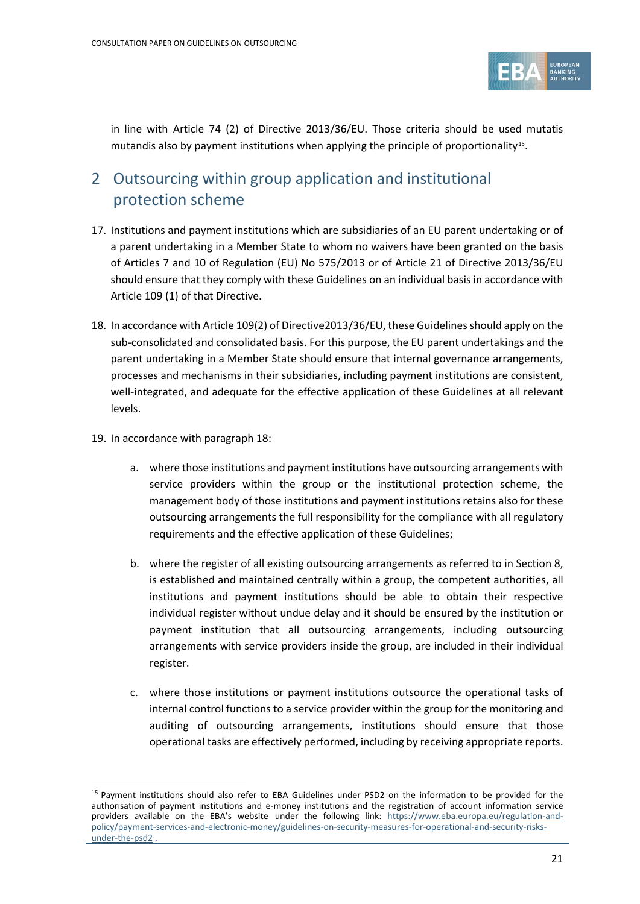

in line with Article 74 (2) of Directive 2013/36/EU. Those criteria should be used mutatis mutandis also by payment institutions when applying the principle of proportionality<sup>[15](#page-20-0)</sup>.

## 2 Outsourcing within group application and institutional protection scheme

- 17. Institutions and payment institutions which are subsidiaries of an EU parent undertaking or of a parent undertaking in a Member State to whom no waivers have been granted on the basis of Articles 7 and 10 of Regulation (EU) No 575/2013 or of Article 21 of Directive 2013/36/EU should ensure that they comply with these Guidelines on an individual basis in accordance with Article 109 (1) of that Directive.
- 18. In accordance with Article 109(2) of Directive2013/36/EU, these Guidelines should apply on the sub-consolidated and consolidated basis. For this purpose, the EU parent undertakings and the parent undertaking in a Member State should ensure that internal governance arrangements, processes and mechanisms in their subsidiaries, including payment institutions are consistent, well-integrated, and adequate for the effective application of these Guidelines at all relevant levels.
- 19. In accordance with paragraph 18:

- a. where those institutions and payment institutions have outsourcing arrangements with service providers within the group or the institutional protection scheme, the management body of those institutions and payment institutions retains also for these outsourcing arrangements the full responsibility for the compliance with all regulatory requirements and the effective application of these Guidelines;
- b. where the register of all existing outsourcing arrangements as referred to in Section 8, is established and maintained centrally within a group, the competent authorities, all institutions and payment institutions should be able to obtain their respective individual register without undue delay and it should be ensured by the institution or payment institution that all outsourcing arrangements, including outsourcing arrangements with service providers inside the group, are included in their individual register.
- c. where those institutions or payment institutions outsource the operational tasks of internal control functions to a service provider within the group for the monitoring and auditing of outsourcing arrangements, institutions should ensure that those operational tasks are effectively performed, including by receiving appropriate reports.

<span id="page-20-0"></span><sup>15</sup> Payment institutions should also refer to EBA Guidelines under PSD2 on the information to be provided for the authorisation of payment institutions and e-money institutions and the registration of account information service providers available on the EBA's website under the following link: [https://www.eba.europa.eu/regulation-and](https://www.eba.europa.eu/regulation-and-policy/payment-services-and-electronic-money/guidelines-on-security-measures-for-operational-and-security-risks-under-the-psd2)[policy/payment-services-and-electronic-money/guidelines-on-security-measures-for-operational-and-security-risks](https://www.eba.europa.eu/regulation-and-policy/payment-services-and-electronic-money/guidelines-on-security-measures-for-operational-and-security-risks-under-the-psd2)[under-the-psd2](https://www.eba.europa.eu/regulation-and-policy/payment-services-and-electronic-money/guidelines-on-security-measures-for-operational-and-security-risks-under-the-psd2)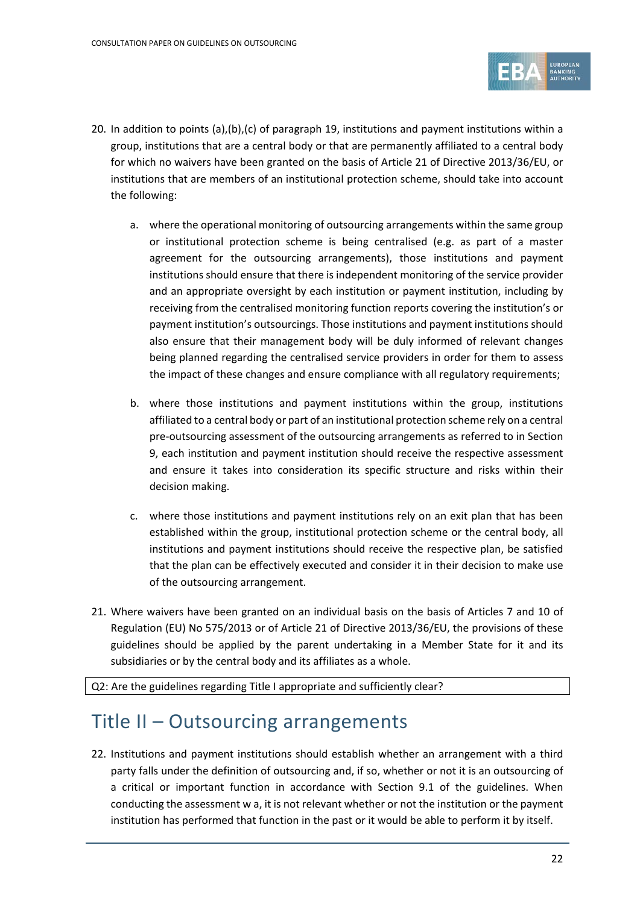

- 20. In addition to points (a),(b),(c) of paragraph 19, institutions and payment institutions within a group, institutions that are a central body or that are permanently affiliated to a central body for which no waivers have been granted on the basis of Article 21 of Directive 2013/36/EU, or institutions that are members of an institutional protection scheme, should take into account the following:
	- a. where the operational monitoring of outsourcing arrangements within the same group or institutional protection scheme is being centralised (e.g. as part of a master agreement for the outsourcing arrangements), those institutions and payment institutions should ensure that there is independent monitoring of the service provider and an appropriate oversight by each institution or payment institution, including by receiving from the centralised monitoring function reports covering the institution's or payment institution's outsourcings. Those institutions and payment institutions should also ensure that their management body will be duly informed of relevant changes being planned regarding the centralised service providers in order for them to assess the impact of these changes and ensure compliance with all regulatory requirements;
	- b. where those institutions and payment institutions within the group, institutions affiliated to a central body or part of an institutional protection scheme rely on a central pre-outsourcing assessment of the outsourcing arrangements as referred to in Section 9, each institution and payment institution should receive the respective assessment and ensure it takes into consideration its specific structure and risks within their decision making.
	- c. where those institutions and payment institutions rely on an exit plan that has been established within the group, institutional protection scheme or the central body, all institutions and payment institutions should receive the respective plan, be satisfied that the plan can be effectively executed and consider it in their decision to make use of the outsourcing arrangement.
- 21. Where waivers have been granted on an individual basis on the basis of Articles 7 and 10 of Regulation (EU) No 575/2013 or of Article 21 of Directive 2013/36/EU, the provisions of these guidelines should be applied by the parent undertaking in a Member State for it and its subsidiaries or by the central body and its affiliates as a whole.

Q2: Are the guidelines regarding Title I appropriate and sufficiently clear?

## Title II – Outsourcing arrangements

22. Institutions and payment institutions should establish whether an arrangement with a third party falls under the definition of outsourcing and, if so, whether or not it is an outsourcing of a critical or important function in accordance with Section 9.1 of the guidelines. When conducting the assessment w a, it is not relevant whether or not the institution or the payment institution has performed that function in the past or it would be able to perform it by itself.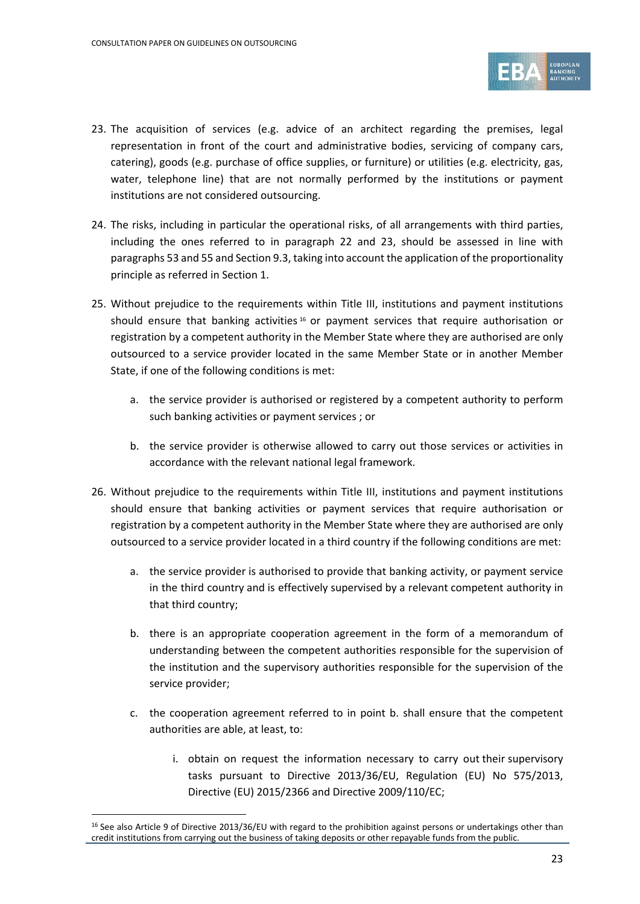

- 23. The acquisition of services (e.g. advice of an architect regarding the premises, legal representation in front of the court and administrative bodies, servicing of company cars, catering), goods (e.g. purchase of office supplies, or furniture) or utilities (e.g. electricity, gas, water, telephone line) that are not normally performed by the institutions or payment institutions are not considered outsourcing.
- 24. The risks, including in particular the operational risks, of all arrangements with third parties, including the ones referred to in paragraph 22 and 23, should be assessed in line with paragraphs 53 and 55 and Section 9.3, taking into account the application of the proportionality principle as referred in Section 1.
- 25. Without prejudice to the requirements within Title III, institutions and payment institutions should ensure that banking activities  $16$  or payment services that require authorisation or registration by a competent authority in the Member State where they are authorised are only outsourced to a service provider located in the same Member State or in another Member State, if one of the following conditions is met:
	- a. the service provider is authorised or registered by a competent authority to perform such banking activities or payment services ; or
	- b. the service provider is otherwise allowed to carry out those services or activities in accordance with the relevant national legal framework.
- 26. Without prejudice to the requirements within Title III, institutions and payment institutions should ensure that banking activities or payment services that require authorisation or registration by a competent authority in the Member State where they are authorised are only outsourced to a service provider located in a third country if the following conditions are met:
	- a. the service provider is authorised to provide that banking activity, or payment service in the third country and is effectively supervised by a relevant competent authority in that third country;
	- b. there is an appropriate cooperation agreement in the form of a memorandum of understanding between the competent authorities responsible for the supervision of the institution and the supervisory authorities responsible for the supervision of the service provider;
	- c. the cooperation agreement referred to in point b. shall ensure that the competent authorities are able, at least, to:
		- i. obtain on request the information necessary to carry out their supervisory tasks pursuant to Directive 2013/36/EU, Regulation (EU) No 575/2013, Directive (EU) 2015/2366 and Directive 2009/110/EC;

<span id="page-22-0"></span> $16$  See also Article 9 of Directive 2013/36/EU with regard to the prohibition against persons or undertakings other than credit institutions from carrying out the business of taking deposits or other repayable funds from the public.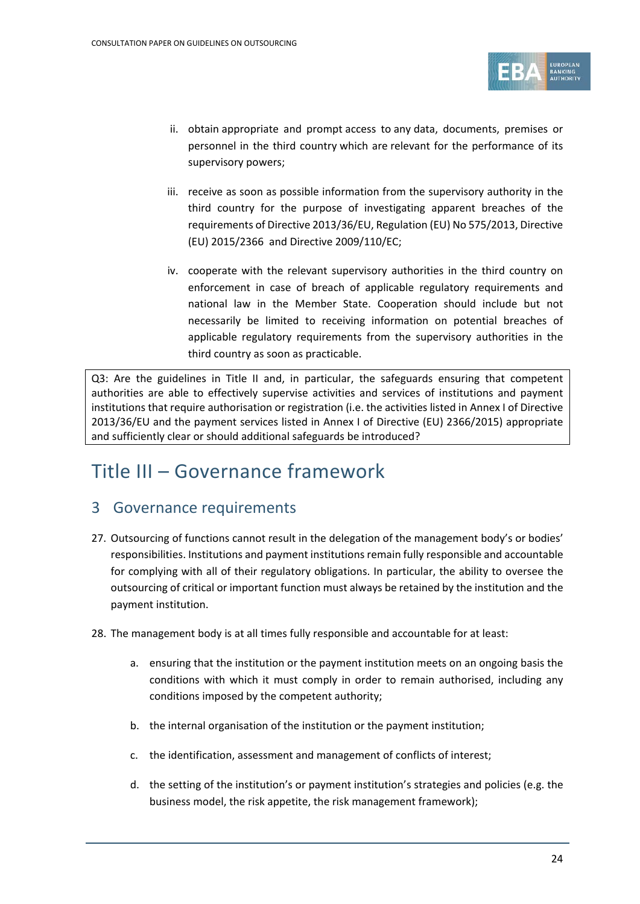

- ii. obtain appropriate and prompt access to any data, documents, premises or personnel in the third country which are relevant for the performance of its supervisory powers;
- iii. receive as soon as possible information from the supervisory authority in the third country for the purpose of investigating apparent breaches of the requirements of Directive 2013/36/EU, Regulation (EU) No 575/2013, Directive (EU) 2015/2366 and Directive 2009/110/EC;
- iv. cooperate with the relevant supervisory authorities in the third country on enforcement in case of breach of applicable regulatory requirements and national law in the Member State. Cooperation should include but not necessarily be limited to receiving information on potential breaches of applicable regulatory requirements from the supervisory authorities in the third country as soon as practicable.

Q3: Are the guidelines in Title II and, in particular, the safeguards ensuring that competent authorities are able to effectively supervise activities and services of institutions and payment institutions that require authorisation or registration (i.e. the activities listed in Annex I of Directive 2013/36/EU and the payment services listed in Annex I of Directive (EU) 2366/2015) appropriate and sufficiently clear or should additional safeguards be introduced?

## Title III – Governance framework

### 3 Governance requirements

- 27. Outsourcing of functions cannot result in the delegation of the management body's or bodies' responsibilities. Institutions and payment institutions remain fully responsible and accountable for complying with all of their regulatory obligations. In particular, the ability to oversee the outsourcing of critical or important function must always be retained by the institution and the payment institution.
- 28. The management body is at all times fully responsible and accountable for at least:
	- a. ensuring that the institution or the payment institution meets on an ongoing basis the conditions with which it must comply in order to remain authorised, including any conditions imposed by the competent authority;
	- b. the internal organisation of the institution or the payment institution;
	- c. the identification, assessment and management of conflicts of interest;
	- d. the setting of the institution's or payment institution's strategies and policies (e.g. the business model, the risk appetite, the risk management framework);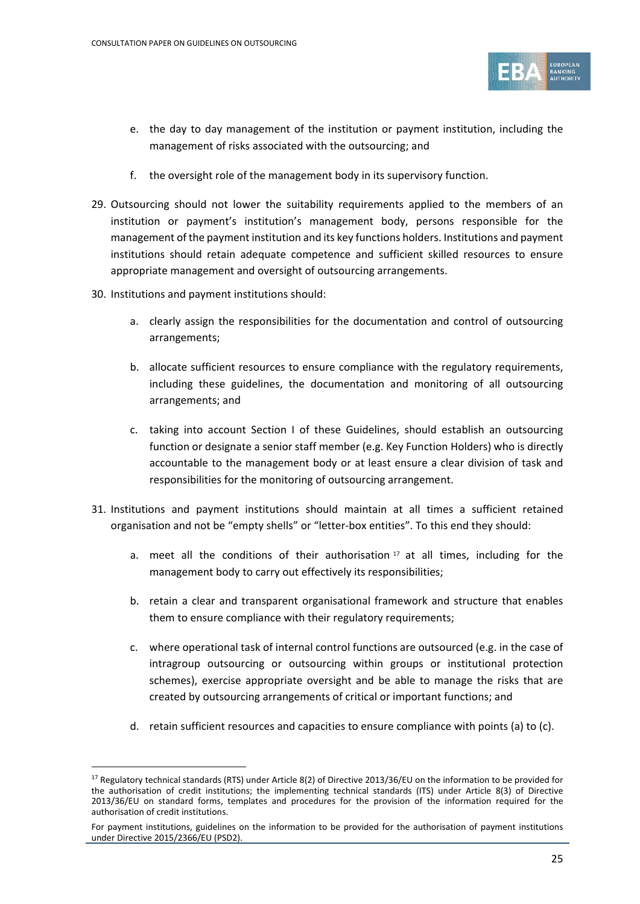

- e. the day to day management of the institution or payment institution, including the management of risks associated with the outsourcing; and
- f. the oversight role of the management body in its supervisory function.
- 29. Outsourcing should not lower the suitability requirements applied to the members of an institution or payment's institution's management body, persons responsible for the management of the payment institution and its key functions holders. Institutions and payment institutions should retain adequate competence and sufficient skilled resources to ensure appropriate management and oversight of outsourcing arrangements.
- 30. Institutions and payment institutions should:

j

- a. clearly assign the responsibilities for the documentation and control of outsourcing arrangements;
- b. allocate sufficient resources to ensure compliance with the regulatory requirements, including these guidelines, the documentation and monitoring of all outsourcing arrangements; and
- c. taking into account Section I of these Guidelines, should establish an outsourcing function or designate a senior staff member (e.g. Key Function Holders) who is directly accountable to the management body or at least ensure a clear division of task and responsibilities for the monitoring of outsourcing arrangement.
- 31. Institutions and payment institutions should maintain at all times a sufficient retained organisation and not be "empty shells" or "letter-box entities". To this end they should:
	- a. meet all the conditions of their authorisation  $17$  at all times, including for the management body to carry out effectively its responsibilities;
	- b. retain a clear and transparent organisational framework and structure that enables them to ensure compliance with their regulatory requirements;
	- c. where operational task of internal control functions are outsourced (e.g. in the case of intragroup outsourcing or outsourcing within groups or institutional protection schemes), exercise appropriate oversight and be able to manage the risks that are created by outsourcing arrangements of critical or important functions; and
	- d. retain sufficient resources and capacities to ensure compliance with points (a) to (c).

<span id="page-24-0"></span><sup>&</sup>lt;sup>17</sup> Regulatory technical standards (RTS) under Article 8(2) of Directive 2013/36/EU on the information to be provided for the authorisation of credit institutions; the implementing technical standards (ITS) under Article 8(3) of Directive 2013/36/EU on standard forms, templates and procedures for the provision of the information required for the authorisation of credit institutions.

For payment institutions, guidelines on the information to be provided for the authorisation of payment institutions under Directive 2015/2366/EU (PSD2).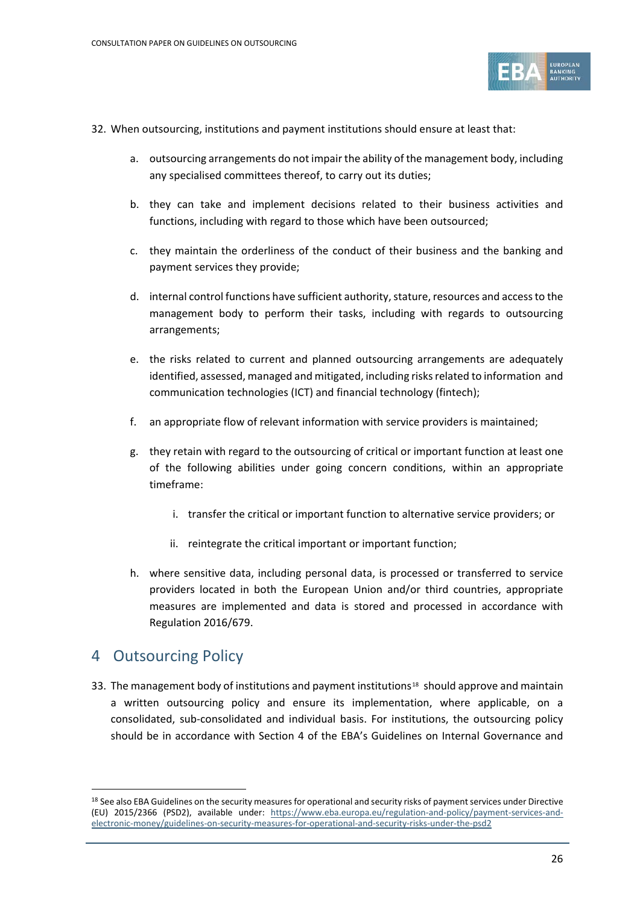

- 32. When outsourcing, institutions and payment institutions should ensure at least that:
	- a. outsourcing arrangements do not impair the ability of the management body, including any specialised committees thereof, to carry out its duties;
	- b. they can take and implement decisions related to their business activities and functions, including with regard to those which have been outsourced;
	- c. they maintain the orderliness of the conduct of their business and the banking and payment services they provide;
	- d. internal control functions have sufficient authority, stature, resources and access to the management body to perform their tasks, including with regards to outsourcing arrangements;
	- e. the risks related to current and planned outsourcing arrangements are adequately identified, assessed, managed and mitigated, including risks related to information and communication technologies (ICT) and financial technology (fintech);
	- f. an appropriate flow of relevant information with service providers is maintained;
	- g. they retain with regard to the outsourcing of critical or important function at least one of the following abilities under going concern conditions, within an appropriate timeframe:
		- i. transfer the critical or important function to alternative service providers; or
		- ii. reintegrate the critical important or important function;
	- h. where sensitive data, including personal data, is processed or transferred to service providers located in both the European Union and/or third countries, appropriate measures are implemented and data is stored and processed in accordance with Regulation 2016/679.

#### 4 Outsourcing Policy

j

33. The management body of institutions and payment institutions<sup>[18](#page-25-0)</sup> should approve and maintain a written outsourcing policy and ensure its implementation, where applicable, on a consolidated, sub-consolidated and individual basis. For institutions, the outsourcing policy should be in accordance with Section 4 of the EBA's Guidelines on Internal Governance and

<span id="page-25-0"></span><sup>&</sup>lt;sup>18</sup> See also EBA Guidelines on the security measures for operational and security risks of payment services under Directive (EU) 2015/2366 (PSD2), available under: [https://www.eba.europa.eu/regulation-and-policy/payment-services-and](https://www.eba.europa.eu/regulation-and-policy/payment-services-and-electronic-money/guidelines-on-security-measures-for-operational-and-security-risks-under-the-psd2)[electronic-money/guidelines-on-security-measures-for-operational-and-security-risks-under-the-psd2](https://www.eba.europa.eu/regulation-and-policy/payment-services-and-electronic-money/guidelines-on-security-measures-for-operational-and-security-risks-under-the-psd2)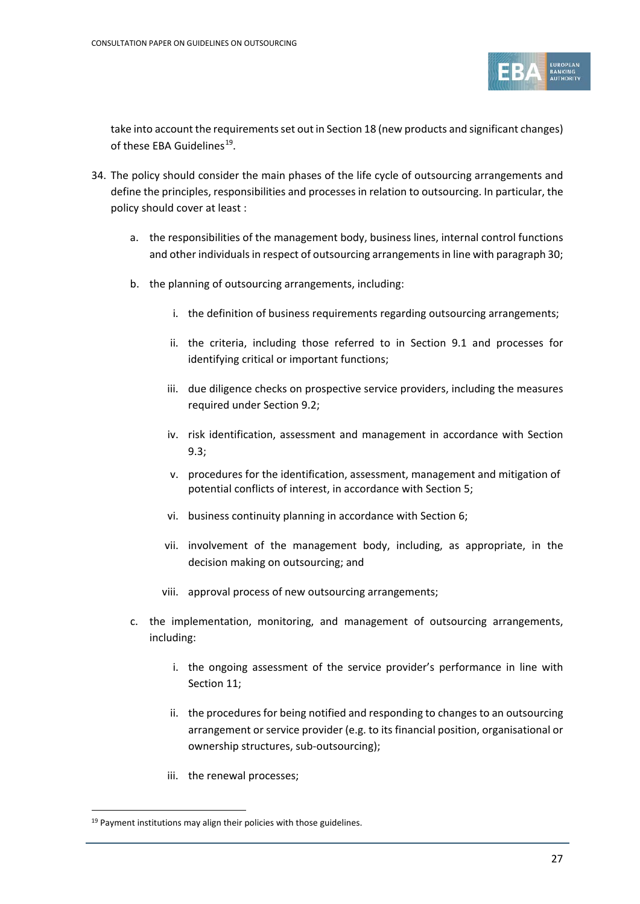

take into account the requirements set out in Section 18 (new products and significant changes) of these EBA Guidelines<sup>19</sup>.

- 34. The policy should consider the main phases of the life cycle of outsourcing arrangements and define the principles, responsibilities and processes in relation to outsourcing. In particular, the policy should cover at least :
	- a. the responsibilities of the management body, business lines, internal control functions and other individuals in respect of outsourcing arrangements in line with paragraph 30;
	- b. the planning of outsourcing arrangements, including:
		- i. the definition of business requirements regarding outsourcing arrangements;
		- ii. the criteria, including those referred to in Section 9.1 and processes for identifying critical or important functions;
		- iii. due diligence checks on prospective service providers, including the measures required under Section 9.2;
		- iv. risk identification, assessment and management in accordance with Section 9.3;
		- v. procedures for the identification, assessment, management and mitigation of potential conflicts of interest, in accordance with Section 5;
		- vi. business continuity planning in accordance with Section 6;
		- vii. involvement of the management body, including, as appropriate, in the decision making on outsourcing; and
		- viii. approval process of new outsourcing arrangements;
	- c. the implementation, monitoring, and management of outsourcing arrangements, including:
		- i. the ongoing assessment of the service provider's performance in line with Section 11;
		- ii. the procedures for being notified and responding to changes to an outsourcing arrangement or service provider (e.g. to its financial position, organisational or ownership structures, sub-outsourcing);
		- iii. the renewal processes;

<span id="page-26-0"></span> $19$  Payment institutions may align their policies with those guidelines.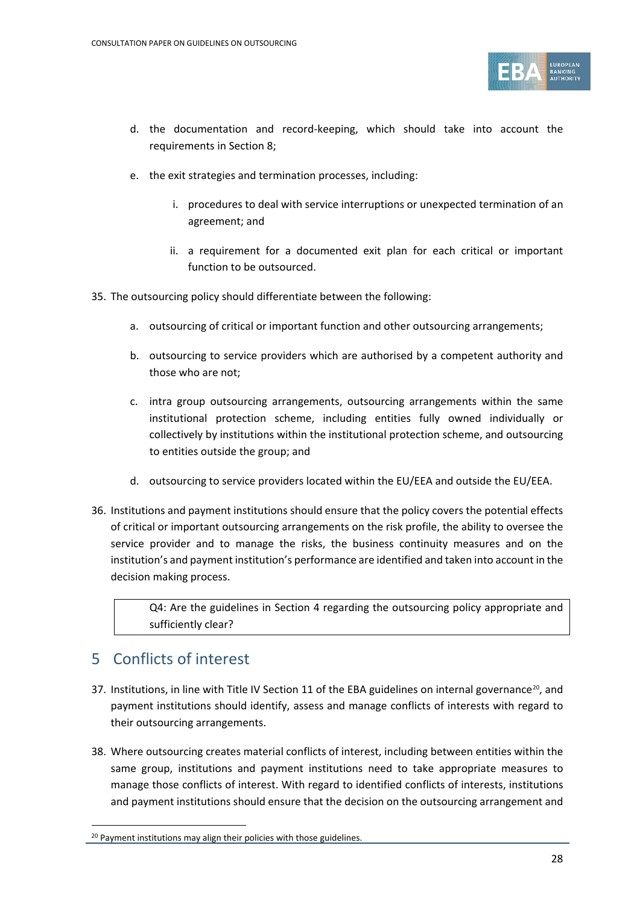

- d. the documentation and record-keeping, which should take into account the requirements in Section 8;
- e. the exit strategies and termination processes, including:
	- i. procedures to deal with service interruptions or unexpected termination of an agreement; and
	- ii. a requirement for a documented exit plan for each critical or important function to be outsourced.
- 35. The outsourcing policy should differentiate between the following:
	- a. outsourcing of critical or important function and other outsourcing arrangements;
	- b. outsourcing to service providers which are authorised by a competent authority and those who are not;
	- c. intra group outsourcing arrangements, outsourcing arrangements within the same institutional protection scheme, including entities fully owned individually or collectively by institutions within the institutional protection scheme, and outsourcing to entities outside the group; and
	- d. outsourcing to service providers located within the EU/EEA and outside the EU/EEA.
- 36. Institutions and payment institutions should ensure that the policy covers the potential effects of critical or important outsourcing arrangements on the risk profile, the ability to oversee the service provider and to manage the risks, the business continuity measures and on the institution's and payment institution's performance are identified and taken into account in the decision making process.

Q4: Are the guidelines in Section 4 regarding the outsourcing policy appropriate and sufficiently clear?

## 5 Conflicts of interest

- 37. Institutions, in line with Title IV Section 11 of the EBA guidelines on internal governance<sup>20</sup>, and payment institutions should identify, assess and manage conflicts of interests with regard to their outsourcing arrangements.
- 38. Where outsourcing creates material conflicts of interest, including between entities within the same group, institutions and payment institutions need to take appropriate measures to manage those conflicts of interest. With regard to identified conflicts of interests, institutions and payment institutions should ensure that the decision on the outsourcing arrangement and

<span id="page-27-0"></span><sup>&</sup>lt;sup>20</sup> Payment institutions may align their policies with those guidelines.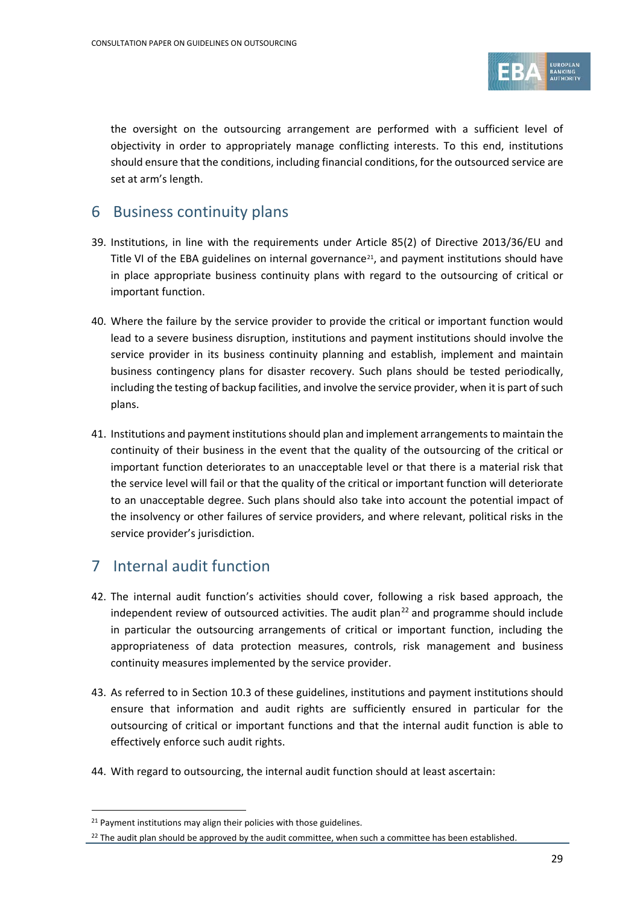

the oversight on the outsourcing arrangement are performed with a sufficient level of objectivity in order to appropriately manage conflicting interests. To this end, institutions should ensure that the conditions, including financial conditions, for the outsourced service are set at arm's length.

#### 6 Business continuity plans

- 39. Institutions, in line with the requirements under Article 85(2) of Directive 2013/36/EU and Title VI of the EBA guidelines on internal governance<sup>21</sup>, and payment institutions should have in place appropriate business continuity plans with regard to the outsourcing of critical or important function.
- 40. Where the failure by the service provider to provide the critical or important function would lead to a severe business disruption, institutions and payment institutions should involve the service provider in its business continuity planning and establish, implement and maintain business contingency plans for disaster recovery. Such plans should be tested periodically, including the testing of backup facilities, and involve the service provider, when it is part of such plans.
- 41. Institutions and payment institutionsshould plan and implement arrangements to maintain the continuity of their business in the event that the quality of the outsourcing of the critical or important function deteriorates to an unacceptable level or that there is a material risk that the service level will fail or that the quality of the critical or important function will deteriorate to an unacceptable degree. Such plans should also take into account the potential impact of the insolvency or other failures of service providers, and where relevant, political risks in the service provider's jurisdiction.

### 7 Internal audit function

- 42. The internal audit function's activities should cover, following a risk based approach, the independent review of outsourced activities. The audit plan<sup>[22](#page-28-1)</sup> and programme should include in particular the outsourcing arrangements of critical or important function, including the appropriateness of data protection measures, controls, risk management and business continuity measures implemented by the service provider.
- 43. As referred to in Section 10.3 of these guidelines, institutions and payment institutions should ensure that information and audit rights are sufficiently ensured in particular for the outsourcing of critical or important functions and that the internal audit function is able to effectively enforce such audit rights.
- 44. With regard to outsourcing, the internal audit function should at least ascertain:

<span id="page-28-0"></span><sup>&</sup>lt;sup>21</sup> Payment institutions may align their policies with those guidelines.

<span id="page-28-1"></span><sup>&</sup>lt;sup>22</sup> The audit plan should be approved by the audit committee, when such a committee has been established.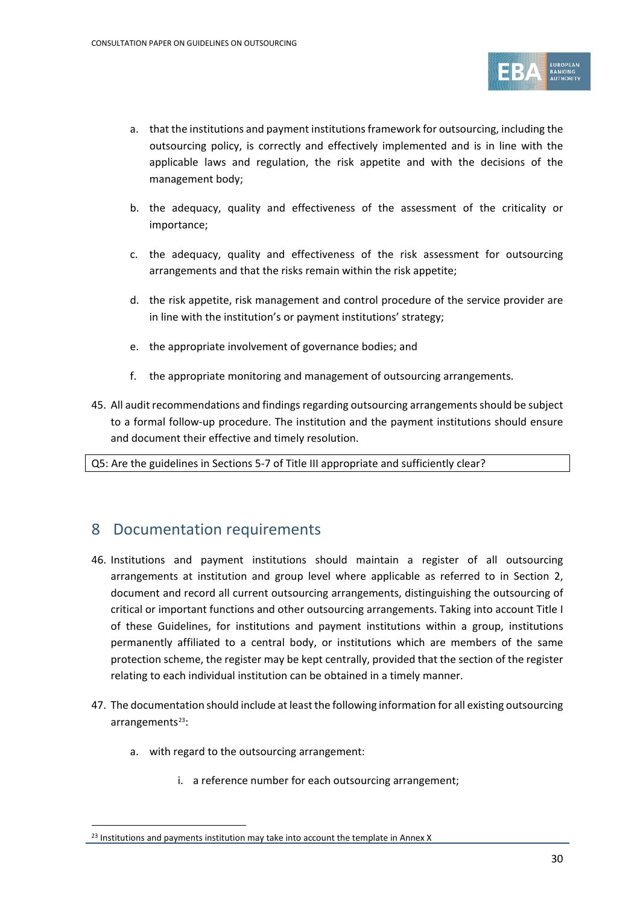

- a. that the institutions and payment institutionsframework for outsourcing, including the outsourcing policy, is correctly and effectively implemented and is in line with the applicable laws and regulation, the risk appetite and with the decisions of the management body;
- b. the adequacy, quality and effectiveness of the assessment of the criticality or importance;
- c. the adequacy, quality and effectiveness of the risk assessment for outsourcing arrangements and that the risks remain within the risk appetite;
- d. the risk appetite, risk management and control procedure of the service provider are in line with the institution's or payment institutions' strategy;
- e. the appropriate involvement of governance bodies; and
- f. the appropriate monitoring and management of outsourcing arrangements.
- 45. All audit recommendations and findings regarding outsourcing arrangements should be subject to a formal follow-up procedure. The institution and the payment institutions should ensure and document their effective and timely resolution.

Q5: Are the guidelines in Sections 5-7 of Title III appropriate and sufficiently clear?

#### 8 Documentation requirements

- 46. Institutions and payment institutions should maintain a register of all outsourcing arrangements at institution and group level where applicable as referred to in Section 2, document and record all current outsourcing arrangements, distinguishing the outsourcing of critical or important functions and other outsourcing arrangements. Taking into account Title I of these Guidelines, for institutions and payment institutions within a group, institutions permanently affiliated to a central body, or institutions which are members of the same protection scheme, the register may be kept centrally, provided that the section of the register relating to each individual institution can be obtained in a timely manner.
- 47. The documentation should include at least the following information for all existing outsourcing arrangements<sup>[23](#page-29-0)</sup>:
	- a. with regard to the outsourcing arrangement:

 $\overline{a}$ 

i. a reference number for each outsourcing arrangement;

<span id="page-29-0"></span><sup>&</sup>lt;sup>23</sup> Institutions and payments institution may take into account the template in Annex X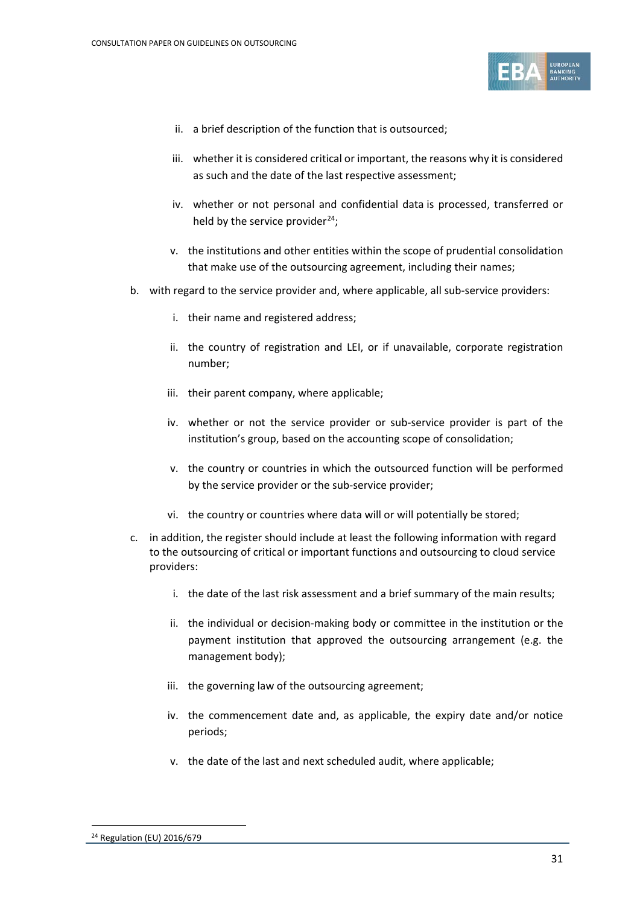

- ii. a brief description of the function that is outsourced;
- iii. whether it is considered critical or important, the reasons why it is considered as such and the date of the last respective assessment;
- iv. whether or not personal and confidential data is processed, transferred or held by the service provider $^{24}$ ;
- v. the institutions and other entities within the scope of prudential consolidation that make use of the outsourcing agreement, including their names;
- b. with regard to the service provider and, where applicable, all sub-service providers:
	- i. their name and registered address;
	- ii. the country of registration and LEI, or if unavailable, corporate registration number;
	- iii. their parent company, where applicable;
	- iv. whether or not the service provider or sub-service provider is part of the institution's group, based on the accounting scope of consolidation;
	- v. the country or countries in which the outsourced function will be performed by the service provider or the sub-service provider;
	- vi. the country or countries where data will or will potentially be stored;
- c. in addition, the register should include at least the following information with regard to the outsourcing of critical or important functions and outsourcing to cloud service providers:
	- i. the date of the last risk assessment and a brief summary of the main results;
	- ii. the individual or decision-making body or committee in the institution or the payment institution that approved the outsourcing arrangement (e.g. the management body);
	- iii. the governing law of the outsourcing agreement;
	- iv. the commencement date and, as applicable, the expiry date and/or notice periods;
	- v. the date of the last and next scheduled audit, where applicable;

<span id="page-30-0"></span><sup>24</sup> Regulation (EU) 2016/679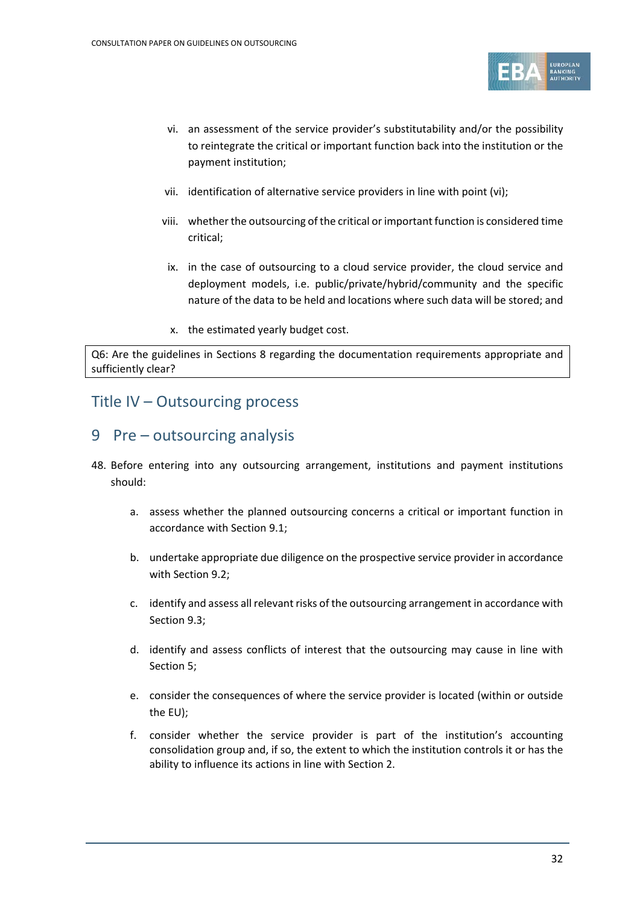

- vi. an assessment of the service provider's substitutability and/or the possibility to reintegrate the critical or important function back into the institution or the payment institution;
- vii. identification of alternative service providers in line with point (vi);
- viii. whether the outsourcing of the critical or important function is considered time critical;
- ix. in the case of outsourcing to a cloud service provider, the cloud service and deployment models, i.e. public/private/hybrid/community and the specific nature of the data to be held and locations where such data will be stored; and
- x. the estimated yearly budget cost.

Q6: Are the guidelines in Sections 8 regarding the documentation requirements appropriate and sufficiently clear?

#### Title IV – Outsourcing process

#### 9 Pre – outsourcing analysis

- 48. Before entering into any outsourcing arrangement, institutions and payment institutions should:
	- a. assess whether the planned outsourcing concerns a critical or important function in accordance with Section 9.1;
	- b. undertake appropriate due diligence on the prospective service provider in accordance with Section 9.2;
	- c. identify and assess all relevant risks of the outsourcing arrangement in accordance with Section 9.3;
	- d. identify and assess conflicts of interest that the outsourcing may cause in line with Section 5;
	- e. consider the consequences of where the service provider is located (within or outside the EU);
	- f. consider whether the service provider is part of the institution's accounting consolidation group and, if so, the extent to which the institution controls it or has the ability to influence its actions in line with Section 2.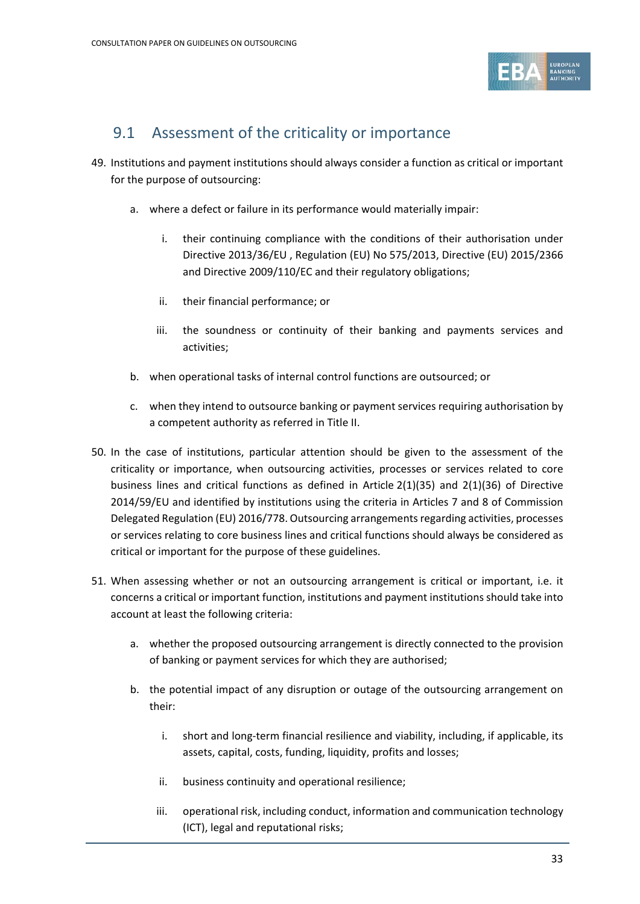

## 9.1 Assessment of the criticality or importance

- 49. Institutions and payment institutions should always consider a function as critical or important for the purpose of outsourcing:
	- a. where a defect or failure in its performance would materially impair:
		- i. their continuing compliance with the conditions of their authorisation under Directive 2013/36/EU , Regulation (EU) No 575/2013, Directive (EU) 2015/2366 and Directive 2009/110/EC and their regulatory obligations;
		- ii. their financial performance; or
		- iii. the soundness or continuity of their banking and payments services and activities;
	- b. when operational tasks of internal control functions are outsourced; or
	- c. when they intend to outsource banking or payment services requiring authorisation by a competent authority as referred in Title II.
- 50. In the case of institutions, particular attention should be given to the assessment of the criticality or importance, when outsourcing activities, processes or services related to core business lines and critical functions as defined in Article 2(1)(35) and 2(1)(36) of Directive 2014/59/EU and identified by institutions using the criteria in Articles 7 and 8 of Commission Delegated Regulation (EU) 2016/778. Outsourcing arrangements regarding activities, processes or services relating to core business lines and critical functions should always be considered as critical or important for the purpose of these guidelines.
- 51. When assessing whether or not an outsourcing arrangement is critical or important, i.e. it concerns a critical or important function, institutions and payment institutions should take into account at least the following criteria:
	- a. whether the proposed outsourcing arrangement is directly connected to the provision of banking or payment services for which they are authorised;
	- b. the potential impact of any disruption or outage of the outsourcing arrangement on their:
		- i. short and long-term financial resilience and viability, including, if applicable, its assets, capital, costs, funding, liquidity, profits and losses;
		- ii. business continuity and operational resilience;
		- iii. operational risk, including conduct, information and communication technology (ICT), legal and reputational risks;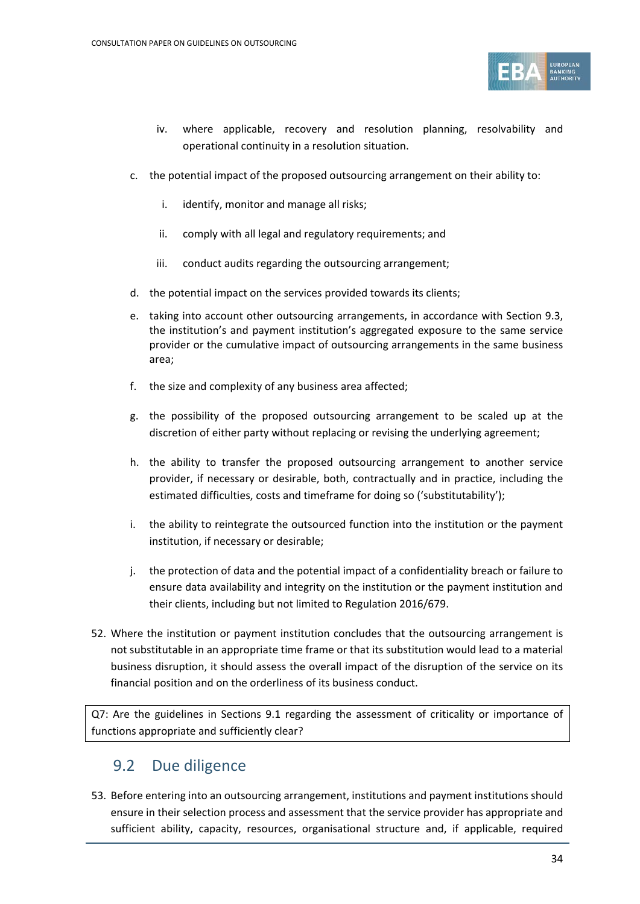

- iv. where applicable, recovery and resolution planning, resolvability and operational continuity in a resolution situation.
- c. the potential impact of the proposed outsourcing arrangement on their ability to:
	- i. identify, monitor and manage all risks;
	- ii. comply with all legal and regulatory requirements; and
	- iii. conduct audits regarding the outsourcing arrangement;
- d. the potential impact on the services provided towards its clients;
- e. taking into account other outsourcing arrangements, in accordance with Section 9.3, the institution's and payment institution's aggregated exposure to the same service provider or the cumulative impact of outsourcing arrangements in the same business area;
- f. the size and complexity of any business area affected;
- g. the possibility of the proposed outsourcing arrangement to be scaled up at the discretion of either party without replacing or revising the underlying agreement;
- h. the ability to transfer the proposed outsourcing arrangement to another service provider, if necessary or desirable, both, contractually and in practice, including the estimated difficulties, costs and timeframe for doing so ('substitutability');
- i. the ability to reintegrate the outsourced function into the institution or the payment institution, if necessary or desirable;
- j. the protection of data and the potential impact of a confidentiality breach or failure to ensure data availability and integrity on the institution or the payment institution and their clients, including but not limited to Regulation 2016/679.
- 52. Where the institution or payment institution concludes that the outsourcing arrangement is not substitutable in an appropriate time frame or that its substitution would lead to a material business disruption, it should assess the overall impact of the disruption of the service on its financial position and on the orderliness of its business conduct.

Q7: Are the guidelines in Sections 9.1 regarding the assessment of criticality or importance of functions appropriate and sufficiently clear?

### 9.2 Due diligence

53. Before entering into an outsourcing arrangement, institutions and payment institutions should ensure in their selection process and assessment that the service provider has appropriate and sufficient ability, capacity, resources, organisational structure and, if applicable, required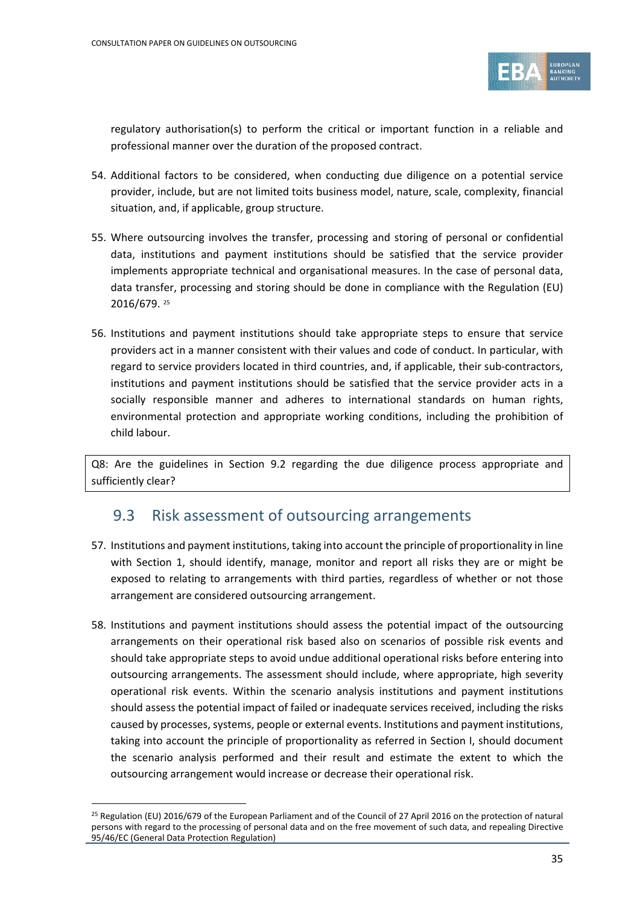

regulatory authorisation(s) to perform the critical or important function in a reliable and professional manner over the duration of the proposed contract.

- 54. Additional factors to be considered, when conducting due diligence on a potential service provider, include, but are not limited toits business model, nature, scale, complexity, financial situation, and, if applicable, group structure.
- 55. Where outsourcing involves the transfer, processing and storing of personal or confidential data, institutions and payment institutions should be satisfied that the service provider implements appropriate technical and organisational measures. In the case of personal data, data transfer, processing and storing should be done in compliance with the Regulation (EU) 2016/679. [25](#page-34-0)
- 56. Institutions and payment institutions should take appropriate steps to ensure that service providers act in a manner consistent with their values and code of conduct. In particular, with regard to service providers located in third countries, and, if applicable, their sub-contractors, institutions and payment institutions should be satisfied that the service provider acts in a socially responsible manner and adheres to international standards on human rights, environmental protection and appropriate working conditions, including the prohibition of child labour.

Q8: Are the guidelines in Section 9.2 regarding the due diligence process appropriate and sufficiently clear?

### 9.3 Risk assessment of outsourcing arrangements

- 57. Institutions and payment institutions, taking into account the principle of proportionality in line with Section 1, should identify, manage, monitor and report all risks they are or might be exposed to relating to arrangements with third parties, regardless of whether or not those arrangement are considered outsourcing arrangement.
- 58. Institutions and payment institutions should assess the potential impact of the outsourcing arrangements on their operational risk based also on scenarios of possible risk events and should take appropriate steps to avoid undue additional operational risks before entering into outsourcing arrangements. The assessment should include, where appropriate, high severity operational risk events. Within the scenario analysis institutions and payment institutions should assess the potential impact of failed or inadequate services received, including the risks caused by processes, systems, people or external events. Institutions and payment institutions, taking into account the principle of proportionality as referred in Section I, should document the scenario analysis performed and their result and estimate the extent to which the outsourcing arrangement would increase or decrease their operational risk.

<span id="page-34-0"></span><sup>&</sup>lt;sup>25</sup> Regulation (EU) 2016/679 of the European Parliament and of the Council of 27 April 2016 on the protection of natural persons with regard to the processing of personal data and on the free movement of such data, and repealing Directive 95/46/EC (General Data Protection Regulation)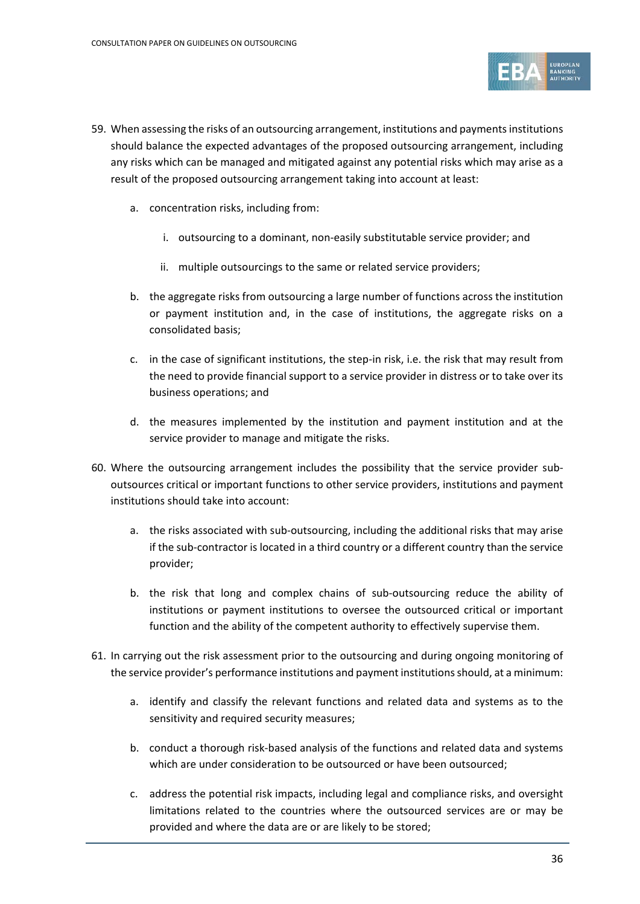

- 59. When assessing the risks of an outsourcing arrangement, institutions and payments institutions should balance the expected advantages of the proposed outsourcing arrangement, including any risks which can be managed and mitigated against any potential risks which may arise as a result of the proposed outsourcing arrangement taking into account at least:
	- a. concentration risks, including from:
		- i. outsourcing to a dominant, non-easily substitutable service provider; and
		- ii. multiple outsourcings to the same or related service providers;
	- b. the aggregate risks from outsourcing a large number of functions across the institution or payment institution and, in the case of institutions, the aggregate risks on a consolidated basis;
	- c. in the case of significant institutions, the step-in risk, i.e. the risk that may result from the need to provide financial support to a service provider in distress or to take over its business operations; and
	- d. the measures implemented by the institution and payment institution and at the service provider to manage and mitigate the risks.
- 60. Where the outsourcing arrangement includes the possibility that the service provider suboutsources critical or important functions to other service providers, institutions and payment institutions should take into account:
	- a. the risks associated with sub-outsourcing, including the additional risks that may arise if the sub-contractor is located in a third country or a different country than the service provider;
	- b. the risk that long and complex chains of sub-outsourcing reduce the ability of institutions or payment institutions to oversee the outsourced critical or important function and the ability of the competent authority to effectively supervise them.
- 61. In carrying out the risk assessment prior to the outsourcing and during ongoing monitoring of the service provider's performance institutions and payment institutionsshould, at a minimum:
	- a. identify and classify the relevant functions and related data and systems as to the sensitivity and required security measures;
	- b. conduct a thorough risk-based analysis of the functions and related data and systems which are under consideration to be outsourced or have been outsourced;
	- c. address the potential risk impacts, including legal and compliance risks, and oversight limitations related to the countries where the outsourced services are or may be provided and where the data are or are likely to be stored;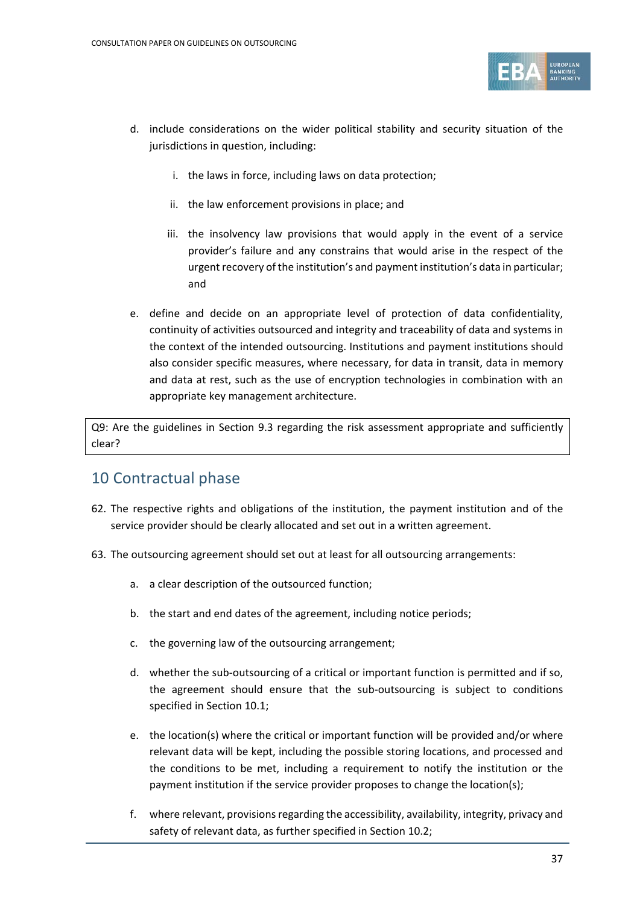

- d. include considerations on the wider political stability and security situation of the jurisdictions in question, including:
	- i. the laws in force, including laws on data protection;
	- ii. the law enforcement provisions in place; and
	- iii. the insolvency law provisions that would apply in the event of a service provider's failure and any constrains that would arise in the respect of the urgent recovery of the institution's and payment institution's data in particular; and
- e. define and decide on an appropriate level of protection of data confidentiality, continuity of activities outsourced and integrity and traceability of data and systems in the context of the intended outsourcing. Institutions and payment institutions should also consider specific measures, where necessary, for data in transit, data in memory and data at rest, such as the use of encryption technologies in combination with an appropriate key management architecture.

Q9: Are the guidelines in Section 9.3 regarding the risk assessment appropriate and sufficiently clear?

### 10 Contractual phase

- 62. The respective rights and obligations of the institution, the payment institution and of the service provider should be clearly allocated and set out in a written agreement.
- 63. The outsourcing agreement should set out at least for all outsourcing arrangements:
	- a. a clear description of the outsourced function;
	- b. the start and end dates of the agreement, including notice periods;
	- c. the governing law of the outsourcing arrangement;
	- d. whether the sub-outsourcing of a critical or important function is permitted and if so, the agreement should ensure that the sub-outsourcing is subject to conditions specified in Section 10.1;
	- e. the location(s) where the critical or important function will be provided and/or where relevant data will be kept, including the possible storing locations, and processed and the conditions to be met, including a requirement to notify the institution or the payment institution if the service provider proposes to change the location(s);
	- f. where relevant, provisions regarding the accessibility, availability, integrity, privacy and safety of relevant data, as further specified in Section 10.2;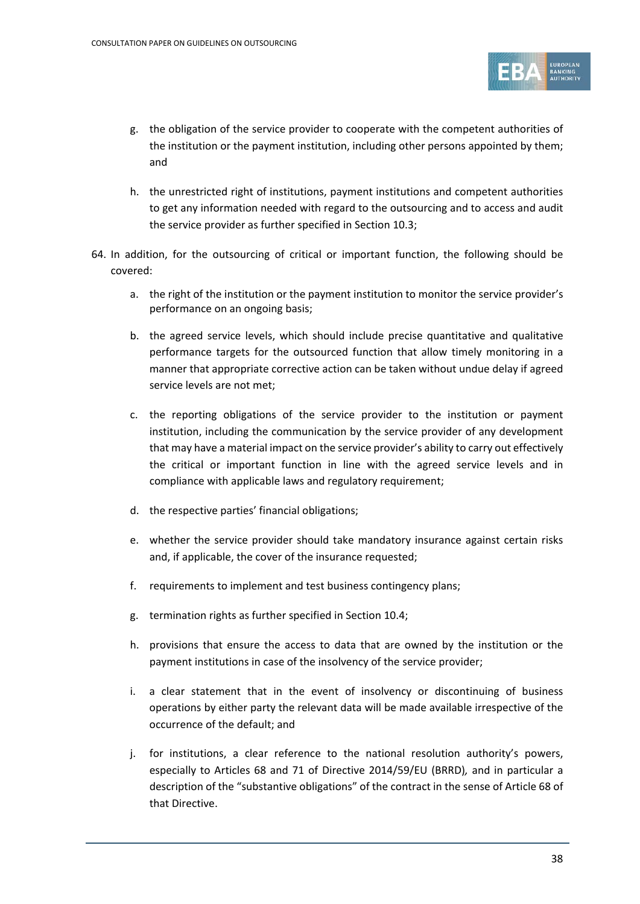

- g. the obligation of the service provider to cooperate with the competent authorities of the institution or the payment institution, including other persons appointed by them; and
- h. the unrestricted right of institutions, payment institutions and competent authorities to get any information needed with regard to the outsourcing and to access and audit the service provider as further specified in Section 10.3;
- 64. In addition, for the outsourcing of critical or important function, the following should be covered:
	- a. the right of the institution or the payment institution to monitor the service provider's performance on an ongoing basis;
	- b. the agreed service levels, which should include precise quantitative and qualitative performance targets for the outsourced function that allow timely monitoring in a manner that appropriate corrective action can be taken without undue delay if agreed service levels are not met;
	- c. the reporting obligations of the service provider to the institution or payment institution, including the communication by the service provider of any development that may have a material impact on the service provider's ability to carry out effectively the critical or important function in line with the agreed service levels and in compliance with applicable laws and regulatory requirement;
	- d. the respective parties' financial obligations;
	- e. whether the service provider should take mandatory insurance against certain risks and, if applicable, the cover of the insurance requested;
	- f. requirements to implement and test business contingency plans;
	- g. termination rights as further specified in Section 10.4;
	- h. provisions that ensure the access to data that are owned by the institution or the payment institutions in case of the insolvency of the service provider;
	- i. a clear statement that in the event of insolvency or discontinuing of business operations by either party the relevant data will be made available irrespective of the occurrence of the default; and
	- j. for institutions, a clear reference to the national resolution authority's powers, especially to Articles 68 and 71 of Directive 2014/59/EU (BRRD)*,* and in particular a description of the "substantive obligations" of the contract in the sense of Article 68 of that Directive.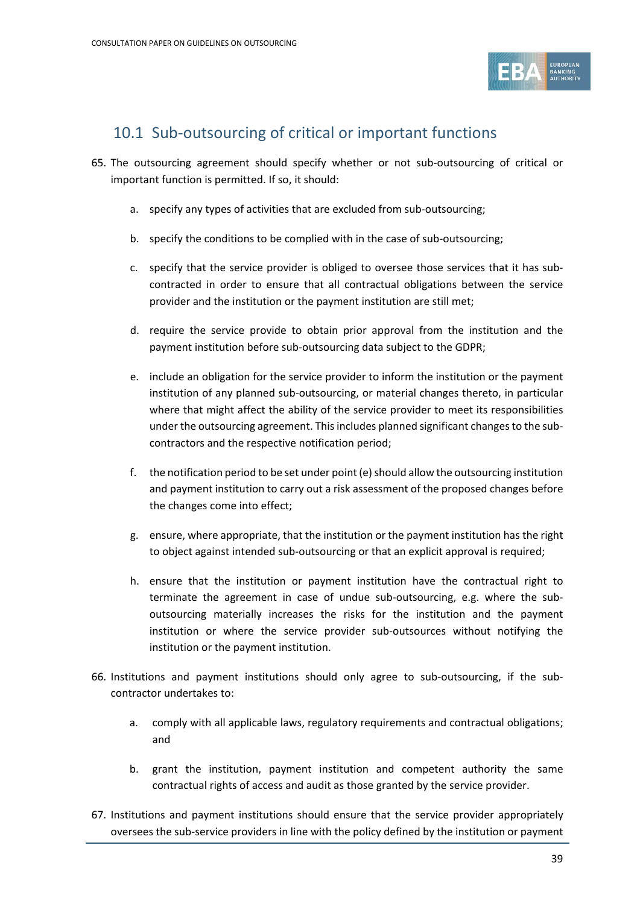

## 10.1 Sub-outsourcing of critical or important functions

- 65. The outsourcing agreement should specify whether or not sub-outsourcing of critical or important function is permitted. If so, it should:
	- a. specify any types of activities that are excluded from sub-outsourcing;
	- b. specify the conditions to be complied with in the case of sub-outsourcing;
	- c. specify that the service provider is obliged to oversee those services that it has subcontracted in order to ensure that all contractual obligations between the service provider and the institution or the payment institution are still met;
	- d. require the service provide to obtain prior approval from the institution and the payment institution before sub-outsourcing data subject to the GDPR;
	- e. include an obligation for the service provider to inform the institution or the payment institution of any planned sub-outsourcing, or material changes thereto, in particular where that might affect the ability of the service provider to meet its responsibilities under the outsourcing agreement. This includes planned significant changes to the subcontractors and the respective notification period;
	- f. the notification period to be set under point (e) should allow the outsourcing institution and payment institution to carry out a risk assessment of the proposed changes before the changes come into effect;
	- g. ensure, where appropriate, that the institution or the payment institution has the right to object against intended sub-outsourcing or that an explicit approval is required;
	- h. ensure that the institution or payment institution have the contractual right to terminate the agreement in case of undue sub-outsourcing, e.g. where the suboutsourcing materially increases the risks for the institution and the payment institution or where the service provider sub-outsources without notifying the institution or the payment institution.
- 66. Institutions and payment institutions should only agree to sub-outsourcing, if the subcontractor undertakes to:
	- a. comply with all applicable laws, regulatory requirements and contractual obligations; and
	- b. grant the institution, payment institution and competent authority the same contractual rights of access and audit as those granted by the service provider.
- 67. Institutions and payment institutions should ensure that the service provider appropriately oversees the sub-service providers in line with the policy defined by the institution or payment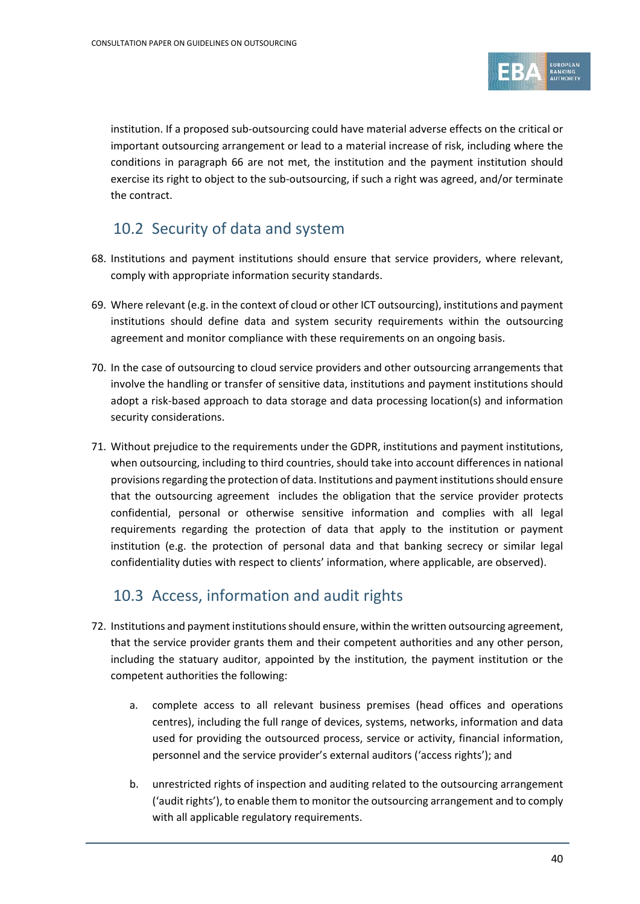

institution. If a proposed sub-outsourcing could have material adverse effects on the critical or important outsourcing arrangement or lead to a material increase of risk, including where the conditions in paragraph 66 are not met, the institution and the payment institution should exercise its right to object to the sub-outsourcing, if such a right was agreed, and/or terminate the contract.

### 10.2 Security of data and system

- 68. Institutions and payment institutions should ensure that service providers, where relevant, comply with appropriate information security standards.
- 69. Where relevant (e.g. in the context of cloud or other ICT outsourcing), institutions and payment institutions should define data and system security requirements within the outsourcing agreement and monitor compliance with these requirements on an ongoing basis.
- 70. In the case of outsourcing to cloud service providers and other outsourcing arrangements that involve the handling or transfer of sensitive data, institutions and payment institutions should adopt a risk-based approach to data storage and data processing location(s) and information security considerations.
- 71. Without prejudice to the requirements under the GDPR, institutions and payment institutions, when outsourcing, including to third countries, should take into account differences in national provisions regarding the protection of data. Institutions and payment institutions should ensure that the outsourcing agreement includes the obligation that the service provider protects confidential, personal or otherwise sensitive information and complies with all legal requirements regarding the protection of data that apply to the institution or payment institution (e.g. the protection of personal data and that banking secrecy or similar legal confidentiality duties with respect to clients' information, where applicable, are observed).

## 10.3 Access, information and audit rights

- 72. Institutions and payment institutions should ensure, within the written outsourcing agreement, that the service provider grants them and their competent authorities and any other person, including the statuary auditor, appointed by the institution, the payment institution or the competent authorities the following:
	- a. complete access to all relevant business premises (head offices and operations centres), including the full range of devices, systems, networks, information and data used for providing the outsourced process, service or activity, financial information, personnel and the service provider's external auditors ('access rights'); and
	- b. unrestricted rights of inspection and auditing related to the outsourcing arrangement ('audit rights'), to enable them to monitor the outsourcing arrangement and to comply with all applicable regulatory requirements.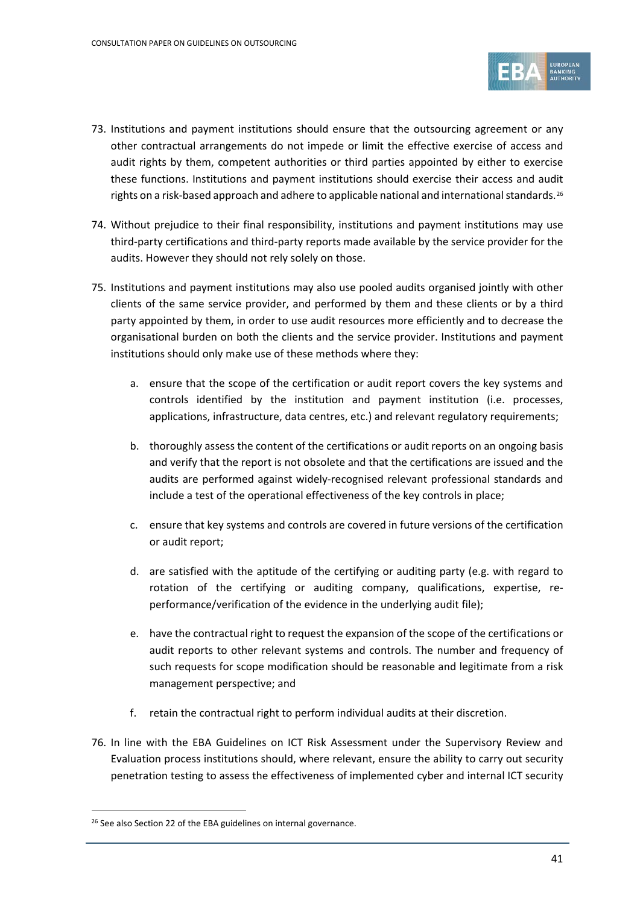

- 73. Institutions and payment institutions should ensure that the outsourcing agreement or any other contractual arrangements do not impede or limit the effective exercise of access and audit rights by them, competent authorities or third parties appointed by either to exercise these functions. Institutions and payment institutions should exercise their access and audit rights on a risk-based approach and adhere to applicable national and international standards.<sup>[26](#page-40-0)</sup>
- 74. Without prejudice to their final responsibility, institutions and payment institutions may use third-party certifications and third-party reports made available by the service provider for the audits. However they should not rely solely on those.
- 75. Institutions and payment institutions may also use pooled audits organised jointly with other clients of the same service provider, and performed by them and these clients or by a third party appointed by them, in order to use audit resources more efficiently and to decrease the organisational burden on both the clients and the service provider. Institutions and payment institutions should only make use of these methods where they:
	- a. ensure that the scope of the certification or audit report covers the key systems and controls identified by the institution and payment institution (i.e. processes, applications, infrastructure, data centres, etc.) and relevant regulatory requirements;
	- b. thoroughly assess the content of the certifications or audit reports on an ongoing basis and verify that the report is not obsolete and that the certifications are issued and the audits are performed against widely-recognised relevant professional standards and include a test of the operational effectiveness of the key controls in place;
	- c. ensure that key systems and controls are covered in future versions of the certification or audit report;
	- d. are satisfied with the aptitude of the certifying or auditing party (e.g. with regard to rotation of the certifying or auditing company, qualifications, expertise, reperformance/verification of the evidence in the underlying audit file);
	- e. have the contractual right to request the expansion of the scope of the certifications or audit reports to other relevant systems and controls. The number and frequency of such requests for scope modification should be reasonable and legitimate from a risk management perspective; and
	- f. retain the contractual right to perform individual audits at their discretion.
- 76. In line with the EBA Guidelines on ICT Risk Assessment under the Supervisory Review and Evaluation process institutions should, where relevant, ensure the ability to carry out security penetration testing to assess the effectiveness of implemented cyber and internal ICT security

<span id="page-40-0"></span><sup>&</sup>lt;sup>26</sup> See also Section 22 of the EBA guidelines on internal governance.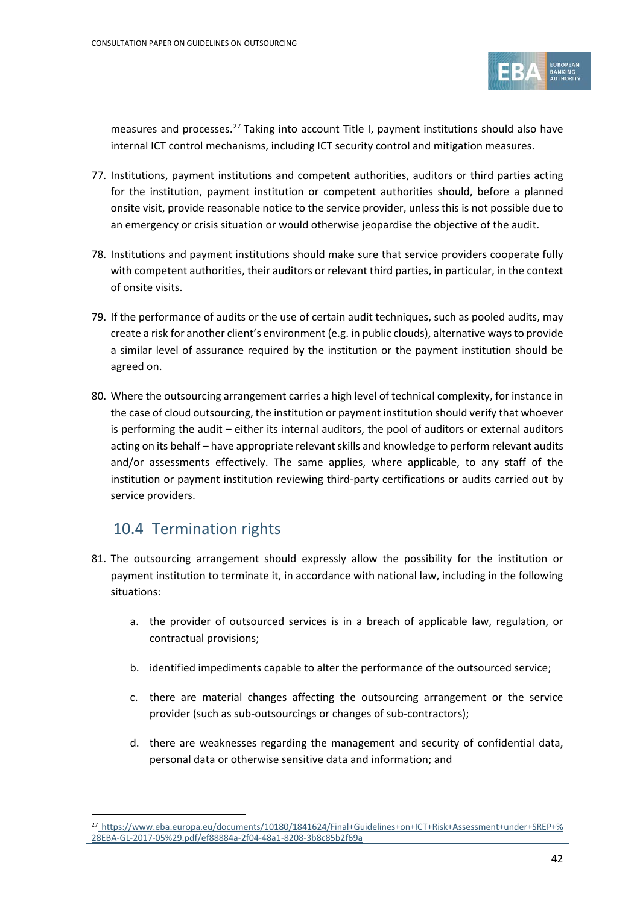

measures and processes.<sup>[27](#page-41-0)</sup> Taking into account Title I, payment institutions should also have internal ICT control mechanisms, including ICT security control and mitigation measures.

- 77. Institutions, payment institutions and competent authorities, auditors or third parties acting for the institution, payment institution or competent authorities should, before a planned onsite visit, provide reasonable notice to the service provider, unless this is not possible due to an emergency or crisis situation or would otherwise jeopardise the objective of the audit.
- 78. Institutions and payment institutions should make sure that service providers cooperate fully with competent authorities, their auditors or relevant third parties, in particular, in the context of onsite visits.
- 79. If the performance of audits or the use of certain audit techniques, such as pooled audits, may create a risk for another client's environment (e.g. in public clouds), alternative ways to provide a similar level of assurance required by the institution or the payment institution should be agreed on.
- 80. Where the outsourcing arrangement carries a high level of technical complexity, for instance in the case of cloud outsourcing, the institution or payment institution should verify that whoever is performing the audit – either its internal auditors, the pool of auditors or external auditors acting on its behalf – have appropriate relevant skills and knowledge to perform relevant audits and/or assessments effectively. The same applies, where applicable, to any staff of the institution or payment institution reviewing third-party certifications or audits carried out by service providers.

### 10.4 Termination rights

- 81. The outsourcing arrangement should expressly allow the possibility for the institution or payment institution to terminate it, in accordance with national law, including in the following situations:
	- a. the provider of outsourced services is in a breach of applicable law, regulation, or contractual provisions;
	- b. identified impediments capable to alter the performance of the outsourced service;
	- c. there are material changes affecting the outsourcing arrangement or the service provider (such as sub-outsourcings or changes of sub-contractors);
	- d. there are weaknesses regarding the management and security of confidential data, personal data or otherwise sensitive data and information; and

<span id="page-41-0"></span><sup>27</sup> [https://www.eba.europa.eu/documents/10180/1841624/Final+Guidelines+on+ICT+Risk+Assessment+under+SREP+%](https://www.eba.europa.eu/documents/10180/1841624/Final+Guidelines+on+ICT+Risk+Assessment+under+SREP+%28EBA-GL-2017-05%29.pdf/ef88884a-2f04-48a1-8208-3b8c85b2f69a) [28EBA-GL-2017-05%29.pdf/ef88884a-2f04-48a1-8208-3b8c85b2f69a](https://www.eba.europa.eu/documents/10180/1841624/Final+Guidelines+on+ICT+Risk+Assessment+under+SREP+%28EBA-GL-2017-05%29.pdf/ef88884a-2f04-48a1-8208-3b8c85b2f69a)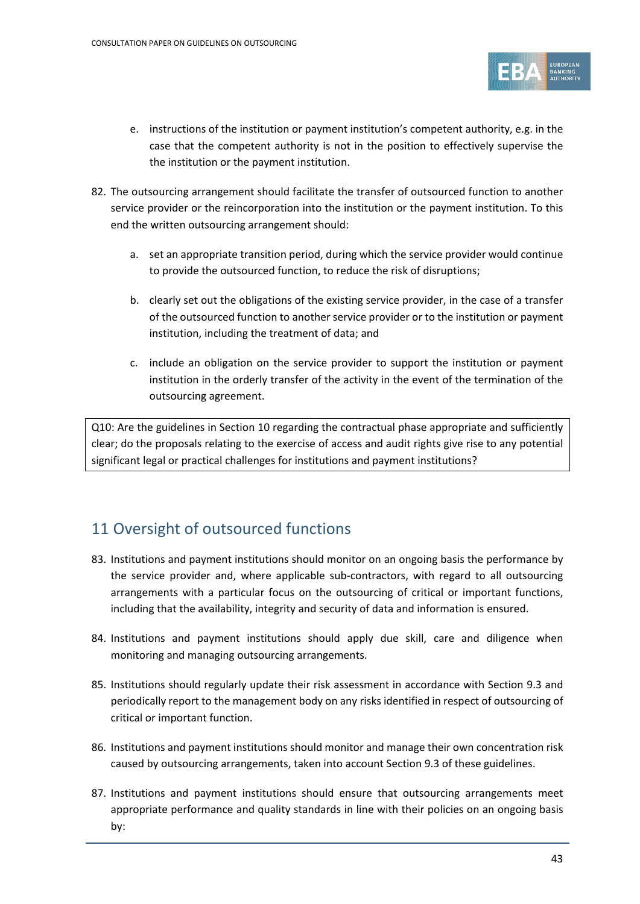

- e. instructions of the institution or payment institution's competent authority, e.g. in the case that the competent authority is not in the position to effectively supervise the the institution or the payment institution.
- 82. The outsourcing arrangement should facilitate the transfer of outsourced function to another service provider or the reincorporation into the institution or the payment institution. To this end the written outsourcing arrangement should:
	- a. set an appropriate transition period, during which the service provider would continue to provide the outsourced function, to reduce the risk of disruptions;
	- b. clearly set out the obligations of the existing service provider, in the case of a transfer of the outsourced function to another service provider or to the institution or payment institution, including the treatment of data; and
	- c. include an obligation on the service provider to support the institution or payment institution in the orderly transfer of the activity in the event of the termination of the outsourcing agreement.

Q10: Are the guidelines in Section 10 regarding the contractual phase appropriate and sufficiently clear; do the proposals relating to the exercise of access and audit rights give rise to any potential significant legal or practical challenges for institutions and payment institutions?

### 11 Oversight of outsourced functions

- 83. Institutions and payment institutions should monitor on an ongoing basis the performance by the service provider and, where applicable sub-contractors, with regard to all outsourcing arrangements with a particular focus on the outsourcing of critical or important functions, including that the availability, integrity and security of data and information is ensured.
- 84. Institutions and payment institutions should apply due skill, care and diligence when monitoring and managing outsourcing arrangements.
- 85. Institutions should regularly update their risk assessment in accordance with Section 9.3 and periodically report to the management body on any risks identified in respect of outsourcing of critical or important function.
- 86. Institutions and payment institutions should monitor and manage their own concentration risk caused by outsourcing arrangements, taken into account Section 9.3 of these guidelines.
- 87. Institutions and payment institutions should ensure that outsourcing arrangements meet appropriate performance and quality standards in line with their policies on an ongoing basis by: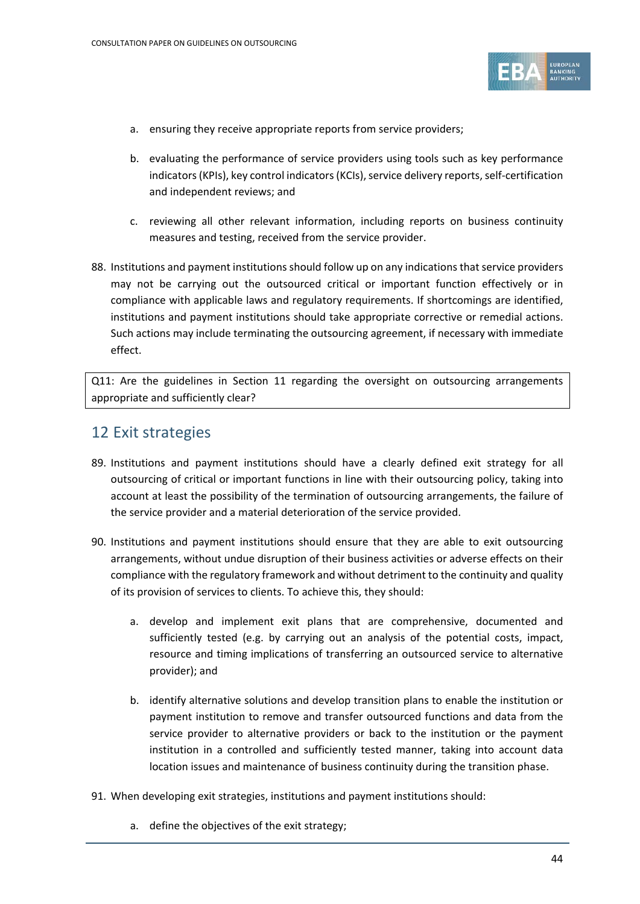

- a. ensuring they receive appropriate reports from service providers;
- b. evaluating the performance of service providers using tools such as key performance indicators (KPIs), key control indicators (KCIs), service delivery reports, self-certification and independent reviews; and
- c. reviewing all other relevant information, including reports on business continuity measures and testing, received from the service provider.
- 88. Institutions and payment institutions should follow up on any indications that service providers may not be carrying out the outsourced critical or important function effectively or in compliance with applicable laws and regulatory requirements. If shortcomings are identified, institutions and payment institutions should take appropriate corrective or remedial actions. Such actions may include terminating the outsourcing agreement, if necessary with immediate effect.

Q11: Are the guidelines in Section 11 regarding the oversight on outsourcing arrangements appropriate and sufficiently clear?

#### 12 Exit strategies

- 89. Institutions and payment institutions should have a clearly defined exit strategy for all outsourcing of critical or important functions in line with their outsourcing policy, taking into account at least the possibility of the termination of outsourcing arrangements, the failure of the service provider and a material deterioration of the service provided.
- 90. Institutions and payment institutions should ensure that they are able to exit outsourcing arrangements, without undue disruption of their business activities or adverse effects on their compliance with the regulatory framework and without detriment to the continuity and quality of its provision of services to clients. To achieve this, they should:
	- a. develop and implement exit plans that are comprehensive, documented and sufficiently tested (e.g. by carrying out an analysis of the potential costs, impact, resource and timing implications of transferring an outsourced service to alternative provider); and
	- b. identify alternative solutions and develop transition plans to enable the institution or payment institution to remove and transfer outsourced functions and data from the service provider to alternative providers or back to the institution or the payment institution in a controlled and sufficiently tested manner, taking into account data location issues and maintenance of business continuity during the transition phase.
- 91. When developing exit strategies, institutions and payment institutions should:
	- a. define the objectives of the exit strategy;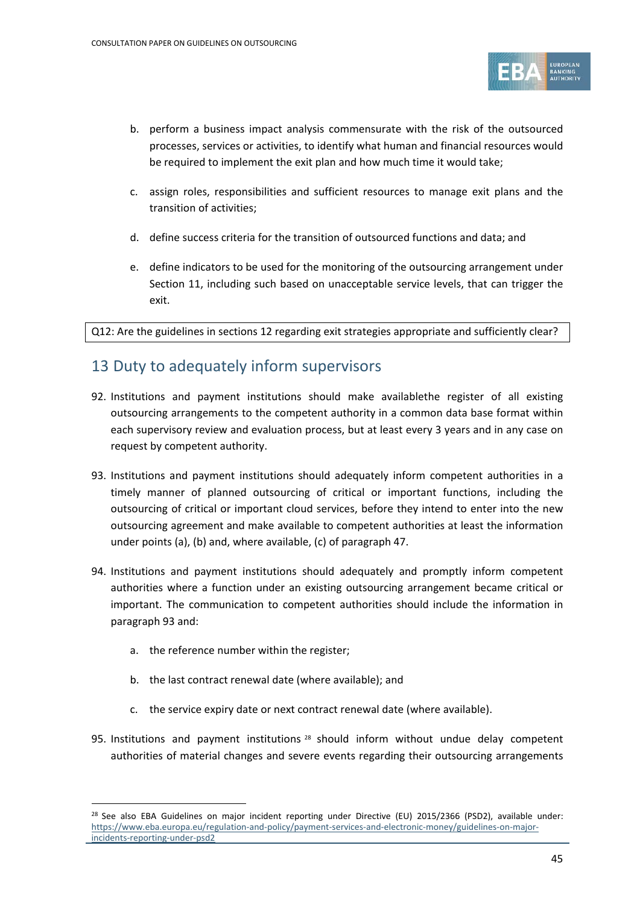

- b. perform a business impact analysis commensurate with the risk of the outsourced processes, services or activities, to identify what human and financial resources would be required to implement the exit plan and how much time it would take;
- c. assign roles, responsibilities and sufficient resources to manage exit plans and the transition of activities;
- d. define success criteria for the transition of outsourced functions and data; and
- e. define indicators to be used for the monitoring of the outsourcing arrangement under Section 11, including such based on unacceptable service levels, that can trigger the exit.

Q12: Are the guidelines in sections 12 regarding exit strategies appropriate and sufficiently clear?

#### 13 Duty to adequately inform supervisors

- 92. Institutions and payment institutions should make availablethe register of all existing outsourcing arrangements to the competent authority in a common data base format within each supervisory review and evaluation process, but at least every 3 years and in any case on request by competent authority.
- 93. Institutions and payment institutions should adequately inform competent authorities in a timely manner of planned outsourcing of critical or important functions, including the outsourcing of critical or important cloud services, before they intend to enter into the new outsourcing agreement and make available to competent authorities at least the information under points (a), (b) and, where available, (c) of paragraph 47.
- 94. Institutions and payment institutions should adequately and promptly inform competent authorities where a function under an existing outsourcing arrangement became critical or important. The communication to competent authorities should include the information in paragraph 93 and:
	- a. the reference number within the register;

- b. the last contract renewal date (where available); and
- c. the service expiry date or next contract renewal date (where available).
- 95. Institutions and payment institutions <sup>[28](#page-44-0)</sup> should inform without undue delay competent authorities of material changes and severe events regarding their outsourcing arrangements

<span id="page-44-0"></span><sup>&</sup>lt;sup>28</sup> See also EBA Guidelines on major incident reporting under Directive (EU) 2015/2366 (PSD2), available under: [https://www.eba.europa.eu/regulation-and-policy/payment-services-and-electronic-money/guidelines-on-major](https://www.eba.europa.eu/regulation-and-policy/payment-services-and-electronic-money/guidelines-on-major-incidents-reporting-under-psd2)[incidents-reporting-under-psd2](https://www.eba.europa.eu/regulation-and-policy/payment-services-and-electronic-money/guidelines-on-major-incidents-reporting-under-psd2)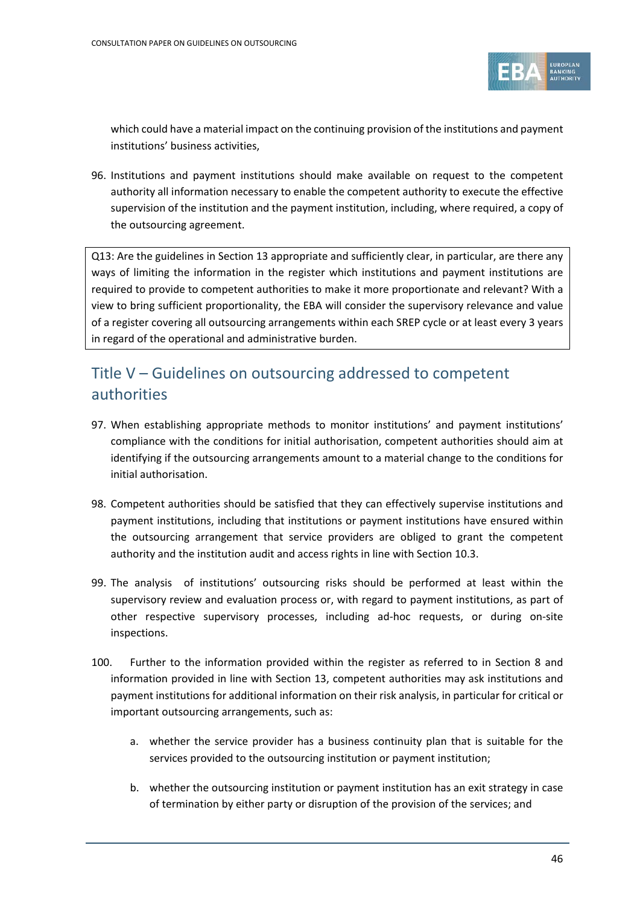

which could have a material impact on the continuing provision of the institutions and payment institutions' business activities,

96. Institutions and payment institutions should make available on request to the competent authority all information necessary to enable the competent authority to execute the effective supervision of the institution and the payment institution, including, where required, a copy of the outsourcing agreement.

Q13: Are the guidelines in Section 13 appropriate and sufficiently clear, in particular, are there any ways of limiting the information in the register which institutions and payment institutions are required to provide to competent authorities to make it more proportionate and relevant? With a view to bring sufficient proportionality, the EBA will consider the supervisory relevance and value of a register covering all outsourcing arrangements within each SREP cycle or at least every 3 years in regard of the operational and administrative burden.

### Title V – Guidelines on outsourcing addressed to competent authorities

- 97. When establishing appropriate methods to monitor institutions' and payment institutions' compliance with the conditions for initial authorisation, competent authorities should aim at identifying if the outsourcing arrangements amount to a material change to the conditions for initial authorisation.
- 98. Competent authorities should be satisfied that they can effectively supervise institutions and payment institutions, including that institutions or payment institutions have ensured within the outsourcing arrangement that service providers are obliged to grant the competent authority and the institution audit and access rights in line with Section 10.3.
- 99. The analysis of institutions' outsourcing risks should be performed at least within the supervisory review and evaluation process or, with regard to payment institutions, as part of other respective supervisory processes, including ad-hoc requests, or during on-site inspections.
- 100. Further to the information provided within the register as referred to in Section 8 and information provided in line with Section 13, competent authorities may ask institutions and payment institutions for additional information on their risk analysis, in particular for critical or important outsourcing arrangements, such as:
	- a. whether the service provider has a business continuity plan that is suitable for the services provided to the outsourcing institution or payment institution;
	- b. whether the outsourcing institution or payment institution has an exit strategy in case of termination by either party or disruption of the provision of the services; and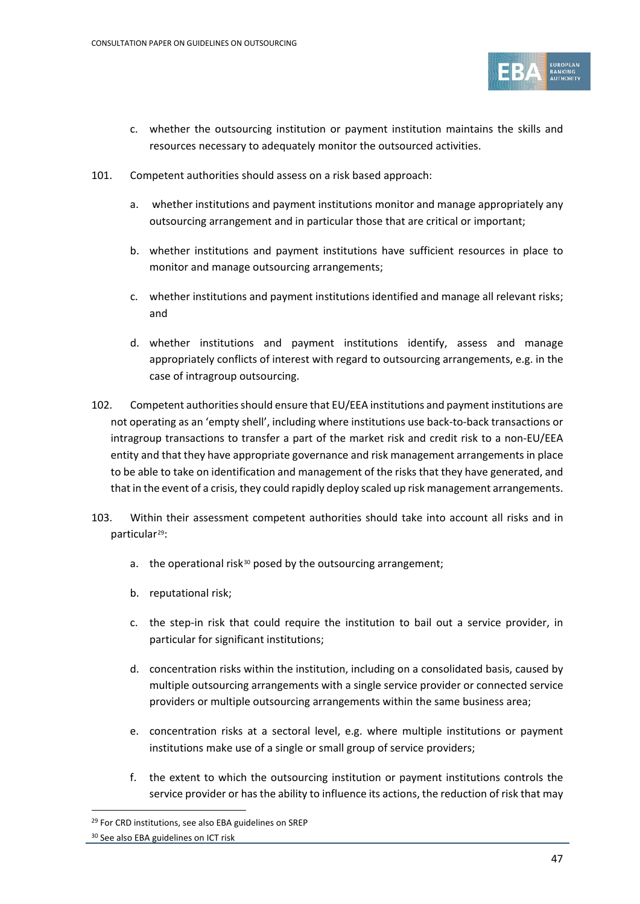

- c. whether the outsourcing institution or payment institution maintains the skills and resources necessary to adequately monitor the outsourced activities.
- 101. Competent authorities should assess on a risk based approach:
	- a. whether institutions and payment institutions monitor and manage appropriately any outsourcing arrangement and in particular those that are critical or important;
	- b. whether institutions and payment institutions have sufficient resources in place to monitor and manage outsourcing arrangements;
	- c. whether institutions and payment institutions identified and manage all relevant risks; and
	- d. whether institutions and payment institutions identify, assess and manage appropriately conflicts of interest with regard to outsourcing arrangements, e.g. in the case of intragroup outsourcing.
- 102. Competent authorities should ensure that EU/EEA institutions and payment institutions are not operating as an 'empty shell', including where institutions use back-to-back transactions or intragroup transactions to transfer a part of the market risk and credit risk to a non-EU/EEA entity and that they have appropriate governance and risk management arrangements in place to be able to take on identification and management of the risks that they have generated, and that in the event of a crisis, they could rapidly deploy scaled up risk management arrangements.
- 103. Within their assessment competent authorities should take into account all risks and in particular<sup>29</sup>:
	- a. the operational risk<sup>[30](#page-46-1)</sup> posed by the outsourcing arrangement;
	- b. reputational risk;
	- c. the step-in risk that could require the institution to bail out a service provider, in particular for significant institutions;
	- d. concentration risks within the institution, including on a consolidated basis, caused by multiple outsourcing arrangements with a single service provider or connected service providers or multiple outsourcing arrangements within the same business area;
	- e. concentration risks at a sectoral level, e.g. where multiple institutions or payment institutions make use of a single or small group of service providers;
	- f. the extent to which the outsourcing institution or payment institutions controls the service provider or has the ability to influence its actions, the reduction of risk that may

<span id="page-46-0"></span><sup>&</sup>lt;sup>29</sup> For CRD institutions, see also EBA guidelines on SREP

<span id="page-46-1"></span><sup>30</sup> See also EBA guidelines on ICT risk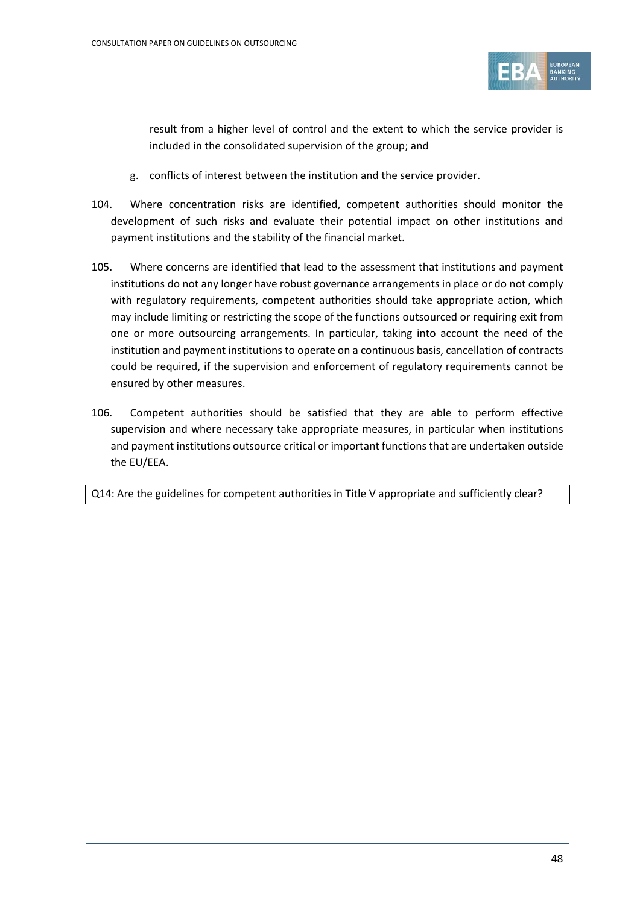

result from a higher level of control and the extent to which the service provider is included in the consolidated supervision of the group; and

- g. conflicts of interest between the institution and the service provider.
- 104. Where concentration risks are identified, competent authorities should monitor the development of such risks and evaluate their potential impact on other institutions and payment institutions and the stability of the financial market.
- 105. Where concerns are identified that lead to the assessment that institutions and payment institutions do not any longer have robust governance arrangements in place or do not comply with regulatory requirements, competent authorities should take appropriate action, which may include limiting or restricting the scope of the functions outsourced or requiring exit from one or more outsourcing arrangements. In particular, taking into account the need of the institution and payment institutions to operate on a continuous basis, cancellation of contracts could be required, if the supervision and enforcement of regulatory requirements cannot be ensured by other measures.
- 106. Competent authorities should be satisfied that they are able to perform effective supervision and where necessary take appropriate measures, in particular when institutions and payment institutions outsource critical or important functions that are undertaken outside the EU/EEA.

Q14: Are the guidelines for competent authorities in Title V appropriate and sufficiently clear?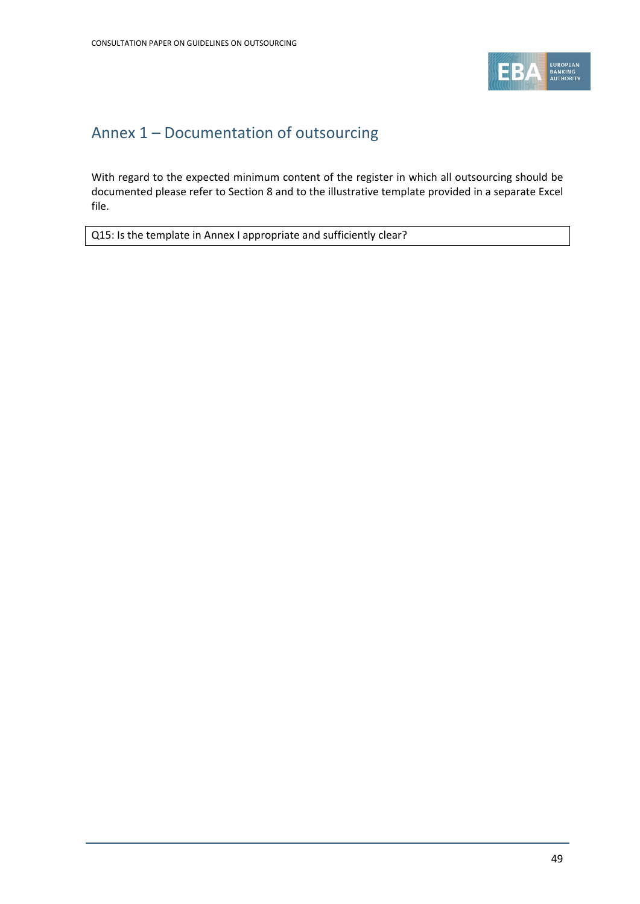

## Annex 1 – Documentation of outsourcing

With regard to the expected minimum content of the register in which all outsourcing should be documented please refer to Section 8 and to the illustrative template provided in a separate Excel file.

Q15: Is the template in Annex I appropriate and sufficiently clear?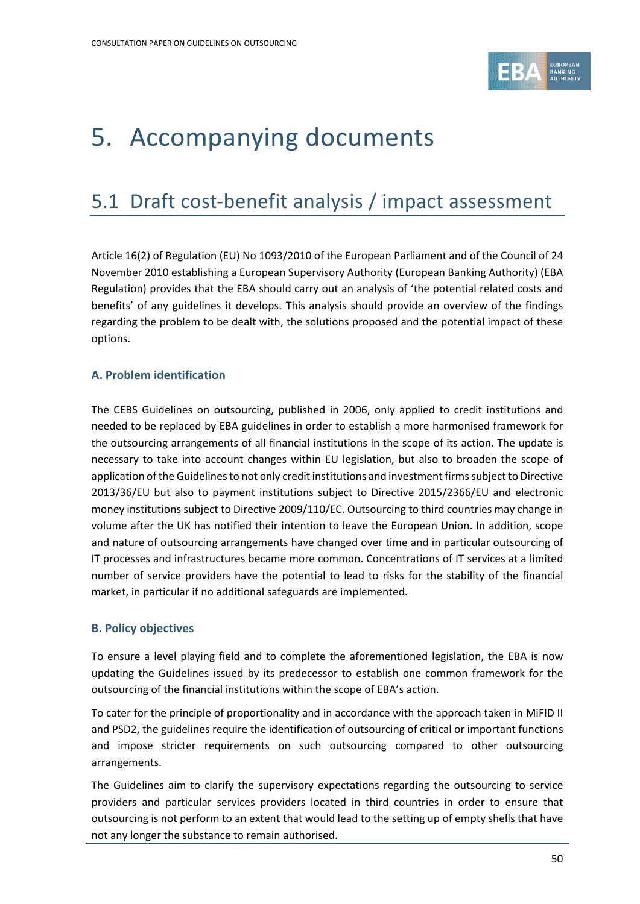

# 5. Accompanying documents

## 5.1 Draft cost-benefit analysis / impact assessment

Article 16(2) of Regulation (EU) No 1093/2010 of the European Parliament and of the Council of 24 November 2010 establishing a European Supervisory Authority (European Banking Authority) (EBA Regulation) provides that the EBA should carry out an analysis of 'the potential related costs and benefits' of any guidelines it develops. This analysis should provide an overview of the findings regarding the problem to be dealt with, the solutions proposed and the potential impact of these options.

#### **A. Problem identification**

The CEBS Guidelines on outsourcing, published in 2006, only applied to credit institutions and needed to be replaced by EBA guidelines in order to establish a more harmonised framework for the outsourcing arrangements of all financial institutions in the scope of its action. The update is necessary to take into account changes within EU legislation, but also to broaden the scope of application of the Guidelines to not only credit institutions and investment firms subject to Directive 2013/36/EU but also to payment institutions subject to Directive 2015/2366/EU and electronic money institutions subject to Directive 2009/110/EC. Outsourcing to third countries may change in volume after the UK has notified their intention to leave the European Union. In addition, scope and nature of outsourcing arrangements have changed over time and in particular outsourcing of IT processes and infrastructures became more common. Concentrations of IT services at a limited number of service providers have the potential to lead to risks for the stability of the financial market, in particular if no additional safeguards are implemented.

#### **B. Policy objectives**

To ensure a level playing field and to complete the aforementioned legislation, the EBA is now updating the Guidelines issued by its predecessor to establish one common framework for the outsourcing of the financial institutions within the scope of EBA's action.

To cater for the principle of proportionality and in accordance with the approach taken in MiFID II and PSD2, the guidelines require the identification of outsourcing of critical or important functions and impose stricter requirements on such outsourcing compared to other outsourcing arrangements.

The Guidelines aim to clarify the supervisory expectations regarding the outsourcing to service providers and particular services providers located in third countries in order to ensure that outsourcing is not perform to an extent that would lead to the setting up of empty shells that have not any longer the substance to remain authorised.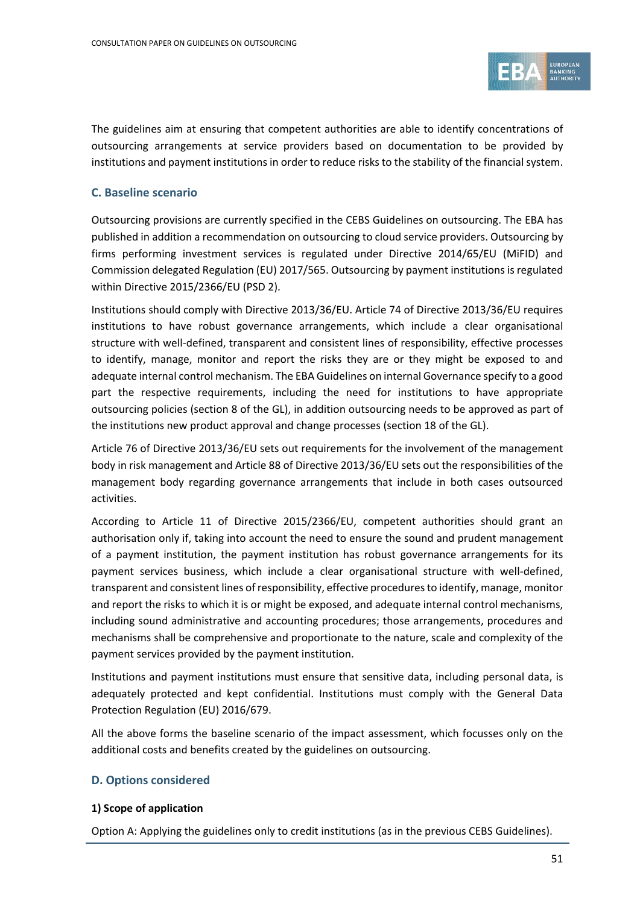

The guidelines aim at ensuring that competent authorities are able to identify concentrations of outsourcing arrangements at service providers based on documentation to be provided by institutions and payment institutions in order to reduce risks to the stability of the financial system.

#### **C. Baseline scenario**

Outsourcing provisions are currently specified in the CEBS Guidelines on outsourcing. The EBA has published in addition a recommendation on outsourcing to cloud service providers. Outsourcing by firms performing investment services is regulated under Directive 2014/65/EU (MiFID) and Commission delegated Regulation (EU) 2017/565. Outsourcing by payment institutions is regulated within Directive 2015/2366/EU (PSD 2).

Institutions should comply with Directive 2013/36/EU. Article 74 of Directive 2013/36/EU requires institutions to have robust governance arrangements, which include a clear organisational structure with well-defined, transparent and consistent lines of responsibility, effective processes to identify, manage, monitor and report the risks they are or they might be exposed to and adequate internal control mechanism. The EBA Guidelines on internal Governance specify to a good part the respective requirements, including the need for institutions to have appropriate outsourcing policies (section 8 of the GL), in addition outsourcing needs to be approved as part of the institutions new product approval and change processes (section 18 of the GL).

Article 76 of Directive 2013/36/EU sets out requirements for the involvement of the management body in risk management and Article 88 of Directive 2013/36/EU sets out the responsibilities of the management body regarding governance arrangements that include in both cases outsourced activities.

According to Article 11 of Directive 2015/2366/EU, competent authorities should grant an authorisation only if, taking into account the need to ensure the sound and prudent management of a payment institution, the payment institution has robust governance arrangements for its payment services business, which include a clear organisational structure with well-defined, transparent and consistent lines of responsibility, effective procedures to identify, manage, monitor and report the risks to which it is or might be exposed, and adequate internal control mechanisms, including sound administrative and accounting procedures; those arrangements, procedures and mechanisms shall be comprehensive and proportionate to the nature, scale and complexity of the payment services provided by the payment institution.

Institutions and payment institutions must ensure that sensitive data, including personal data, is adequately protected and kept confidential. Institutions must comply with the General Data Protection Regulation (EU) 2016/679.

All the above forms the baseline scenario of the impact assessment, which focusses only on the additional costs and benefits created by the guidelines on outsourcing.

#### **D. Options considered**

#### **1) Scope of application**

Option A: Applying the guidelines only to credit institutions (as in the previous CEBS Guidelines).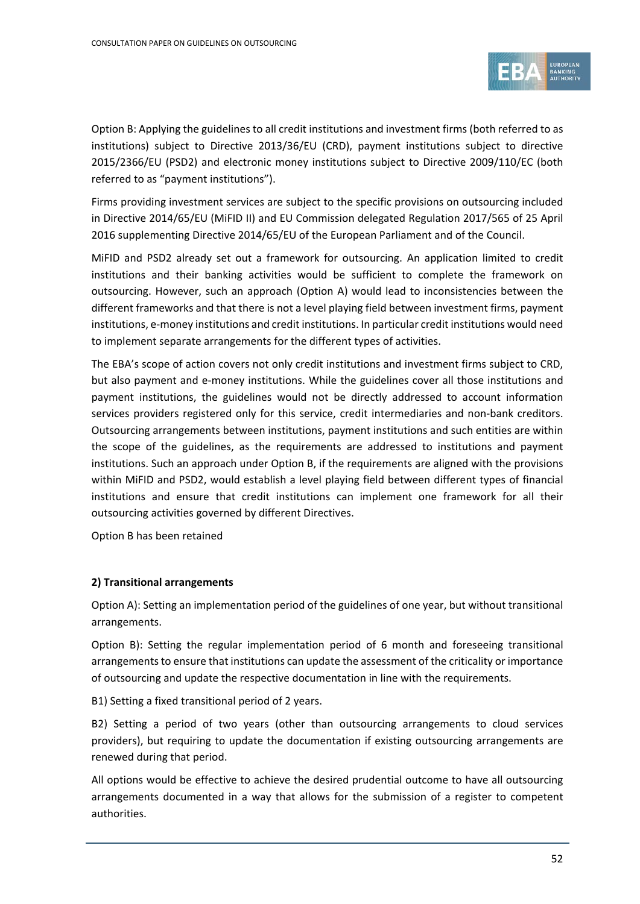

Option B: Applying the guidelines to all credit institutions and investment firms (both referred to as institutions) subject to Directive 2013/36/EU (CRD), payment institutions subject to directive 2015/2366/EU (PSD2) and electronic money institutions subject to Directive 2009/110/EC (both referred to as "payment institutions").

Firms providing investment services are subject to the specific provisions on outsourcing included in Directive 2014/65/EU (MiFID II) and EU Commission delegated Regulation 2017/565 of 25 April 2016 supplementing Directive 2014/65/EU of the European Parliament and of the Council.

MiFID and PSD2 already set out a framework for outsourcing. An application limited to credit institutions and their banking activities would be sufficient to complete the framework on outsourcing. However, such an approach (Option A) would lead to inconsistencies between the different frameworks and that there is not a level playing field between investment firms, payment institutions, e-money institutions and credit institutions. In particular credit institutions would need to implement separate arrangements for the different types of activities.

The EBA's scope of action covers not only credit institutions and investment firms subject to CRD, but also payment and e-money institutions. While the guidelines cover all those institutions and payment institutions, the guidelines would not be directly addressed to account information services providers registered only for this service, credit intermediaries and non-bank creditors. Outsourcing arrangements between institutions, payment institutions and such entities are within the scope of the guidelines, as the requirements are addressed to institutions and payment institutions. Such an approach under Option B, if the requirements are aligned with the provisions within MiFID and PSD2, would establish a level playing field between different types of financial institutions and ensure that credit institutions can implement one framework for all their outsourcing activities governed by different Directives.

Option B has been retained

#### **2) Transitional arrangements**

Option A): Setting an implementation period of the guidelines of one year, but without transitional arrangements.

Option B): Setting the regular implementation period of 6 month and foreseeing transitional arrangements to ensure that institutions can update the assessment of the criticality or importance of outsourcing and update the respective documentation in line with the requirements.

B1) Setting a fixed transitional period of 2 years.

B2) Setting a period of two years (other than outsourcing arrangements to cloud services providers), but requiring to update the documentation if existing outsourcing arrangements are renewed during that period.

All options would be effective to achieve the desired prudential outcome to have all outsourcing arrangements documented in a way that allows for the submission of a register to competent authorities.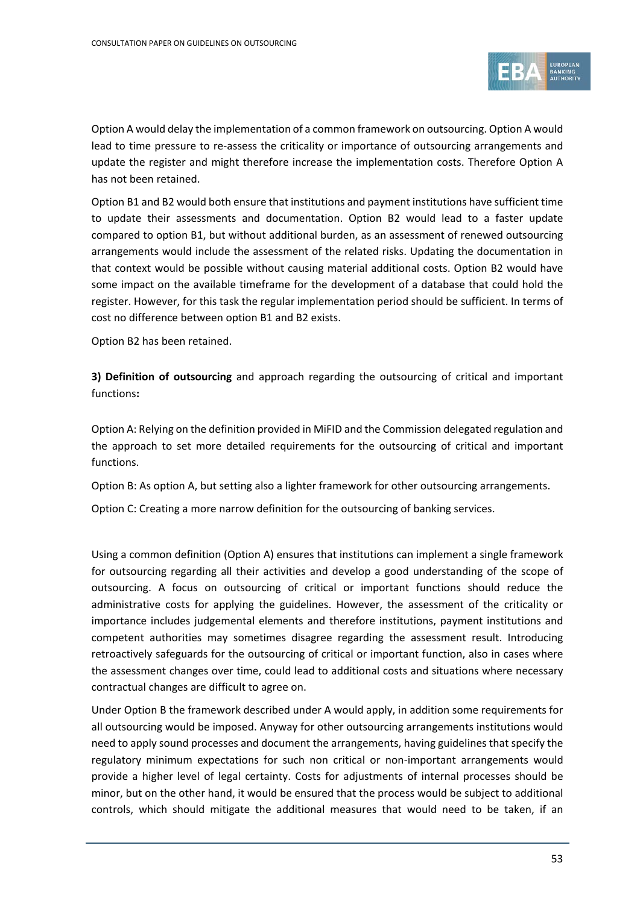

Option A would delay the implementation of a common framework on outsourcing. Option A would lead to time pressure to re-assess the criticality or importance of outsourcing arrangements and update the register and might therefore increase the implementation costs. Therefore Option A has not been retained.

Option B1 and B2 would both ensure that institutions and payment institutions have sufficient time to update their assessments and documentation. Option B2 would lead to a faster update compared to option B1, but without additional burden, as an assessment of renewed outsourcing arrangements would include the assessment of the related risks. Updating the documentation in that context would be possible without causing material additional costs. Option B2 would have some impact on the available timeframe for the development of a database that could hold the register. However, for this task the regular implementation period should be sufficient. In terms of cost no difference between option B1 and B2 exists.

Option B2 has been retained.

**3) Definition of outsourcing** and approach regarding the outsourcing of critical and important functions**:**

Option A: Relying on the definition provided in MiFID and the Commission delegated regulation and the approach to set more detailed requirements for the outsourcing of critical and important functions.

Option B: As option A, but setting also a lighter framework for other outsourcing arrangements.

Option C: Creating a more narrow definition for the outsourcing of banking services.

Using a common definition (Option A) ensures that institutions can implement a single framework for outsourcing regarding all their activities and develop a good understanding of the scope of outsourcing. A focus on outsourcing of critical or important functions should reduce the administrative costs for applying the guidelines. However, the assessment of the criticality or importance includes judgemental elements and therefore institutions, payment institutions and competent authorities may sometimes disagree regarding the assessment result. Introducing retroactively safeguards for the outsourcing of critical or important function, also in cases where the assessment changes over time, could lead to additional costs and situations where necessary contractual changes are difficult to agree on.

Under Option B the framework described under A would apply, in addition some requirements for all outsourcing would be imposed. Anyway for other outsourcing arrangements institutions would need to apply sound processes and document the arrangements, having guidelines that specify the regulatory minimum expectations for such non critical or non-important arrangements would provide a higher level of legal certainty. Costs for adjustments of internal processes should be minor, but on the other hand, it would be ensured that the process would be subject to additional controls, which should mitigate the additional measures that would need to be taken, if an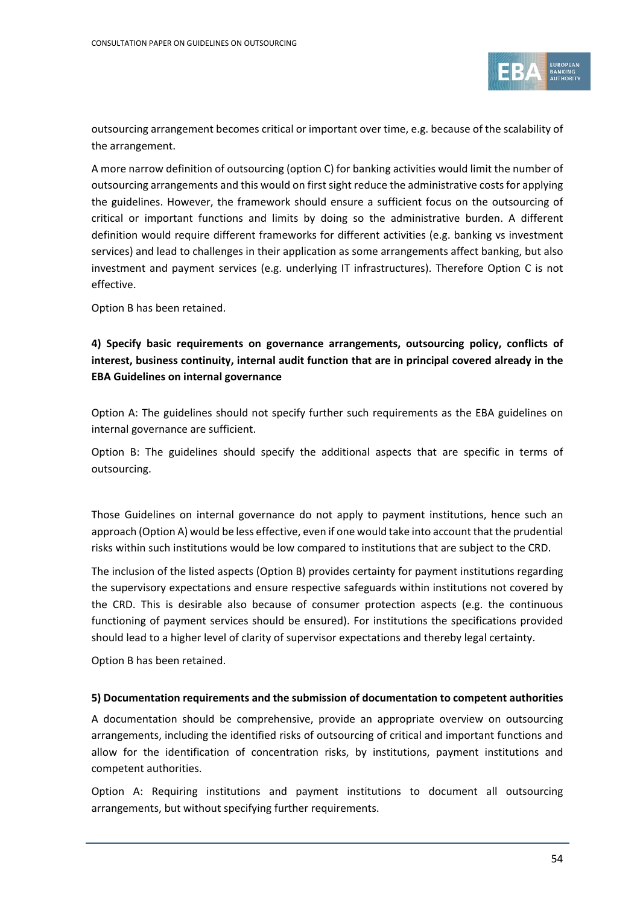

outsourcing arrangement becomes critical or important over time, e.g. because of the scalability of the arrangement.

A more narrow definition of outsourcing (option C) for banking activities would limit the number of outsourcing arrangements and this would on first sight reduce the administrative costs for applying the guidelines. However, the framework should ensure a sufficient focus on the outsourcing of critical or important functions and limits by doing so the administrative burden. A different definition would require different frameworks for different activities (e.g. banking vs investment services) and lead to challenges in their application as some arrangements affect banking, but also investment and payment services (e.g. underlying IT infrastructures). Therefore Option C is not effective.

Option B has been retained.

#### **4) Specify basic requirements on governance arrangements, outsourcing policy, conflicts of interest, business continuity, internal audit function that are in principal covered already in the EBA Guidelines on internal governance**

Option A: The guidelines should not specify further such requirements as the EBA guidelines on internal governance are sufficient.

Option B: The guidelines should specify the additional aspects that are specific in terms of outsourcing.

Those Guidelines on internal governance do not apply to payment institutions, hence such an approach (Option A) would be less effective, even if one would take into account that the prudential risks within such institutions would be low compared to institutions that are subject to the CRD.

The inclusion of the listed aspects (Option B) provides certainty for payment institutions regarding the supervisory expectations and ensure respective safeguards within institutions not covered by the CRD. This is desirable also because of consumer protection aspects (e.g. the continuous functioning of payment services should be ensured). For institutions the specifications provided should lead to a higher level of clarity of supervisor expectations and thereby legal certainty.

Option B has been retained.

#### **5) Documentation requirements and the submission of documentation to competent authorities**

A documentation should be comprehensive, provide an appropriate overview on outsourcing arrangements, including the identified risks of outsourcing of critical and important functions and allow for the identification of concentration risks, by institutions, payment institutions and competent authorities.

Option A: Requiring institutions and payment institutions to document all outsourcing arrangements, but without specifying further requirements.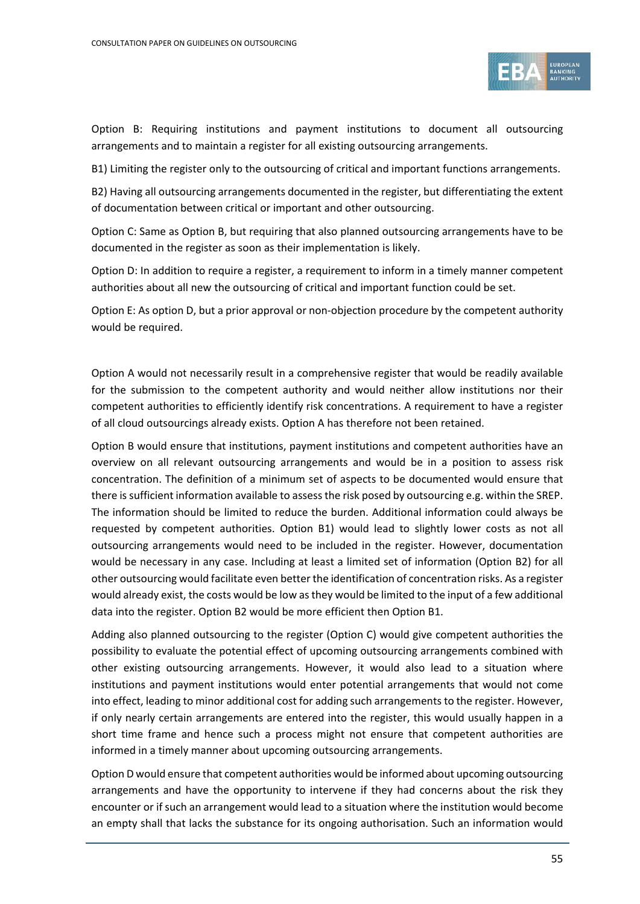

Option B: Requiring institutions and payment institutions to document all outsourcing arrangements and to maintain a register for all existing outsourcing arrangements.

B1) Limiting the register only to the outsourcing of critical and important functions arrangements.

B2) Having all outsourcing arrangements documented in the register, but differentiating the extent of documentation between critical or important and other outsourcing.

Option C: Same as Option B, but requiring that also planned outsourcing arrangements have to be documented in the register as soon as their implementation is likely.

Option D: In addition to require a register, a requirement to inform in a timely manner competent authorities about all new the outsourcing of critical and important function could be set.

Option E: As option D, but a prior approval or non-objection procedure by the competent authority would be required.

Option A would not necessarily result in a comprehensive register that would be readily available for the submission to the competent authority and would neither allow institutions nor their competent authorities to efficiently identify risk concentrations. A requirement to have a register of all cloud outsourcings already exists. Option A has therefore not been retained.

Option B would ensure that institutions, payment institutions and competent authorities have an overview on all relevant outsourcing arrangements and would be in a position to assess risk concentration. The definition of a minimum set of aspects to be documented would ensure that there is sufficient information available to assess the risk posed by outsourcing e.g. within the SREP. The information should be limited to reduce the burden. Additional information could always be requested by competent authorities. Option B1) would lead to slightly lower costs as not all outsourcing arrangements would need to be included in the register. However, documentation would be necessary in any case. Including at least a limited set of information (Option B2) for all other outsourcing would facilitate even better the identification of concentration risks. As a register would already exist, the costs would be low as they would be limited to the input of a few additional data into the register. Option B2 would be more efficient then Option B1.

Adding also planned outsourcing to the register (Option C) would give competent authorities the possibility to evaluate the potential effect of upcoming outsourcing arrangements combined with other existing outsourcing arrangements. However, it would also lead to a situation where institutions and payment institutions would enter potential arrangements that would not come into effect, leading to minor additional cost for adding such arrangements to the register. However, if only nearly certain arrangements are entered into the register, this would usually happen in a short time frame and hence such a process might not ensure that competent authorities are informed in a timely manner about upcoming outsourcing arrangements.

Option D would ensure that competent authorities would be informed about upcoming outsourcing arrangements and have the opportunity to intervene if they had concerns about the risk they encounter or if such an arrangement would lead to a situation where the institution would become an empty shall that lacks the substance for its ongoing authorisation. Such an information would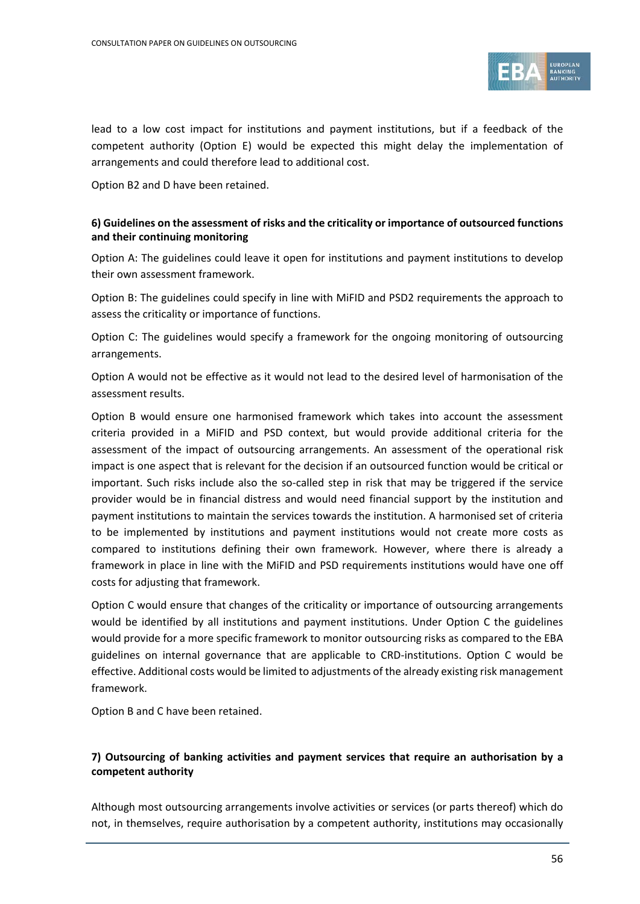

lead to a low cost impact for institutions and payment institutions, but if a feedback of the competent authority (Option E) would be expected this might delay the implementation of arrangements and could therefore lead to additional cost.

Option B2 and D have been retained.

#### **6) Guidelines on the assessment of risks and the criticality or importance of outsourced functions and their continuing monitoring**

Option A: The guidelines could leave it open for institutions and payment institutions to develop their own assessment framework.

Option B: The guidelines could specify in line with MiFID and PSD2 requirements the approach to assess the criticality or importance of functions.

Option C: The guidelines would specify a framework for the ongoing monitoring of outsourcing arrangements.

Option A would not be effective as it would not lead to the desired level of harmonisation of the assessment results.

Option B would ensure one harmonised framework which takes into account the assessment criteria provided in a MiFID and PSD context, but would provide additional criteria for the assessment of the impact of outsourcing arrangements. An assessment of the operational risk impact is one aspect that is relevant for the decision if an outsourced function would be critical or important. Such risks include also the so-called step in risk that may be triggered if the service provider would be in financial distress and would need financial support by the institution and payment institutions to maintain the services towards the institution. A harmonised set of criteria to be implemented by institutions and payment institutions would not create more costs as compared to institutions defining their own framework. However, where there is already a framework in place in line with the MiFID and PSD requirements institutions would have one off costs for adjusting that framework.

Option C would ensure that changes of the criticality or importance of outsourcing arrangements would be identified by all institutions and payment institutions. Under Option C the guidelines would provide for a more specific framework to monitor outsourcing risks as compared to the EBA guidelines on internal governance that are applicable to CRD-institutions. Option C would be effective. Additional costs would be limited to adjustments of the already existing risk management framework.

Option B and C have been retained.

#### **7) Outsourcing of banking activities and payment services that require an authorisation by a competent authority**

Although most outsourcing arrangements involve activities or services (or parts thereof) which do not, in themselves, require authorisation by a competent authority, institutions may occasionally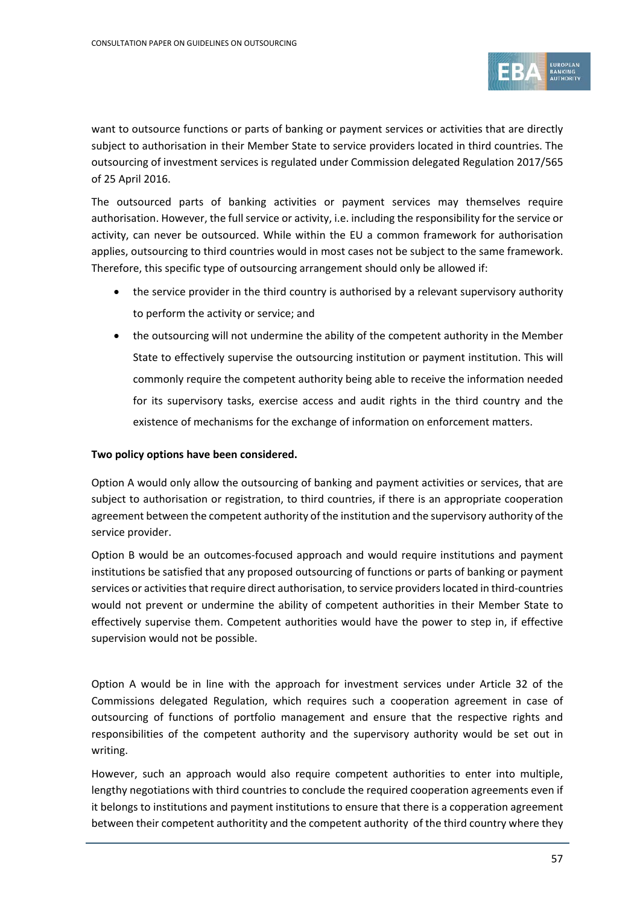

want to outsource functions or parts of banking or payment services or activities that are directly subject to authorisation in their Member State to service providers located in third countries. The outsourcing of investment services is regulated under Commission delegated Regulation 2017/565 of 25 April 2016.

The outsourced parts of banking activities or payment services may themselves require authorisation. However, the full service or activity, i.e. including the responsibility for the service or activity, can never be outsourced. While within the EU a common framework for authorisation applies, outsourcing to third countries would in most cases not be subject to the same framework. Therefore, this specific type of outsourcing arrangement should only be allowed if:

- the service provider in the third country is authorised by a relevant supervisory authority to perform the activity or service; and
- the outsourcing will not undermine the ability of the competent authority in the Member State to effectively supervise the outsourcing institution or payment institution. This will commonly require the competent authority being able to receive the information needed for its supervisory tasks, exercise access and audit rights in the third country and the existence of mechanisms for the exchange of information on enforcement matters.

#### **Two policy options have been considered.**

Option A would only allow the outsourcing of banking and payment activities or services, that are subject to authorisation or registration, to third countries, if there is an appropriate cooperation agreement between the competent authority of the institution and the supervisory authority of the service provider.

Option B would be an outcomes-focused approach and would require institutions and payment institutions be satisfied that any proposed outsourcing of functions or parts of banking or payment services or activities that require direct authorisation, to service providers located in third-countries would not prevent or undermine the ability of competent authorities in their Member State to effectively supervise them. Competent authorities would have the power to step in, if effective supervision would not be possible.

Option A would be in line with the approach for investment services under Article 32 of the Commissions delegated Regulation, which requires such a cooperation agreement in case of outsourcing of functions of portfolio management and ensure that the respective rights and responsibilities of the competent authority and the supervisory authority would be set out in writing.

However, such an approach would also require competent authorities to enter into multiple, lengthy negotiations with third countries to conclude the required cooperation agreements even if it belongs to institutions and payment institutions to ensure that there is a copperation agreement between their competent authoritity and the competent authority of the third country where they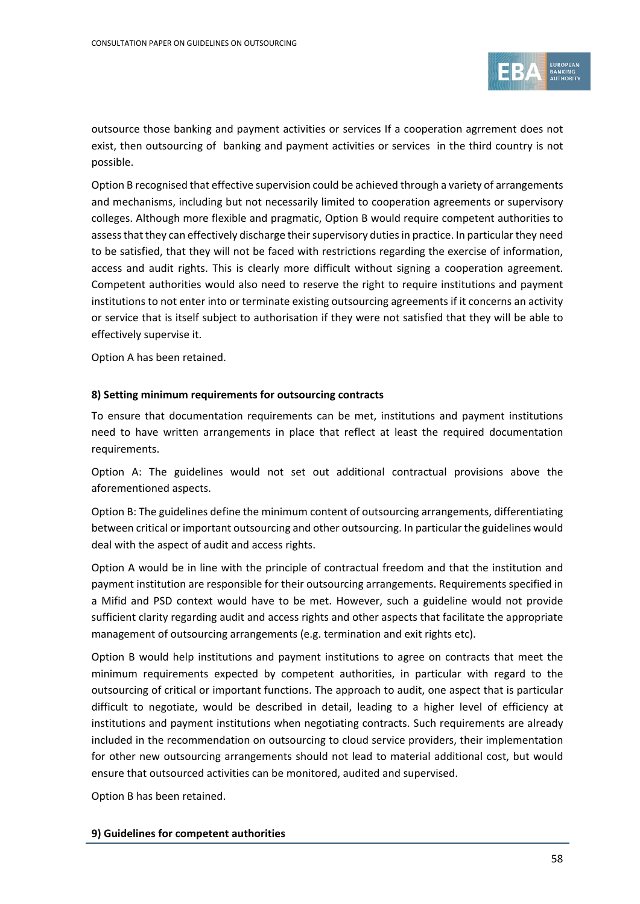

outsource those banking and payment activities or services If a cooperation agrrement does not exist, then outsourcing of banking and payment activities or services in the third country is not possible.

Option B recognised that effective supervision could be achieved through a variety of arrangements and mechanisms, including but not necessarily limited to cooperation agreements or supervisory colleges. Although more flexible and pragmatic, Option B would require competent authorities to assess that they can effectively discharge their supervisory duties in practice. In particular they need to be satisfied, that they will not be faced with restrictions regarding the exercise of information, access and audit rights. This is clearly more difficult without signing a cooperation agreement. Competent authorities would also need to reserve the right to require institutions and payment institutions to not enter into or terminate existing outsourcing agreements if it concerns an activity or service that is itself subject to authorisation if they were not satisfied that they will be able to effectively supervise it.

Option A has been retained.

#### **8) Setting minimum requirements for outsourcing contracts**

To ensure that documentation requirements can be met, institutions and payment institutions need to have written arrangements in place that reflect at least the required documentation requirements.

Option A: The guidelines would not set out additional contractual provisions above the aforementioned aspects.

Option B: The guidelines define the minimum content of outsourcing arrangements, differentiating between critical or important outsourcing and other outsourcing. In particular the guidelines would deal with the aspect of audit and access rights.

Option A would be in line with the principle of contractual freedom and that the institution and payment institution are responsible for their outsourcing arrangements. Requirements specified in a Mifid and PSD context would have to be met. However, such a guideline would not provide sufficient clarity regarding audit and access rights and other aspects that facilitate the appropriate management of outsourcing arrangements (e.g. termination and exit rights etc).

Option B would help institutions and payment institutions to agree on contracts that meet the minimum requirements expected by competent authorities, in particular with regard to the outsourcing of critical or important functions. The approach to audit, one aspect that is particular difficult to negotiate, would be described in detail, leading to a higher level of efficiency at institutions and payment institutions when negotiating contracts. Such requirements are already included in the recommendation on outsourcing to cloud service providers, their implementation for other new outsourcing arrangements should not lead to material additional cost, but would ensure that outsourced activities can be monitored, audited and supervised.

Option B has been retained.

#### **9) Guidelines for competent authorities**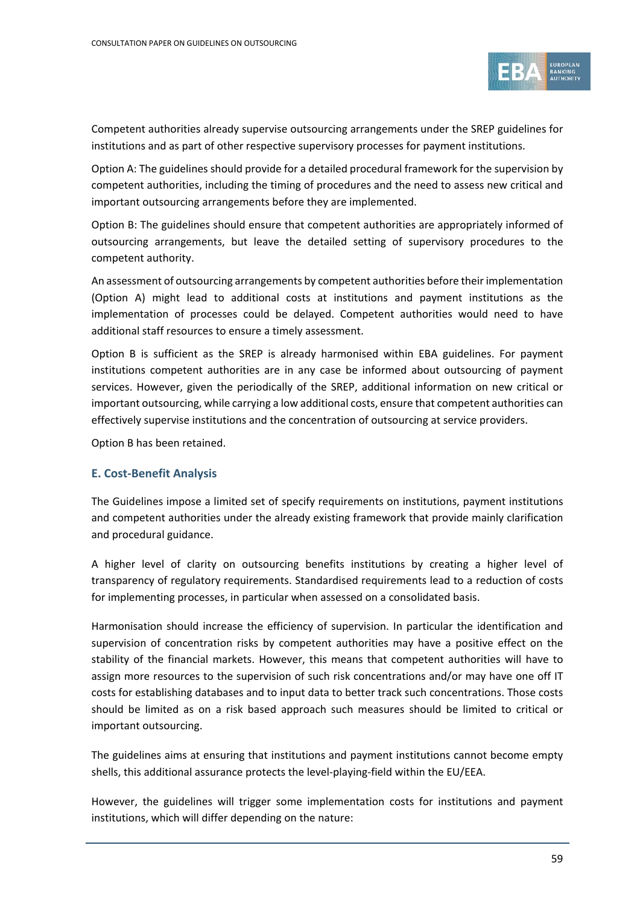

Competent authorities already supervise outsourcing arrangements under the SREP guidelines for institutions and as part of other respective supervisory processes for payment institutions.

Option A: The guidelines should provide for a detailed procedural framework for the supervision by competent authorities, including the timing of procedures and the need to assess new critical and important outsourcing arrangements before they are implemented.

Option B: The guidelines should ensure that competent authorities are appropriately informed of outsourcing arrangements, but leave the detailed setting of supervisory procedures to the competent authority.

An assessment of outsourcing arrangements by competent authorities before their implementation (Option A) might lead to additional costs at institutions and payment institutions as the implementation of processes could be delayed. Competent authorities would need to have additional staff resources to ensure a timely assessment.

Option B is sufficient as the SREP is already harmonised within EBA guidelines. For payment institutions competent authorities are in any case be informed about outsourcing of payment services. However, given the periodically of the SREP, additional information on new critical or important outsourcing, while carrying a low additional costs, ensure that competent authorities can effectively supervise institutions and the concentration of outsourcing at service providers.

Option B has been retained.

#### **E. Cost-Benefit Analysis**

The Guidelines impose a limited set of specify requirements on institutions, payment institutions and competent authorities under the already existing framework that provide mainly clarification and procedural guidance.

A higher level of clarity on outsourcing benefits institutions by creating a higher level of transparency of regulatory requirements. Standardised requirements lead to a reduction of costs for implementing processes, in particular when assessed on a consolidated basis.

Harmonisation should increase the efficiency of supervision. In particular the identification and supervision of concentration risks by competent authorities may have a positive effect on the stability of the financial markets. However, this means that competent authorities will have to assign more resources to the supervision of such risk concentrations and/or may have one off IT costs for establishing databases and to input data to better track such concentrations. Those costs should be limited as on a risk based approach such measures should be limited to critical or important outsourcing.

The guidelines aims at ensuring that institutions and payment institutions cannot become empty shells, this additional assurance protects the level-playing-field within the EU/EEA.

However, the guidelines will trigger some implementation costs for institutions and payment institutions, which will differ depending on the nature: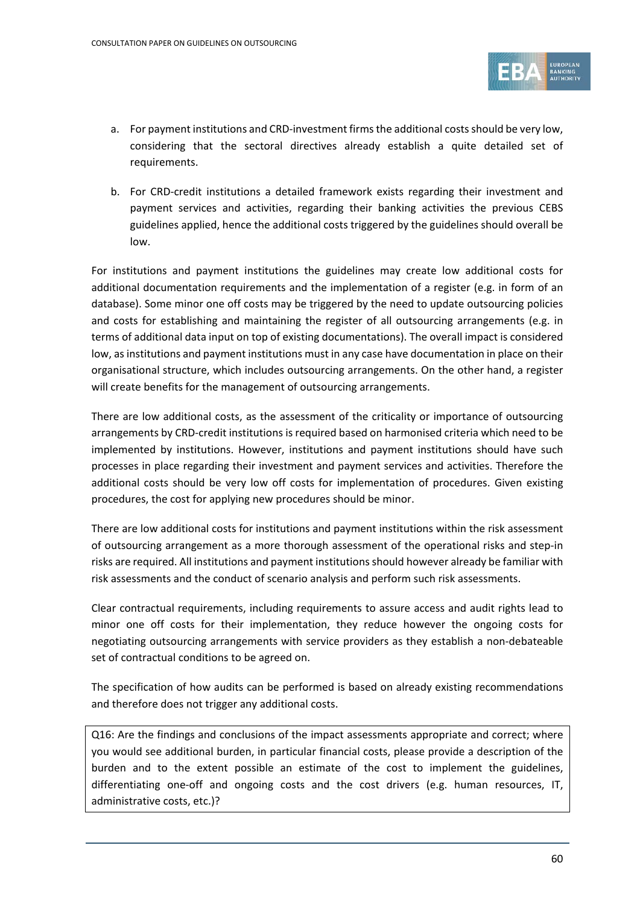

- a. For payment institutions and CRD-investment firms the additional costs should be very low, considering that the sectoral directives already establish a quite detailed set of requirements.
- b. For CRD-credit institutions a detailed framework exists regarding their investment and payment services and activities, regarding their banking activities the previous CEBS guidelines applied, hence the additional costs triggered by the guidelines should overall be low.

For institutions and payment institutions the guidelines may create low additional costs for additional documentation requirements and the implementation of a register (e.g. in form of an database). Some minor one off costs may be triggered by the need to update outsourcing policies and costs for establishing and maintaining the register of all outsourcing arrangements (e.g. in terms of additional data input on top of existing documentations). The overall impact is considered low, as institutions and payment institutions must in any case have documentation in place on their organisational structure, which includes outsourcing arrangements. On the other hand, a register will create benefits for the management of outsourcing arrangements.

There are low additional costs, as the assessment of the criticality or importance of outsourcing arrangements by CRD-credit institutions is required based on harmonised criteria which need to be implemented by institutions. However, institutions and payment institutions should have such processes in place regarding their investment and payment services and activities. Therefore the additional costs should be very low off costs for implementation of procedures. Given existing procedures, the cost for applying new procedures should be minor.

There are low additional costs for institutions and payment institutions within the risk assessment of outsourcing arrangement as a more thorough assessment of the operational risks and step-in risks are required. All institutions and payment institutions should however already be familiar with risk assessments and the conduct of scenario analysis and perform such risk assessments.

Clear contractual requirements, including requirements to assure access and audit rights lead to minor one off costs for their implementation, they reduce however the ongoing costs for negotiating outsourcing arrangements with service providers as they establish a non-debateable set of contractual conditions to be agreed on.

The specification of how audits can be performed is based on already existing recommendations and therefore does not trigger any additional costs.

Q16: Are the findings and conclusions of the impact assessments appropriate and correct; where you would see additional burden, in particular financial costs, please provide a description of the burden and to the extent possible an estimate of the cost to implement the guidelines, differentiating one-off and ongoing costs and the cost drivers (e.g. human resources, IT, administrative costs, etc.)?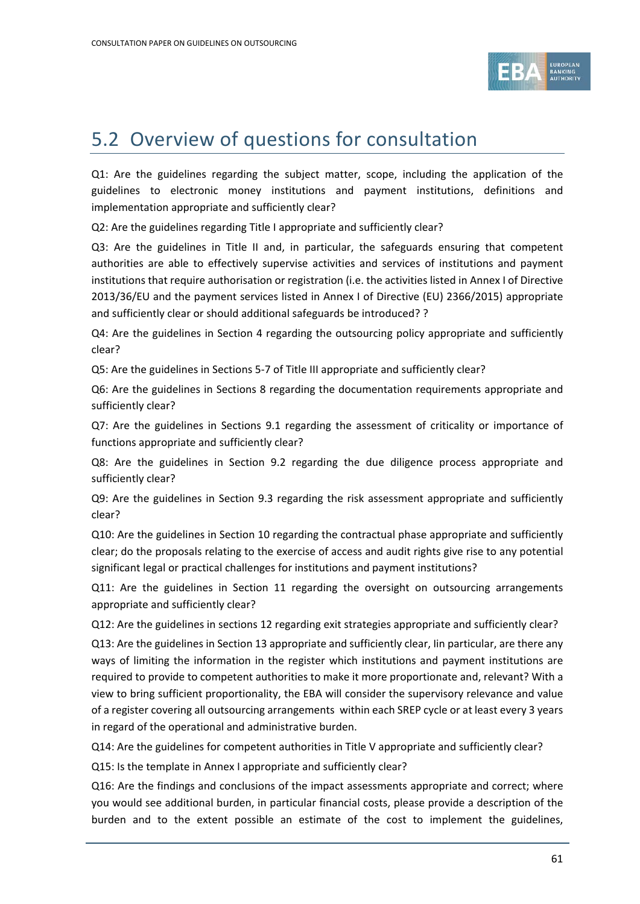

## 5.2 Overview of questions for consultation

Q1: Are the guidelines regarding the subject matter, scope, including the application of the guidelines to electronic money institutions and payment institutions, definitions and implementation appropriate and sufficiently clear?

Q2: Are the guidelines regarding Title I appropriate and sufficiently clear?

Q3: Are the guidelines in Title II and, in particular, the safeguards ensuring that competent authorities are able to effectively supervise activities and services of institutions and payment institutions that require authorisation or registration (i.e. the activities listed in Annex I of Directive 2013/36/EU and the payment services listed in Annex I of Directive (EU) 2366/2015) appropriate and sufficiently clear or should additional safeguards be introduced? ?

Q4: Are the guidelines in Section 4 regarding the outsourcing policy appropriate and sufficiently clear?

Q5: Are the guidelines in Sections 5-7 of Title III appropriate and sufficiently clear?

Q6: Are the guidelines in Sections 8 regarding the documentation requirements appropriate and sufficiently clear?

Q7: Are the guidelines in Sections 9.1 regarding the assessment of criticality or importance of functions appropriate and sufficiently clear?

Q8: Are the guidelines in Section 9.2 regarding the due diligence process appropriate and sufficiently clear?

Q9: Are the guidelines in Section 9.3 regarding the risk assessment appropriate and sufficiently clear?

Q10: Are the guidelines in Section 10 regarding the contractual phase appropriate and sufficiently clear; do the proposals relating to the exercise of access and audit rights give rise to any potential significant legal or practical challenges for institutions and payment institutions?

Q11: Are the guidelines in Section 11 regarding the oversight on outsourcing arrangements appropriate and sufficiently clear?

Q12: Are the guidelines in sections 12 regarding exit strategies appropriate and sufficiently clear?

Q13: Are the guidelines in Section 13 appropriate and sufficiently clear, Iin particular, are there any ways of limiting the information in the register which institutions and payment institutions are required to provide to competent authorities to make it more proportionate and, relevant? With a view to bring sufficient proportionality, the EBA will consider the supervisory relevance and value of a register covering all outsourcing arrangements within each SREP cycle or at least every 3 years in regard of the operational and administrative burden.

Q14: Are the guidelines for competent authorities in Title V appropriate and sufficiently clear?

Q15: Is the template in Annex I appropriate and sufficiently clear?

Q16: Are the findings and conclusions of the impact assessments appropriate and correct; where you would see additional burden, in particular financial costs, please provide a description of the burden and to the extent possible an estimate of the cost to implement the guidelines,